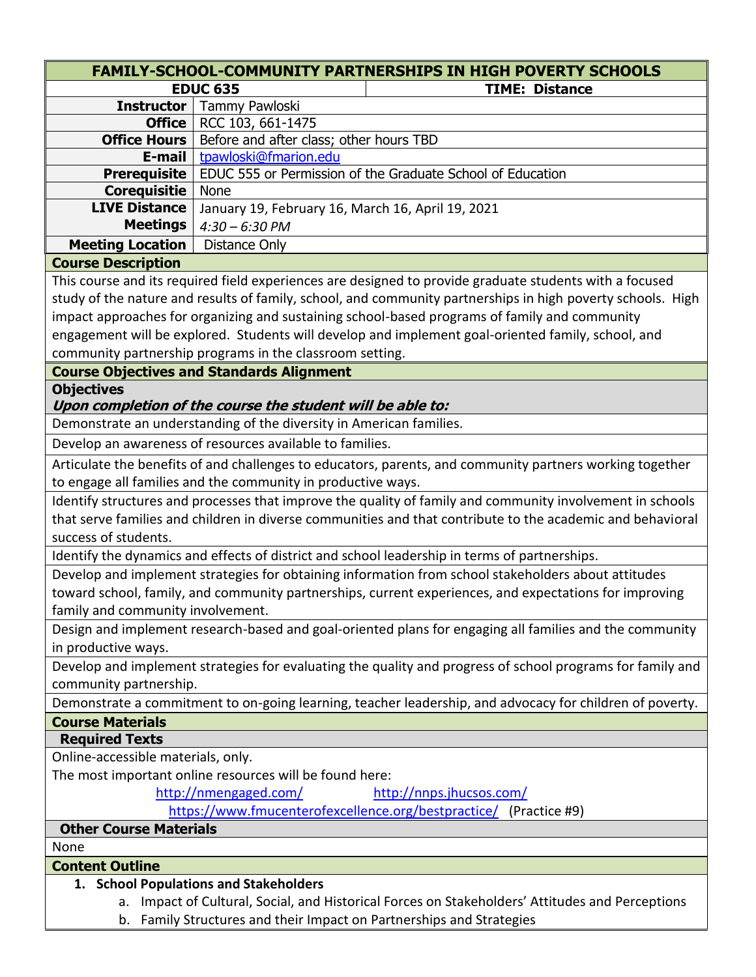|                                                                                                            | <b>FAMILY-SCHOOL-COMMUNITY PARTNERSHIPS IN HIGH POVERTY SCHOOLS</b>                                         |  |
|------------------------------------------------------------------------------------------------------------|-------------------------------------------------------------------------------------------------------------|--|
|                                                                                                            | <b>EDUC 635</b><br><b>TIME: Distance</b>                                                                    |  |
| <b>Instructor</b>                                                                                          | Tammy Pawloski                                                                                              |  |
| Office                                                                                                     | RCC 103, 661-1475                                                                                           |  |
| <b>Office Hours</b>                                                                                        | Before and after class; other hours TBD                                                                     |  |
| E-mail                                                                                                     | tpawloski@fmarion.edu                                                                                       |  |
| <b>Prerequisite</b>                                                                                        | EDUC 555 or Permission of the Graduate School of Education                                                  |  |
| <b>Corequisitie</b>                                                                                        | <b>None</b>                                                                                                 |  |
| <b>LIVE Distance</b>                                                                                       | January 19, February 16, March 16, April 19, 2021                                                           |  |
| <b>Meetings</b>                                                                                            | $4:30 - 6:30$ PM                                                                                            |  |
| <b>Meeting Location</b>                                                                                    | Distance Only                                                                                               |  |
| <b>Course Description</b>                                                                                  |                                                                                                             |  |
|                                                                                                            | This course and its required field experiences are designed to provide graduate students with a focused     |  |
|                                                                                                            | study of the nature and results of family, school, and community partnerships in high poverty schools. High |  |
|                                                                                                            | impact approaches for organizing and sustaining school-based programs of family and community               |  |
|                                                                                                            | engagement will be explored. Students will develop and implement goal-oriented family, school, and          |  |
|                                                                                                            | community partnership programs in the classroom setting.                                                    |  |
|                                                                                                            | <b>Course Objectives and Standards Alignment</b>                                                            |  |
| <b>Objectives</b>                                                                                          |                                                                                                             |  |
|                                                                                                            | Upon completion of the course the student will be able to:                                                  |  |
|                                                                                                            | Demonstrate an understanding of the diversity in American families.                                         |  |
| Develop an awareness of resources available to families.                                                   |                                                                                                             |  |
| Articulate the benefits of and challenges to educators, parents, and community partners working together   |                                                                                                             |  |
| to engage all families and the community in productive ways.                                               |                                                                                                             |  |
| Identify structures and processes that improve the quality of family and community involvement in schools  |                                                                                                             |  |
| that serve families and children in diverse communities and that contribute to the academic and behavioral |                                                                                                             |  |
| success of students.                                                                                       |                                                                                                             |  |
|                                                                                                            | Identify the dynamics and effects of district and school leadership in terms of partnerships.               |  |
| Develop and implement strategies for obtaining information from school stakeholders about attitudes        |                                                                                                             |  |
| toward school, family, and community partnerships, current experiences, and expectations for improving     |                                                                                                             |  |
| family and community involvement.                                                                          |                                                                                                             |  |
|                                                                                                            | Design and implement research-based and goal-oriented plans for engaging all families and the community     |  |
| in productive ways.                                                                                        |                                                                                                             |  |
|                                                                                                            | Develop and implement strategies for evaluating the quality and progress of school programs for family and  |  |
| community partnership.                                                                                     |                                                                                                             |  |
| Demonstrate a commitment to on-going learning, teacher leadership, and advocacy for children of poverty.   |                                                                                                             |  |
| <b>Course Materials</b>                                                                                    |                                                                                                             |  |
| <b>Required Texts</b>                                                                                      |                                                                                                             |  |
| Online-accessible materials, only.                                                                         |                                                                                                             |  |
| The most important online resources will be found here:                                                    |                                                                                                             |  |
|                                                                                                            | http://nmengaged.com/<br>http://nnps.jhucsos.com/                                                           |  |
|                                                                                                            | https://www.fmucenterofexcellence.org/bestpractice/ (Practice #9)                                           |  |
| <b>Other Course Materials</b>                                                                              |                                                                                                             |  |
| None                                                                                                       |                                                                                                             |  |
| <b>Content Outline</b>                                                                                     |                                                                                                             |  |
|                                                                                                            | 1. School Populations and Stakeholders                                                                      |  |

- a. Impact of Cultural, Social, and Historical Forces on Stakeholders' Attitudes and Perceptions
- b. Family Structures and their Impact on Partnerships and Strategies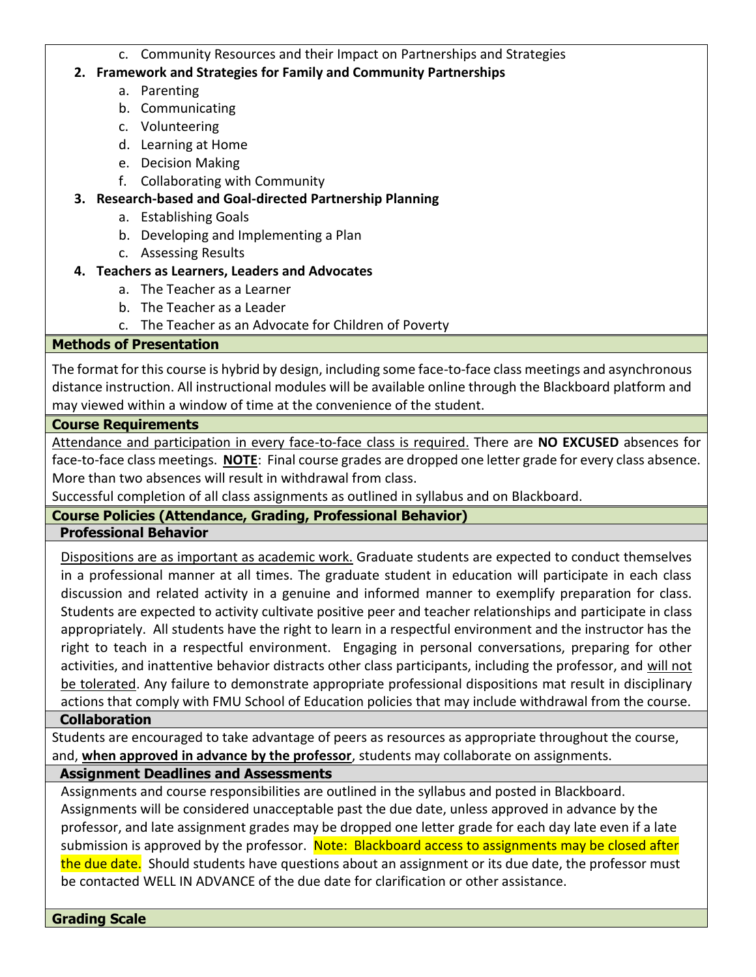c. Community Resources and their Impact on Partnerships and Strategies

#### **2. Framework and Strategies for Family and Community Partnerships**

- a. Parenting
- b. Communicating
- c. Volunteering
- d. Learning at Home
- e. Decision Making
- f. Collaborating with Community

### **3. Research-based and Goal-directed Partnership Planning**

- a. Establishing Goals
- b. Developing and Implementing a Plan
- c. Assessing Results

## **4. Teachers as Learners, Leaders and Advocates**

- a. The Teacher as a Learner
- b. The Teacher as a Leader
- c. The Teacher as an Advocate for Children of Poverty

#### **Methods of Presentation**

The format for this course is hybrid by design, including some face-to-face class meetings and asynchronous distance instruction. All instructional modules will be available online through the Blackboard platform and may viewed within a window of time at the convenience of the student.

#### **Course Requirements**

Attendance and participation in every face-to-face class is required. There are **NO EXCUSED** absences for face-to-face class meetings. **NOTE**: Final course grades are dropped one letter grade for every class absence. More than two absences will result in withdrawal from class.

Successful completion of all class assignments as outlined in syllabus and on Blackboard.

## **Course Policies (Attendance, Grading, Professional Behavior)**

#### **Professional Behavior**

Dispositions are as important as academic work. Graduate students are expected to conduct themselves in a professional manner at all times. The graduate student in education will participate in each class discussion and related activity in a genuine and informed manner to exemplify preparation for class. Students are expected to activity cultivate positive peer and teacher relationships and participate in class appropriately. All students have the right to learn in a respectful environment and the instructor has the right to teach in a respectful environment. Engaging in personal conversations, preparing for other activities, and inattentive behavior distracts other class participants, including the professor, and will not be tolerated. Any failure to demonstrate appropriate professional dispositions mat result in disciplinary actions that comply with FMU School of Education policies that may include withdrawal from the course.

#### **Collaboration**

Students are encouraged to take advantage of peers as resources as appropriate throughout the course, and, **when approved in advance by the professor**, students may collaborate on assignments.

## **Assignment Deadlines and Assessments**

Assignments and course responsibilities are outlined in the syllabus and posted in Blackboard. Assignments will be considered unacceptable past the due date, unless approved in advance by the professor, and late assignment grades may be dropped one letter grade for each day late even if a late submission is approved by the professor. Note: Blackboard access to assignments may be closed after the due date. Should students have questions about an assignment or its due date, the professor must be contacted WELL IN ADVANCE of the due date for clarification or other assistance.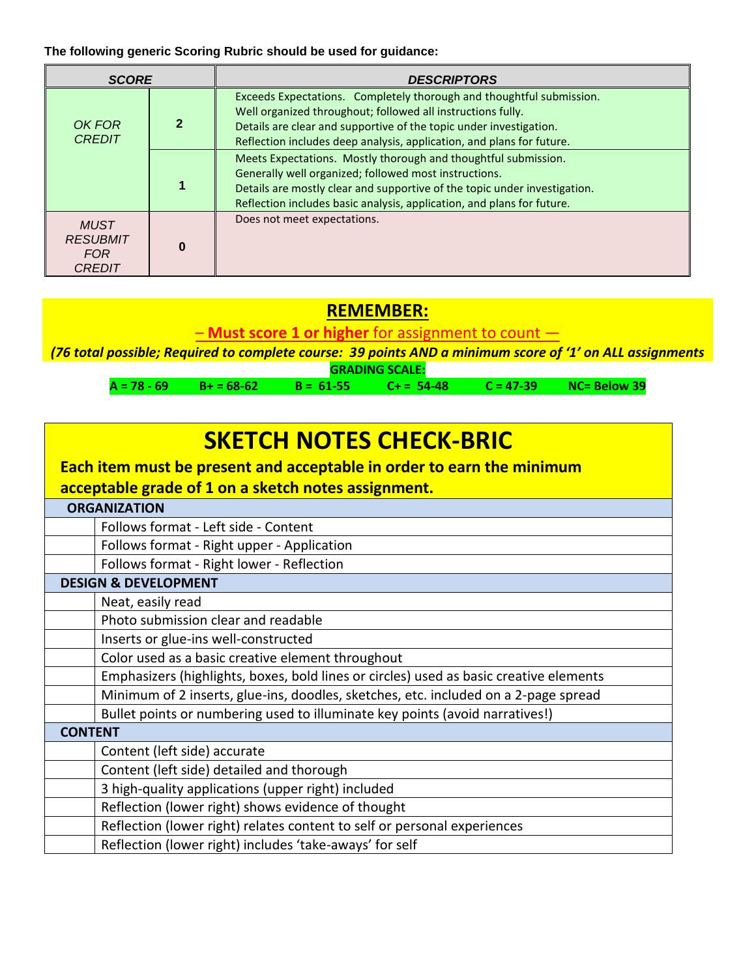**The following generic Scoring Rubric should be used for guidance:**

| <b>SCORE</b>                                                  |  | <b>DESCRIPTORS</b>                                                                                                                                                                                                                                                                 |  |
|---------------------------------------------------------------|--|------------------------------------------------------------------------------------------------------------------------------------------------------------------------------------------------------------------------------------------------------------------------------------|--|
| OK FOR<br><b>CREDIT</b>                                       |  | Exceeds Expectations. Completely thorough and thoughtful submission.<br>Well organized throughout; followed all instructions fully.<br>Details are clear and supportive of the topic under investigation.<br>Reflection includes deep analysis, application, and plans for future. |  |
|                                                               |  | Meets Expectations. Mostly thorough and thoughtful submission.<br>Generally well organized; followed most instructions.<br>Details are mostly clear and supportive of the topic under investigation.<br>Reflection includes basic analysis, application, and plans for future.     |  |
| <b>MUST</b><br><b>RESUBMIT</b><br><b>FOR</b><br><i>CREDIT</i> |  | Does not meet expectations.                                                                                                                                                                                                                                                        |  |

## **REMEMBER:**

– **Must score 1 or higher** for assignment to count —

*(76 total possible; Required to complete course: 39 points AND a minimum score of '1' on ALL assignments*

**GRADING SCALE: A = 78 - 69 B+ = 68-62 B = 61-55 C+ = 54-48 C = 47-39 NC= Below 39**

| <b>SKETCH NOTES CHECK-BRIC</b><br>Each item must be present and acceptable in order to earn the minimum<br>acceptable grade of 1 on a sketch notes assignment. |  |  |
|----------------------------------------------------------------------------------------------------------------------------------------------------------------|--|--|
| <b>ORGANIZATION</b>                                                                                                                                            |  |  |
| Follows format - Left side - Content                                                                                                                           |  |  |
| Follows format - Right upper - Application                                                                                                                     |  |  |
| Follows format - Right lower - Reflection                                                                                                                      |  |  |
| <b>DESIGN &amp; DEVELOPMENT</b>                                                                                                                                |  |  |
| Neat, easily read                                                                                                                                              |  |  |
| Photo submission clear and readable                                                                                                                            |  |  |
| Inserts or glue-ins well-constructed                                                                                                                           |  |  |
| Color used as a basic creative element throughout                                                                                                              |  |  |
| Emphasizers (highlights, boxes, bold lines or circles) used as basic creative elements                                                                         |  |  |
| Minimum of 2 inserts, glue-ins, doodles, sketches, etc. included on a 2-page spread                                                                            |  |  |
| Bullet points or numbering used to illuminate key points (avoid narratives!)                                                                                   |  |  |
| <b>CONTENT</b>                                                                                                                                                 |  |  |
| Content (left side) accurate                                                                                                                                   |  |  |
| Content (left side) detailed and thorough                                                                                                                      |  |  |
| 3 high-quality applications (upper right) included                                                                                                             |  |  |
| Reflection (lower right) shows evidence of thought                                                                                                             |  |  |
| Reflection (lower right) relates content to self or personal experiences                                                                                       |  |  |
| Reflection (lower right) includes 'take-aways' for self                                                                                                        |  |  |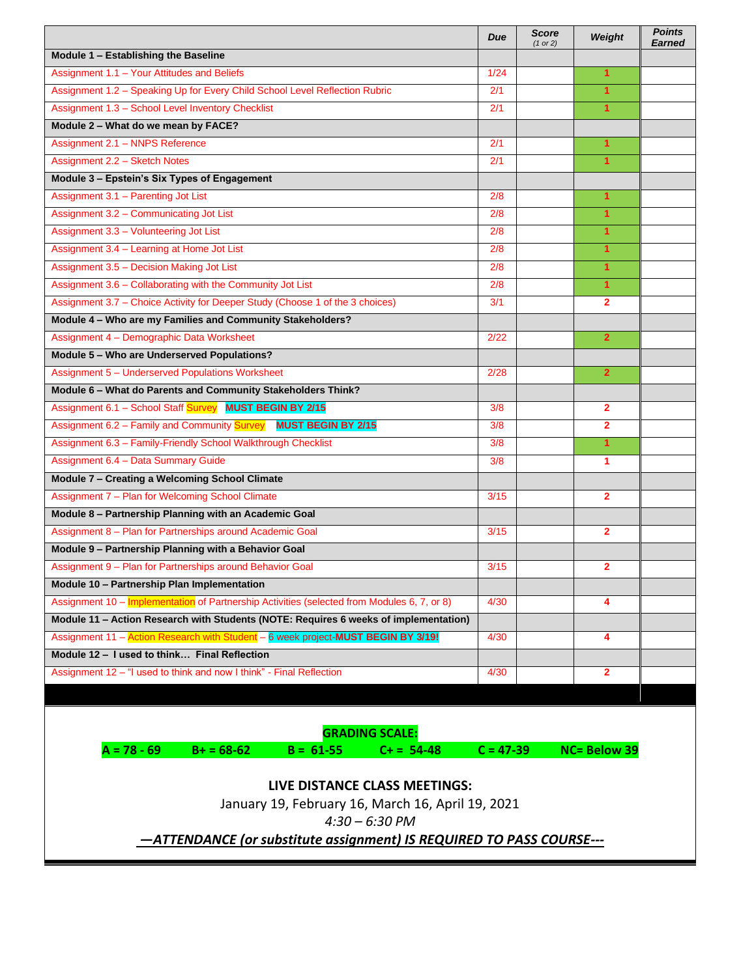|                                                                                             | Due         | <b>Score</b><br>(1 or 2) | Weight                  | <b>Points</b><br><b>Earned</b> |
|---------------------------------------------------------------------------------------------|-------------|--------------------------|-------------------------|--------------------------------|
| Module 1 - Establishing the Baseline                                                        |             |                          |                         |                                |
| Assignment 1.1 - Your Attitudes and Beliefs                                                 | 1/24        |                          | $\mathbf{1}$            |                                |
| Assignment 1.2 - Speaking Up for Every Child School Level Reflection Rubric                 | 2/1         |                          | $\mathbf{1}$            |                                |
| Assignment 1.3 - School Level Inventory Checklist                                           | 2/1         |                          | $\blacktriangleleft$    |                                |
| Module 2 - What do we mean by FACE?                                                         |             |                          |                         |                                |
| Assignment 2.1 - NNPS Reference                                                             | 2/1         |                          | 1                       |                                |
| Assignment 2.2 - Sketch Notes                                                               | 2/1         |                          | $\overline{1}$          |                                |
| Module 3 - Epstein's Six Types of Engagement                                                |             |                          |                         |                                |
| Assignment 3.1 - Parenting Jot List                                                         | 2/8         |                          | $\mathbf{1}$            |                                |
| Assignment 3.2 - Communicating Jot List                                                     | 2/8         |                          | $\mathbf{1}$            |                                |
| Assignment 3.3 - Volunteering Jot List                                                      | 2/8         |                          | 1                       |                                |
| Assignment 3.4 - Learning at Home Jot List                                                  | 2/8         |                          | $\overline{1}$          |                                |
| Assignment 3.5 - Decision Making Jot List                                                   | 2/8         |                          | $\mathbf{1}$            |                                |
| Assignment 3.6 - Collaborating with the Community Jot List                                  | 2/8         |                          | 1                       |                                |
| Assignment 3.7 - Choice Activity for Deeper Study (Choose 1 of the 3 choices)               | 3/1         |                          | $\mathbf{2}$            |                                |
| Module 4 - Who are my Families and Community Stakeholders?                                  |             |                          |                         |                                |
| Assignment 4 - Demographic Data Worksheet                                                   | 2/22        |                          | $\overline{2}$          |                                |
| Module 5 - Who are Underserved Populations?                                                 |             |                          |                         |                                |
| Assignment 5 - Underserved Populations Worksheet                                            | 2/28        |                          | $\overline{2}$          |                                |
| Module 6 - What do Parents and Community Stakeholders Think?                                |             |                          |                         |                                |
| Assignment 6.1 - School Staff Survey MUST BEGIN BY 2/15                                     | 3/8         |                          | $\mathbf{2}$            |                                |
| Assignment 6.2 - Family and Community Survey MUST BEGIN BY 2/15                             | 3/8         |                          | $\overline{\mathbf{2}}$ |                                |
| Assignment 6.3 - Family-Friendly School Walkthrough Checklist                               | 3/8         |                          | $\mathbf{1}$            |                                |
| Assignment 6.4 - Data Summary Guide                                                         | 3/8         |                          | 1                       |                                |
| Module 7 - Creating a Welcoming School Climate                                              |             |                          |                         |                                |
| Assignment 7 - Plan for Welcoming School Climate                                            | 3/15        |                          | $\overline{2}$          |                                |
| Module 8 - Partnership Planning with an Academic Goal                                       |             |                          |                         |                                |
| Assignment 8 - Plan for Partnerships around Academic Goal                                   | 3/15        |                          | $\overline{2}$          |                                |
| Module 9 - Partnership Planning with a Behavior Goal                                        |             |                          |                         |                                |
| Assignment 9 - Plan for Partnerships around Behavior Goal                                   | 3/15        |                          | $\mathbf{2}$            |                                |
| Module 10 - Partnership Plan Implementation                                                 |             |                          |                         |                                |
| Assignment 10 - Implementation of Partnership Activities (selected from Modules 6, 7, or 8) | 4/30        |                          | 4                       |                                |
| Module 11 - Action Research with Students (NOTE: Requires 6 weeks of implementation)        |             |                          |                         |                                |
| Assignment 11 - Action Research with Student - 6 week project-MUST BEGIN BY 3/19!           | 4/30        |                          | 4                       |                                |
| Module 12 - I used to think Final Reflection                                                |             |                          |                         |                                |
| Assignment 12 - "I used to think and now I think" - Final Reflection                        | 4/30        |                          | $\mathbf{2}$            |                                |
|                                                                                             |             |                          |                         |                                |
|                                                                                             |             |                          |                         |                                |
| <b>GRADING SCALE:</b>                                                                       |             |                          |                         |                                |
| $A = 78 - 69$<br>$B+ = 68-62$<br>$B = 61 - 55$<br>$C + = 54-48$                             | $C = 47-39$ |                          | <b>NC= Below 39</b>     |                                |
|                                                                                             |             |                          |                         |                                |
| LIVE DISTANCE CLASS MEETINGS:                                                               |             |                          |                         |                                |
| January 19, February 16, March 16, April 19, 2021                                           |             |                          |                         |                                |
| $4:30 - 6:30$ PM                                                                            |             |                          |                         |                                |
| -ATTENDANCE (or substitute assignment) IS REQUIRED TO PASS COURSE---                        |             |                          |                         |                                |
|                                                                                             |             |                          |                         |                                |
|                                                                                             |             |                          |                         |                                |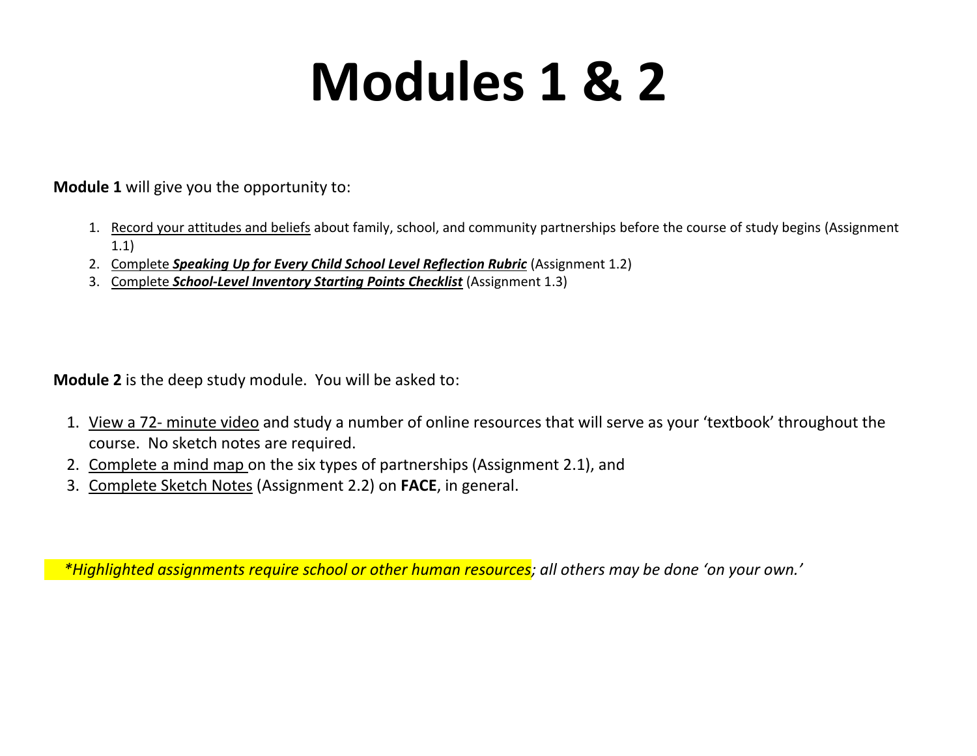## **Modules 1 & 2**

**Module 1** will give you the opportunity to:

- 1. Record your attitudes and beliefs about family, school, and community partnerships before the course of study begins (Assignment 1.1)
- 2. Complete *Speaking Up for Every Child School Level Reflection Rubric* (Assignment 1.2)
- 3. Complete *School-Level Inventory Starting Points Checklist* (Assignment 1.3)

**Module 2** is the deep study module. You will be asked to:

- 1. View a 72- minute video and study a number of online resources that will serve as your 'textbook' throughout the course. No sketch notes are required.
- 2. Complete a mind map on the six types of partnerships (Assignment 2.1), and
- 3. Complete Sketch Notes (Assignment 2.2) on **FACE**, in general.

 *\*Highlighted assignments require school or other human resources; all others may be done 'on your own.'*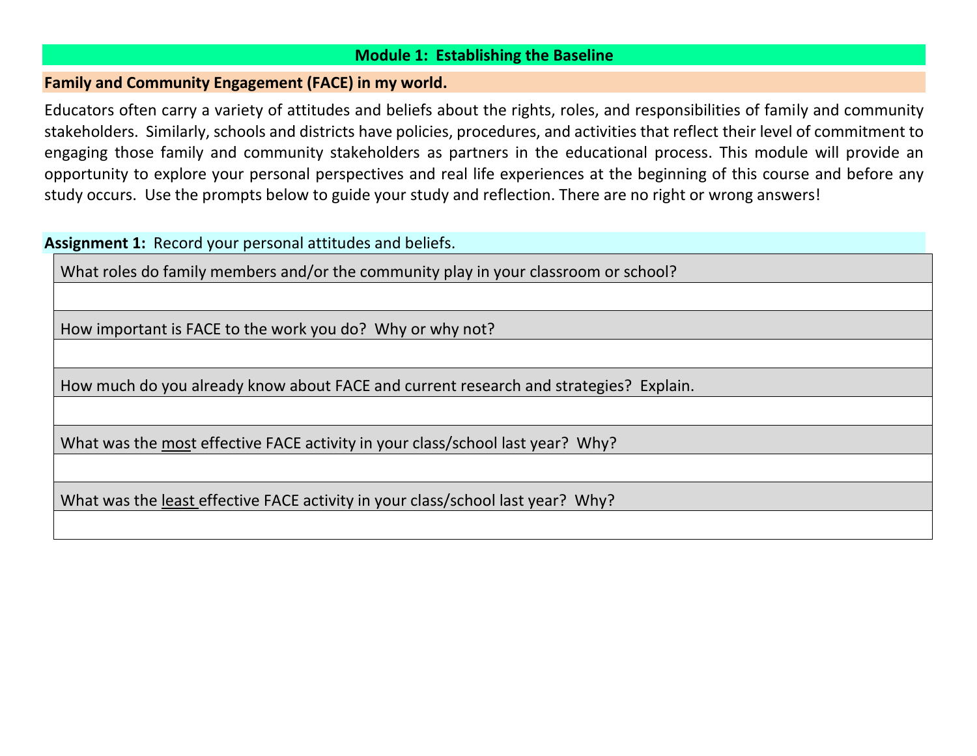## **Module 1: Establishing the Baseline**

#### **Family and Community Engagement (FACE) in my world.**

Educators often carry a variety of attitudes and beliefs about the rights, roles, and responsibilities of family and community stakeholders. Similarly, schools and districts have policies, procedures, and activities that reflect their level of commitment to engaging those family and community stakeholders as partners in the educational process. This module will provide an opportunity to explore your personal perspectives and real life experiences at the beginning of this course and before any study occurs. Use the prompts below to guide your study and reflection. There are no right or wrong answers!

## **Assignment 1:** Record your personal attitudes and beliefs. What roles do family members and/or the community play in your classroom or school? How important is FACE to the work you do? Why or why not? How much do you already know about FACE and current research and strategies? Explain. What was the most effective FACE activity in your class/school last year? Why? What was the least effective FACE activity in your class/school last year? Why?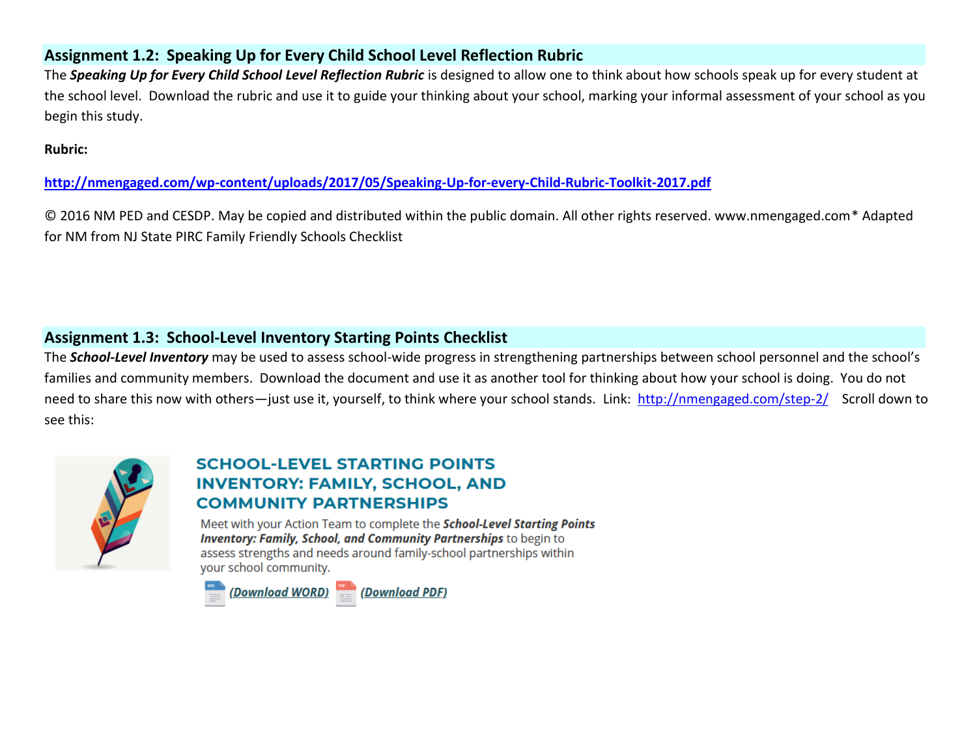## **Assignment 1.2: Speaking Up for Every Child School Level Reflection Rubric**

The *Speaking Up for Every Child School Level Reflection Rubric* is designed to allow one to think about how schools speak up for every student at the school level. Download the rubric and use it to guide your thinking about your school, marking your informal assessment of your school as you begin this study.

**Rubric:**

**<http://nmengaged.com/wp-content/uploads/2017/05/Speaking-Up-for-every-Child-Rubric-Toolkit-2017.pdf>**

© 2016 NM PED and CESDP. May be copied and distributed within the public domain. All other rights reserved. www.nmengaged.com\* Adapted for NM from NJ State PIRC Family Friendly Schools Checklist

## **Assignment 1.3: School-Level Inventory Starting Points Checklist**

The *School-Level Inventory* may be used to assess school-wide progress in strengthening partnerships between school personnel and the school's families and community members. Download the document and use it as another tool for thinking about how your school is doing. You do not need to share this now with others-just use it, yourself, to think where your school stands. Link: <http://nmengaged.com/step-2/>Scroll down to see this:



## **SCHOOL-LEVEL STARTING POINTS INVENTORY: FAMILY, SCHOOL, AND COMMUNITY PARTNERSHIPS**

Meet with your Action Team to complete the School-Level Starting Points **Inventory: Family, School, and Community Partnerships to begin to** assess strengths and needs around family-school partnerships within your school community.

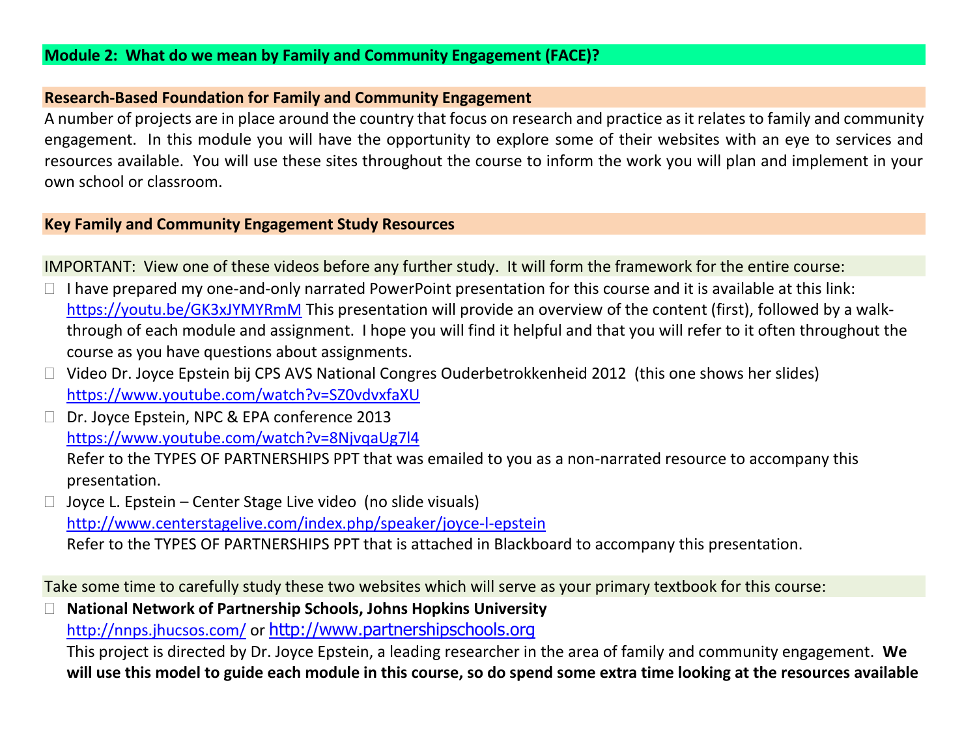### **Research-Based Foundation for Family and Community Engagement**

A number of projects are in place around the country that focus on research and practice as it relates to family and community engagement. In this module you will have the opportunity to explore some of their websites with an eye to services and resources available. You will use these sites throughout the course to inform the work you will plan and implement in your own school or classroom.

## **Key Family and Community Engagement Study Resources**

IMPORTANT: View one of these videos before any further study. It will form the framework for the entire course:

- $\Box$  I have prepared my one-and-only narrated PowerPoint presentation for this course and it is available at this link: <https://youtu.be/GK3xJYMYRmM> This presentation will provide an overview of the content (first), followed by a walkthrough of each module and assignment. I hope you will find it helpful and that you will refer to it often throughout the course as you have questions about assignments.
- □ Video Dr. Joyce Epstein bij CPS AVS National Congres Ouderbetrokkenheid 2012 (this one shows her slides) <https://www.youtube.com/watch?v=SZ0vdvxfaXU>
- □ Dr. Joyce Epstein, NPC & EPA conference 2013 <https://www.youtube.com/watch?v=8NjvqaUg7l4>

Refer to the TYPES OF PARTNERSHIPS PPT that was emailed to you as a non-narrated resource to accompany this presentation.

 $\Box$  Joyce L. Epstein – Center Stage Live video (no slide visuals) <http://www.centerstagelive.com/index.php/speaker/joyce-l-epstein> Refer to the TYPES OF PARTNERSHIPS PPT that is attached in Blackboard to accompany this presentation.

Take some time to carefully study these two websites which will serve as your primary textbook for this course:

 **National Network of Partnership Schools, Johns Hopkins University** <http://nnps.jhucsos.com/> or [http://www.partnershipschools.org](http://www.partnershipschools.org/)

This project is directed by Dr. Joyce Epstein, a leading researcher in the area of family and community engagement. **We will use this model to guide each module in this course, so do spend some extra time looking at the resources available**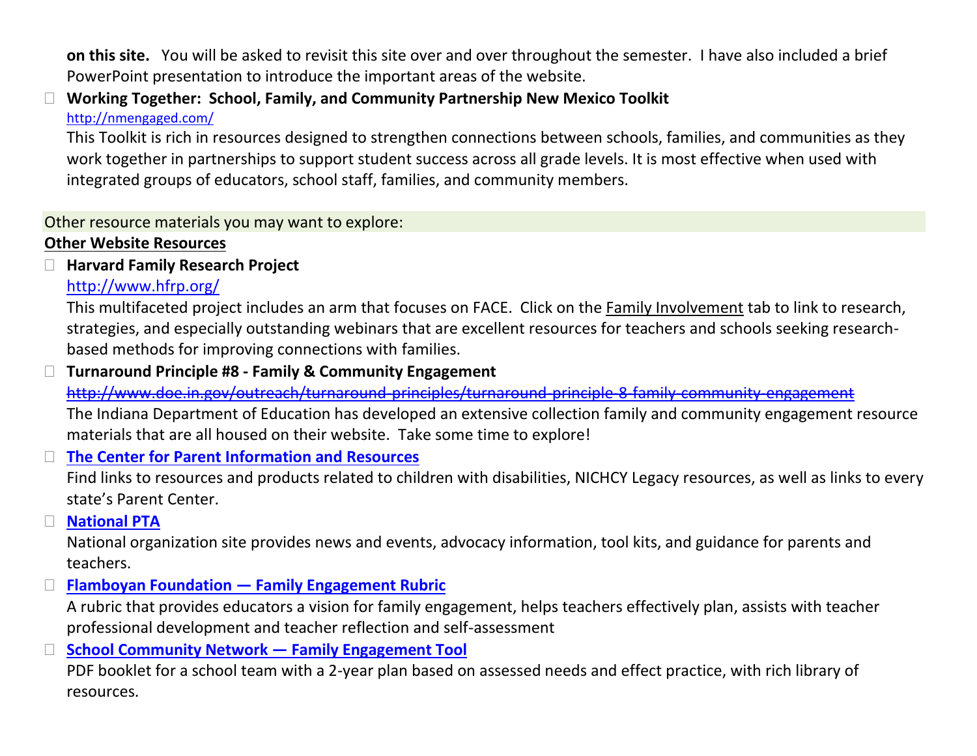**on this site.** You will be asked to revisit this site over and over throughout the semester. I have also included a brief PowerPoint presentation to introduce the important areas of the website.

## **Working Together: School, Family, and Community Partnership New Mexico Toolkit** <http://nmengaged.com/>

This Toolkit is rich in resources designed to strengthen connections between schools, families, and communities as they work together in partnerships to support student success across all grade levels. It is most effective when used with integrated groups of educators, school staff, families, and community members.

## Other resource materials you may want to explore:

## **Other Website Resources**

## **Harvard Family Research Project**

## <http://www.hfrp.org/>

This multifaceted project includes an arm that focuses on FACE. Click on the Family Involvement tab to link to research, strategies, and especially outstanding webinars that are excellent resources for teachers and schools seeking researchbased methods for improving connections with families.

## **Turnaround Principle #8 - Family & Community Engagement**

<http://www.doe.in.gov/outreach/turnaround-principles/turnaround-principle-8-family-community-engagement>

The Indiana Department of Education has developed an extensive collection family and community engagement resource materials that are all housed on their website. Take some time to explore!

## **[The Center for Parent Information and Resources](http://www.parentcenterhub.org/)**

Find links to resources and products related to children with disabilities, NICHCY Legacy resources, as well as links to every state's Parent Center.

## **[National PTA](http://www.pta.org/index.cfm)**

National organization site provides news and events, advocacy information, tool kits, and guidance for parents and teachers.

## **Flamboyan Foundation — [Family Engagement Rubric](http://flamboyanfoundation.org/resources_and_publications/family-engagement-classroom-rubric/)**

A rubric that provides educators a vision for family engagement, helps teachers effectively plan, assists with teacher professional development and teacher reflection and self-assessment

## **[School Community Network](http://www.schoolcommunitynetwork.org/fet.aspx) — Family Engagement Tool**

PDF booklet for a school team with a 2-year plan based on assessed needs and effect practice, with rich library of resources.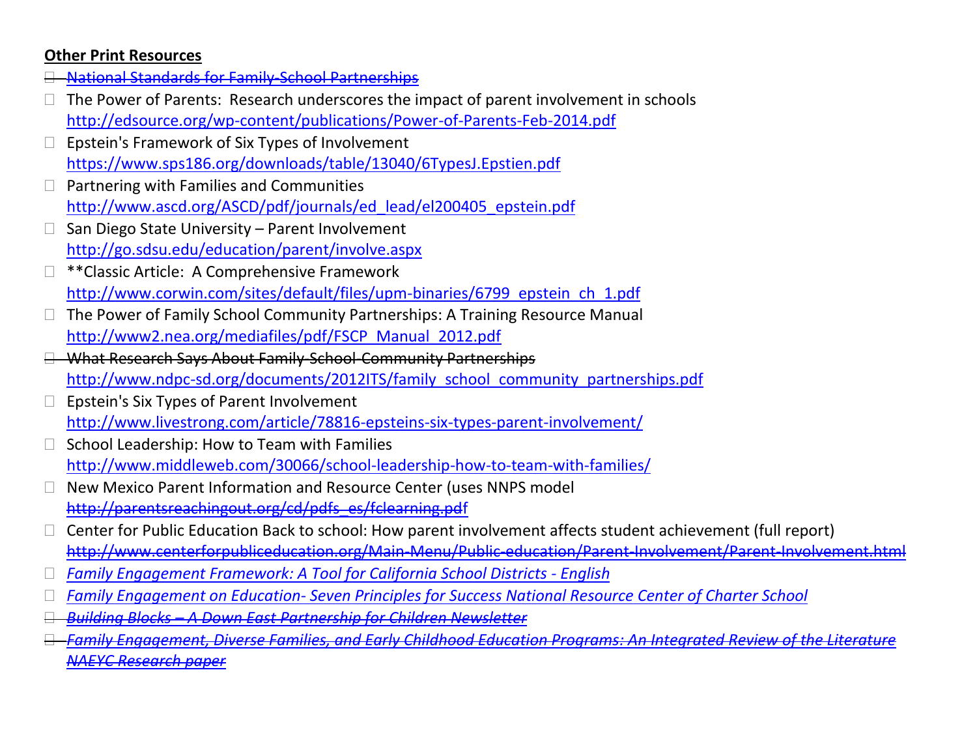## **Other Print Resources**

- [National Standards for Family-School Partnerships](https://www.google.com/url?sa=t&rct=j&q=&esrc=s&source=web&cd=14&ved=0ahUKEwims_2Gq_3MAhWLJCYKHSSzBo84ChAWCC0wAw&url=https%3A%2F%2Fs3.amazonaws.com%2Frdcms-pta%2Ffiles%2Fproduction%2Fpublic%2FBSP_PP_National_Standards_to_ParentsCommunity_redx.ppt&usg=AFQjCNHesNxHS4rOIziOwLIm0IFKgujWgg&sig2=KdfEod_MLw4uNhOUVmFSJw)
- $\Box$  The Power of Parents: Research underscores the impact of parent involvement in schools <http://edsource.org/wp-content/publications/Power-of-Parents-Feb-2014.pdf>
- Epstein's Framework of Six Types of Involvement <https://www.sps186.org/downloads/table/13040/6TypesJ.Epstien.pdf>
- $\Box$  Partnering with Families and Communities [http://www.ascd.org/ASCD/pdf/journals/ed\\_lead/el200405\\_epstein.pdf](http://www.ascd.org/ASCD/pdf/journals/ed_lead/el200405_epstein.pdf)
- San Diego State University Parent Involvement <http://go.sdsu.edu/education/parent/involve.aspx>
- \*\*Classic Article: A Comprehensive Framework [http://www.corwin.com/sites/default/files/upm-binaries/6799\\_epstein\\_ch\\_1.pdf](http://www.corwin.com/sites/default/files/upm-binaries/6799_epstein_ch_1.pdf)
- The Power of Family School Community Partnerships: A Training Resource Manual [http://www2.nea.org/mediafiles/pdf/FSCP\\_Manual\\_2012.pdf](http://www2.nea.org/mediafiles/pdf/FSCP_Manual_2012.pdf)
- What Research Says About Family-School-Community Partnerships [http://www.ndpc-sd.org/documents/2012ITS/family\\_school\\_community\\_partnerships.pdf](http://www.ndpc-sd.org/documents/2012ITS/family_school_community_partnerships.pdf)
- $\Box$  Epstein's Six Types of Parent Involvement <http://www.livestrong.com/article/78816-epsteins-six-types-parent-involvement/>
- School Leadership: How to Team with Families <http://www.middleweb.com/30066/school-leadership-how-to-team-with-families/>
- New Mexico Parent Information and Resource Center (uses NNPS model [http://parentsreachingout.org/cd/pdfs\\_es/fclearning.pdf](http://parentsreachingout.org/cd/pdfs_es/fclearning.pdf)
- Center for Public Education Back to school: How parent involvement affects student achievement (full report) <http://www.centerforpubliceducation.org/Main-Menu/Public-education/Parent-Involvement/Parent-Involvement.html>
- *[Family Engagement Framework: A Tool for California School Districts -](http://www.cde.ca.gov/ls/pf/pf/documents/famengageframeenglish.pdf) English*
- *Family Engagement on Education- [Seven Principles for Success National Resource Center of Charter School](http://www.uscrossier.org/ceg/wp-content/uploads/publications/Family-Engagement-in-Education.pdf)*
- *Building Blocks – [A Down East Partnership for Children Newsletter](http://www.depc.org/pages/ccr_rsprng11.pdf)*
- *[Family Engagement, Diverse Families, and Early Childhood Education Programs: An Integrated Review of the Literature](https://www.naeyc.org/files/naeyc/file/research/FamEngage.pdf)  [NAEYC Research paper](https://www.naeyc.org/files/naeyc/file/research/FamEngage.pdf)*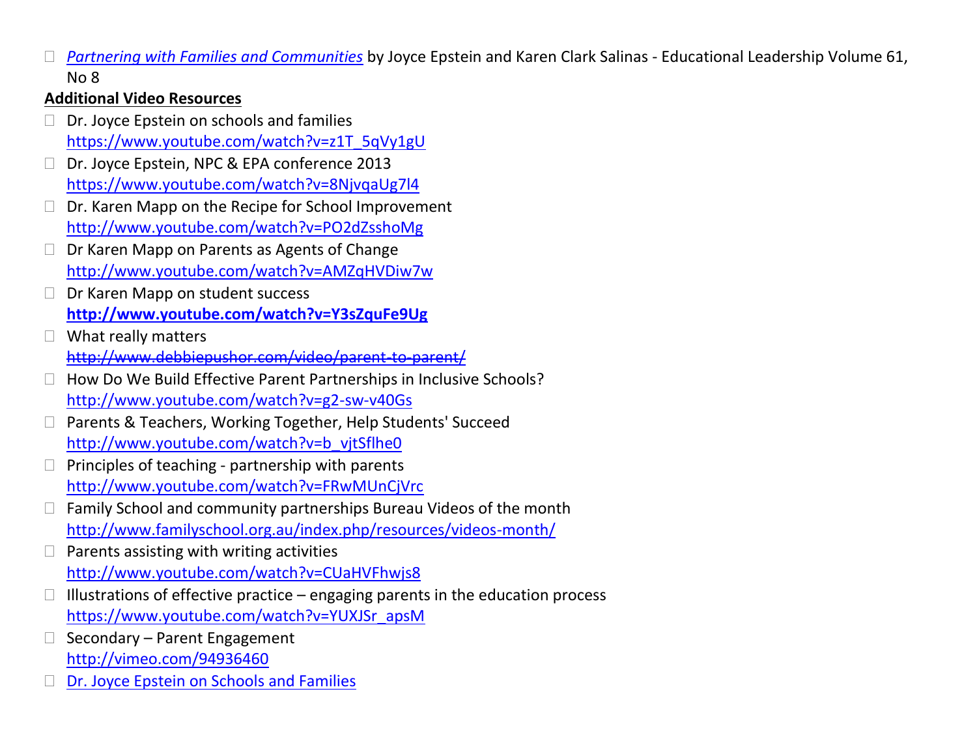*[Partnering with Families and Communities](http://www.ascd.org/ASCD/pdf/journals/ed_lead/el200405_epstein.pdf)* by Joyce Epstein and Karen Clark Salinas - Educational Leadership Volume 61, No 8

## **Additional Video Resources**

- $\Box$  Dr. Joyce Epstein on schools and families [https://www.youtube.com/watch?v=z1T\\_5qVy1gU](https://www.youtube.com/watch?v=z1T_5qVy1gU)
- Dr. Joyce Epstein, NPC & EPA conference 2013 <https://www.youtube.com/watch?v=8NjvqaUg7l4>
- $\Box$  Dr. Karen Mapp on the Recipe for School Improvement <http://www.youtube.com/watch?v=PO2dZsshoMg>
- □ Dr Karen Mapp on Parents as Agents of Change <http://www.youtube.com/watch?v=AMZqHVDiw7w>
- D Dr Karen Mapp on student success **<http://www.youtube.com/watch?v=Y3sZquFe9Ug>**
- □ What really matters <http://www.debbiepushor.com/video/parent-to-parent/>
- $\Box$  How Do We Build Effective Parent Partnerships in Inclusive Schools? <http://www.youtube.com/watch?v=g2-sw-v40Gs>
- □ Parents & Teachers, Working Together, Help Students' Succeed [http://www.youtube.com/watch?v=b\\_vjtSflhe0](http://www.youtube.com/watch?v=b_vjtSflhe0)
- Principles of teaching partnership with parents <http://www.youtube.com/watch?v=FRwMUnCjVrc>
- $\Box$  Family School and community partnerships Bureau Videos of the month <http://www.familyschool.org.au/index.php/resources/videos-month/>
- $\Box$  Parents assisting with writing activities <http://www.youtube.com/watch?v=CUaHVFhwjs8>
- $\Box$  Illustrations of effective practice engaging parents in the education process [https://www.youtube.com/watch?v=YUXJSr\\_apsM](https://www.youtube.com/watch?v=YUXJSr_apsM)
- $\Box$  Secondary Parent Engagement <http://vimeo.com/94936460>
- [Dr. Joyce Epstein on Schools and Families](https://www.youtube.com/watch?v=z1T_5qVy1gU&noredirect=1)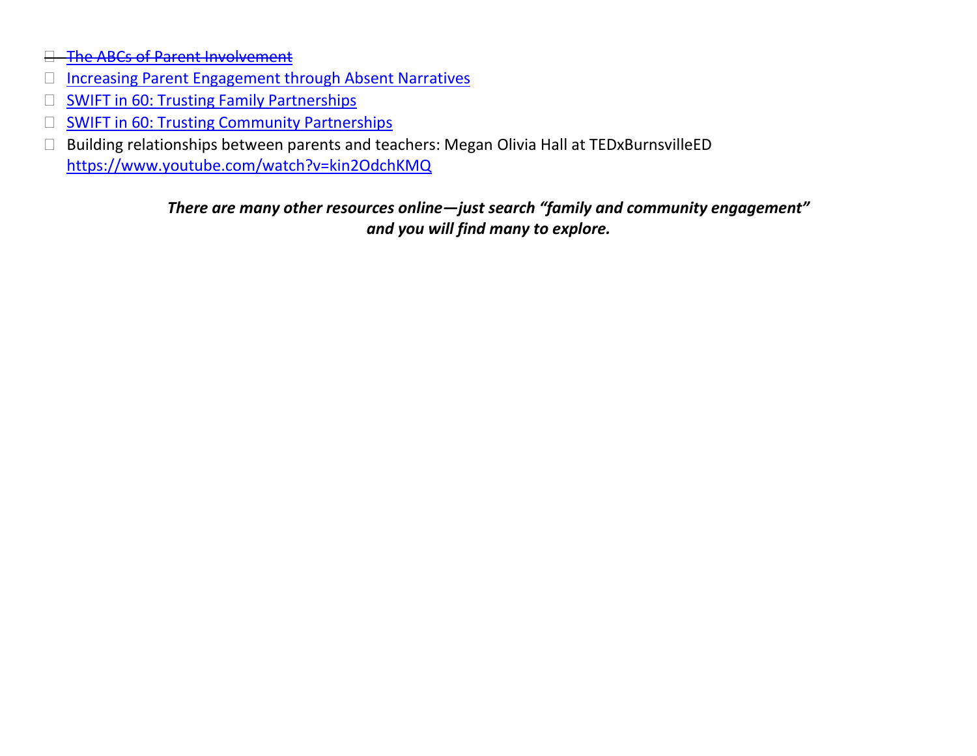- **[The ABCs of Parent Involvement](https://www.youtube.com/watch?v=NvQSGvtmuTI)**
- □ [Increasing Parent Engagement through Absent Narratives](https://www.youtube.com/watch?v=OV27REQzL3w)
- $\Box$  [SWIFT in 60: Trusting Family Partnerships](https://vimeo.com/103284196)
- **[SWIFT in 60: Trusting Community Partnerships](https://vimeo.com/103283558)**
- Building relationships between parents and teachers: Megan Olivia Hall at TEDxBurnsvilleED <https://www.youtube.com/watch?v=kin2OdchKMQ>

## *There are many other resources online—just search "family and community engagement" and you will find many to explore.*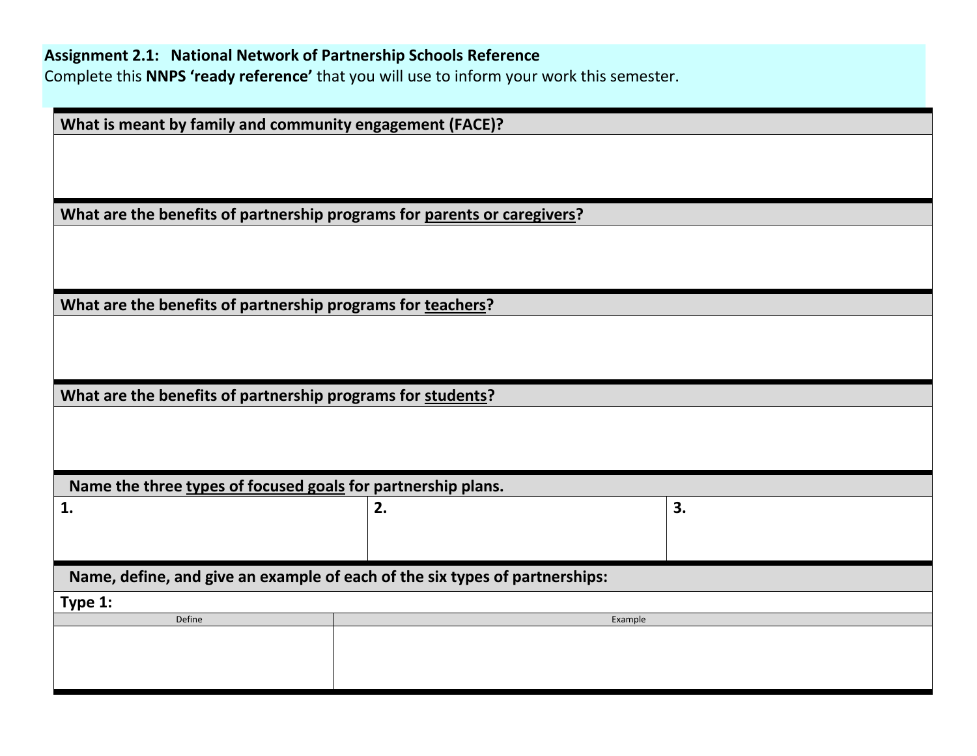| What is meant by family and community engagement (FACE)?                    |         |    |
|-----------------------------------------------------------------------------|---------|----|
|                                                                             |         |    |
|                                                                             |         |    |
| What are the benefits of partnership programs for parents or caregivers?    |         |    |
|                                                                             |         |    |
|                                                                             |         |    |
|                                                                             |         |    |
| What are the benefits of partnership programs for teachers?                 |         |    |
|                                                                             |         |    |
|                                                                             |         |    |
|                                                                             |         |    |
| What are the benefits of partnership programs for students?                 |         |    |
|                                                                             |         |    |
|                                                                             |         |    |
|                                                                             |         |    |
| Name the three types of focused goals for partnership plans.                |         |    |
| 1.                                                                          | 2.      | 3. |
|                                                                             |         |    |
|                                                                             |         |    |
| Name, define, and give an example of each of the six types of partnerships: |         |    |
| Type 1:                                                                     |         |    |
| Define                                                                      | Example |    |
|                                                                             |         |    |
|                                                                             |         |    |
|                                                                             |         |    |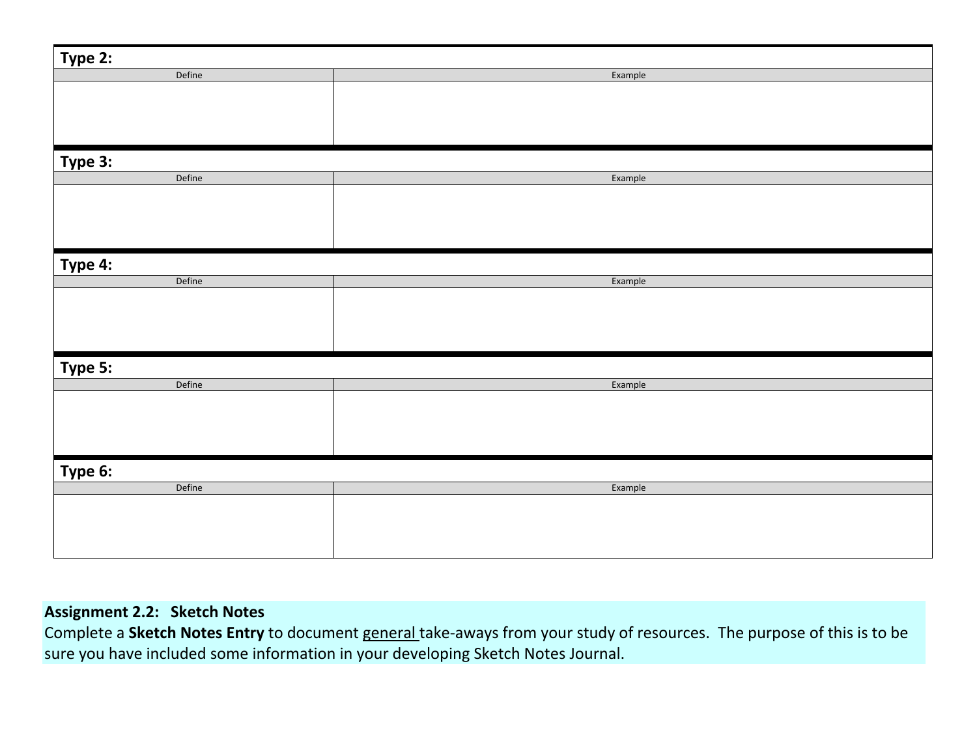| Type 2: |         |
|---------|---------|
| Define  | Example |
|         |         |
|         |         |
|         |         |
|         |         |
|         |         |
| Type 3: |         |
| Define  | Example |
|         |         |
|         |         |
|         |         |
|         |         |
|         |         |
| Type 4: |         |
| Define  | Example |
|         |         |
|         |         |
|         |         |
|         |         |
|         |         |
| Type 5: |         |
| Define  | Example |
|         |         |
|         |         |
|         |         |
|         |         |
|         |         |
| Type 6: |         |
| Define  | Example |
|         |         |
|         |         |
|         |         |
|         |         |

## **Assignment 2.2: Sketch Notes**

Complete a **Sketch Notes Entry** to document general take-aways from your study of resources. The purpose of this is to be sure you have included some information in your developing Sketch Notes Journal.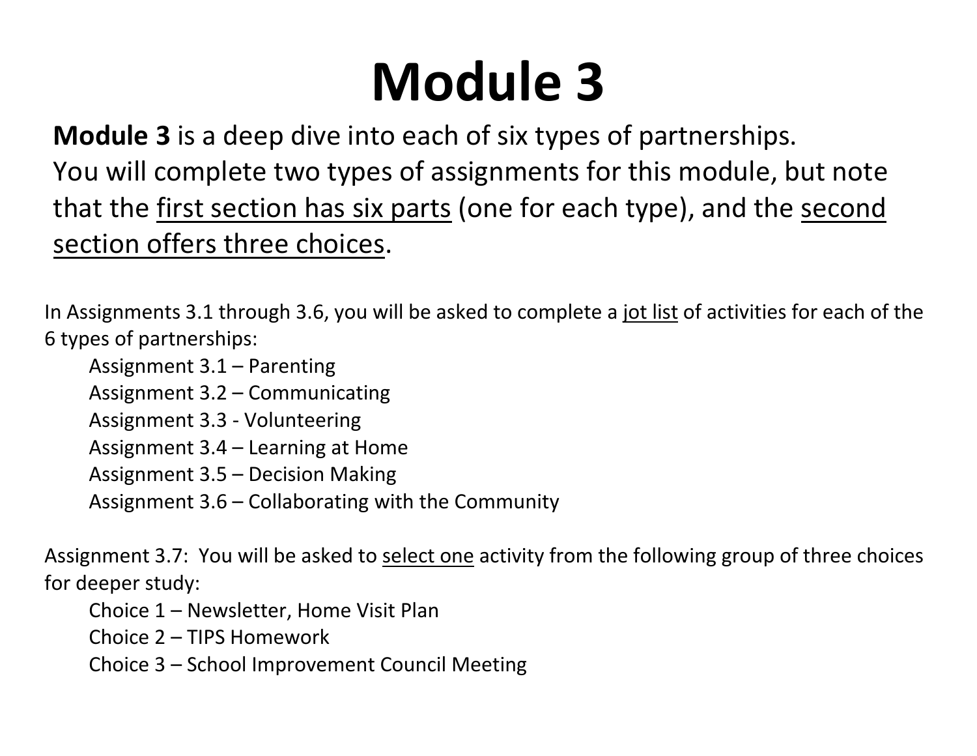## **Module 3**

**Module 3** is a deep dive into each of six types of partnerships. You will complete two types of assignments for this module, but note that the first section has six parts (one for each type), and the second section offers three choices.

In Assignments 3.1 through 3.6, you will be asked to complete a jot list of activities for each of the 6 types of partnerships:

Assignment 3.1 – Parenting

Assignment 3.2 – Communicating

Assignment 3.3 - Volunteering

Assignment 3.4 – Learning at Home

Assignment 3.5 – Decision Making

Assignment 3.6 – Collaborating with the Community

Assignment 3.7: You will be asked to select one activity from the following group of three choices for deeper study:

Choice 1 – Newsletter, Home Visit Plan

Choice 2 – TIPS Homework

Choice 3 – School Improvement Council Meeting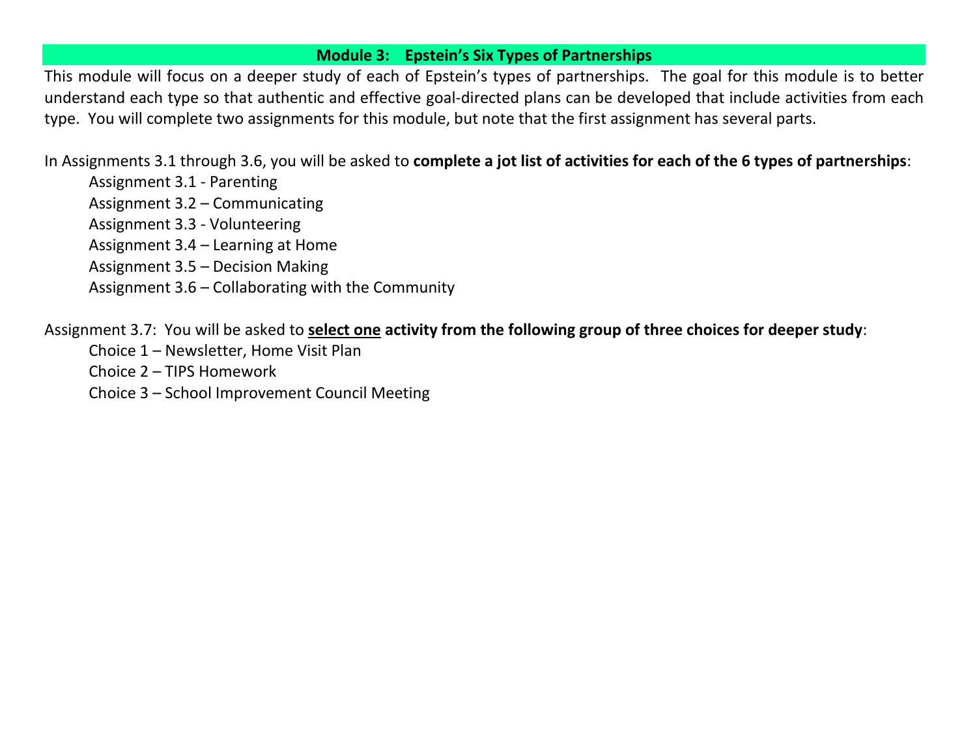### **Module 3: Epstein's Six Types of Partnerships**

This module will focus on a deeper study of each of Epstein's types of partnerships. The goal for this module is to better understand each type so that authentic and effective goal-directed plans can be developed that include activities from each type. You will complete two assignments for this module, but note that the first assignment has several parts.

In Assignments 3.1 through 3.6, you will be asked to **complete a jot list of activities for each of the 6 types of partnerships**:

Assignment 3.1 - Parenting

Assignment 3.2 – Communicating

Assignment 3.3 - Volunteering

Assignment 3.4 – Learning at Home

Assignment 3.5 – Decision Making

Assignment 3.6 – Collaborating with the Community

Assignment 3.7: You will be asked to **select one activity from the following group of three choices for deeper study**:

- Choice 1 Newsletter, Home Visit Plan
- Choice 2 TIPS Homework

Choice 3 – School Improvement Council Meeting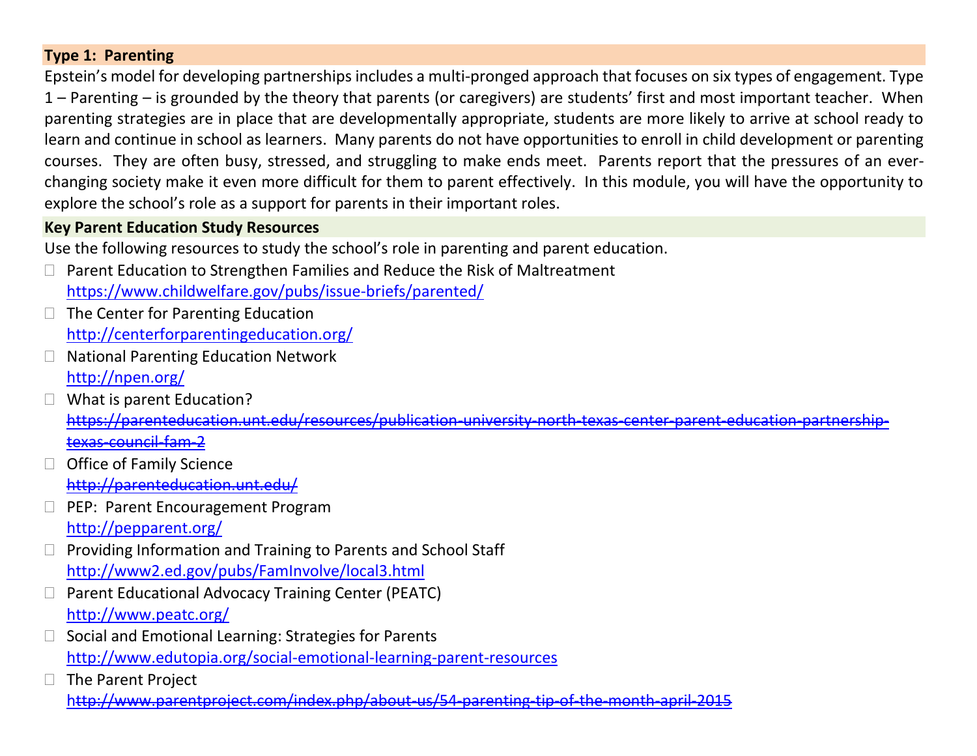## **Type 1: Parenting**

Epstein's model for developing partnerships includes a multi-pronged approach that focuses on six types of engagement. Type 1 – Parenting – is grounded by the theory that parents (or caregivers) are students' first and most important teacher. When parenting strategies are in place that are developmentally appropriate, students are more likely to arrive at school ready to learn and continue in school as learners. Many parents do not have opportunities to enroll in child development or parenting courses. They are often busy, stressed, and struggling to make ends meet. Parents report that the pressures of an everchanging society make it even more difficult for them to parent effectively. In this module, you will have the opportunity to explore the school's role as a support for parents in their important roles.

## **Key Parent Education Study Resources**

Use the following resources to study the school's role in parenting and parent education.

- $\Box$  Parent Education to Strengthen Families and Reduce the Risk of Maltreatment <https://www.childwelfare.gov/pubs/issue-briefs/parented/>
- $\Box$  The Center for Parenting Education <http://centerforparentingeducation.org/>
- □ National Parenting Education Network <http://npen.org/>
- $\Box$  What is parent Education? [https://parenteducation.unt.edu/resources/publication-university-north-texas-center-parent-education-partnership](https://parenteducation.unt.edu/resources/publication-university-north-texas-center-parent-education-partnership-texas-council-fam-2)[texas-council-fam-2](https://parenteducation.unt.edu/resources/publication-university-north-texas-center-parent-education-partnership-texas-council-fam-2)
- $\Box$  Office of Family Science <http://parenteducation.unt.edu/>
- **D** PEP: Parent Encouragement Program <http://pepparent.org/>
- $\Box$  Providing Information and Training to Parents and School Staff <http://www2.ed.gov/pubs/FamInvolve/local3.html>
- $\Box$  Parent Educational Advocacy Training Center (PEATC) <http://www.peatc.org/>
- Social and Emotional Learning: Strategies for Parents <http://www.edutopia.org/social-emotional-learning-parent-resources>
- $\Box$  The Parent Project <http://www.parentproject.com/index.php/about-us/54-parenting-tip-of-the-month-april-2015>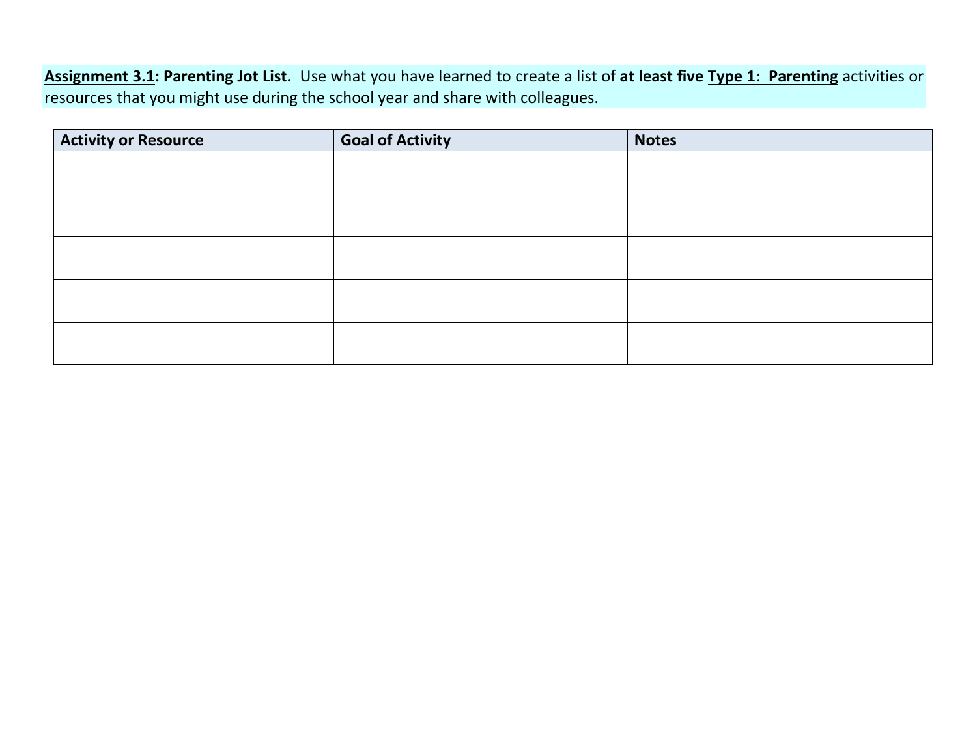**Assignment 3.1: Parenting Jot List.** Use what you have learned to create a list of **at least five Type 1: Parenting** activities or resources that you might use during the school year and share with colleagues.

| <b>Activity or Resource</b> | <b>Goal of Activity</b> | <b>Notes</b> |
|-----------------------------|-------------------------|--------------|
|                             |                         |              |
|                             |                         |              |
|                             |                         |              |
|                             |                         |              |
|                             |                         |              |
|                             |                         |              |
|                             |                         |              |
|                             |                         |              |
|                             |                         |              |
|                             |                         |              |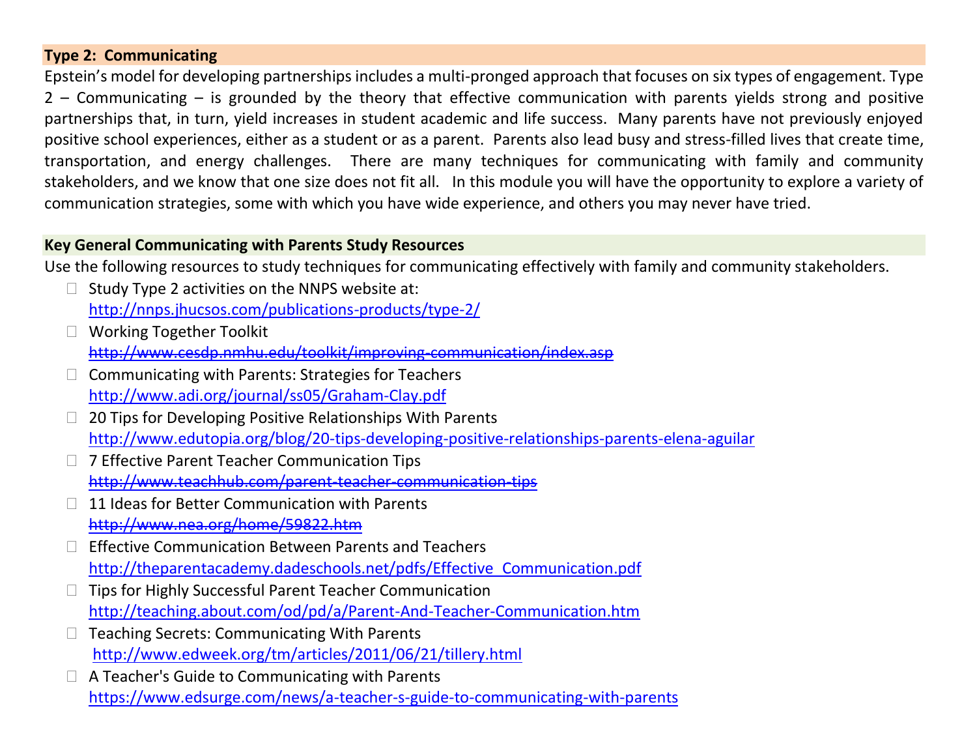## **Type 2: Communicating**

Epstein's model for developing partnerships includes a multi-pronged approach that focuses on six types of engagement. Type 2 – Communicating – is grounded by the theory that effective communication with parents yields strong and positive partnerships that, in turn, yield increases in student academic and life success. Many parents have not previously enjoyed positive school experiences, either as a student or as a parent. Parents also lead busy and stress-filled lives that create time, transportation, and energy challenges. There are many techniques for communicating with family and community stakeholders, and we know that one size does not fit all. In this module you will have the opportunity to explore a variety of communication strategies, some with which you have wide experience, and others you may never have tried.

## **Key General Communicating with Parents Study Resources**

Use the following resources to study techniques for communicating effectively with family and community stakeholders.

- $\Box$  Study Type 2 activities on the NNPS website at: <http://nnps.jhucsos.com/publications-products/type-2/>
- □ Working Together Toolkit <http://www.cesdp.nmhu.edu/toolkit/improving-communication/index.asp>
- $\Box$  Communicating with Parents: Strategies for Teachers <http://www.adi.org/journal/ss05/Graham-Clay.pdf>
- $\Box$  20 Tips for Developing Positive Relationships With Parents <http://www.edutopia.org/blog/20-tips-developing-positive-relationships-parents-elena-aguilar>
- □ 7 Effective Parent Teacher Communication Tips <http://www.teachhub.com/parent-teacher-communication-tips>
- $\Box$  11 Ideas for Better Communication with Parents <http://www.nea.org/home/59822.htm>
- $\Box$  Effective Communication Between Parents and Teachers [http://theparentacademy.dadeschools.net/pdfs/Effective\\_Communication.pdf](http://theparentacademy.dadeschools.net/pdfs/Effective_Communication.pdf)
- $\Box$  Tips for Highly Successful Parent Teacher Communication <http://teaching.about.com/od/pd/a/Parent-And-Teacher-Communication.htm>
- $\Box$  Teaching Secrets: Communicating With Parents <http://www.edweek.org/tm/articles/2011/06/21/tillery.html>
- □ A Teacher's Guide to Communicating with Parents <https://www.edsurge.com/news/a-teacher-s-guide-to-communicating-with-parents>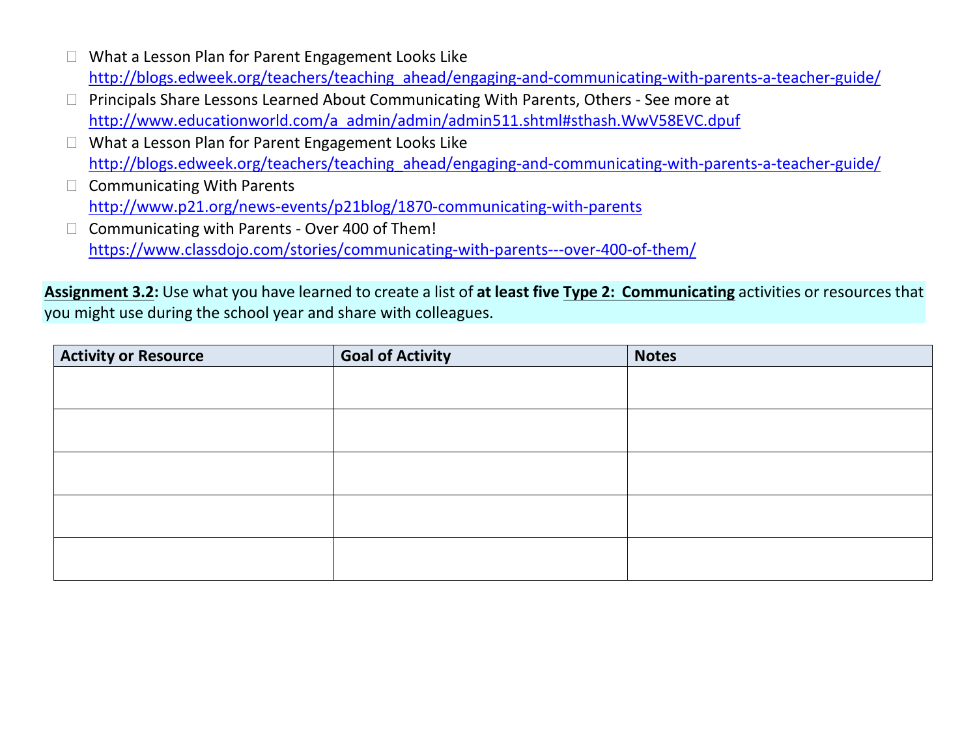- □ What a Lesson Plan for Parent Engagement Looks Like [http://blogs.edweek.org/teachers/teaching\\_ahead/engaging-and-communicating-with-parents-a-teacher-guide/](http://blogs.edweek.org/teachers/teaching_ahead/engaging-and-communicating-with-parents-a-teacher-guide/)
- Principals Share Lessons Learned About Communicating With Parents, Others See more at [http://www.educationworld.com/a\\_admin/admin/admin511.shtml#sthash.WwV58EVC.dpuf](http://www.educationworld.com/a_admin/admin/admin511.shtml#sthash.WwV58EVC.dpuf)
- □ What a Lesson Plan for Parent Engagement Looks Like [http://blogs.edweek.org/teachers/teaching\\_ahead/engaging-and-communicating-with-parents-a-teacher-guide/](http://blogs.edweek.org/teachers/teaching_ahead/engaging-and-communicating-with-parents-a-teacher-guide/)
- $\Box$  Communicating With Parents <http://www.p21.org/news-events/p21blog/1870-communicating-with-parents>
- $\Box$  Communicating with Parents Over 400 of Them! <https://www.classdojo.com/stories/communicating-with-parents---over-400-of-them/>

**Assignment 3.2:** Use what you have learned to create a list of **at least five Type 2: Communicating** activities or resources that you might use during the school year and share with colleagues.

| <b>Activity or Resource</b> | <b>Goal of Activity</b> | <b>Notes</b> |
|-----------------------------|-------------------------|--------------|
|                             |                         |              |
|                             |                         |              |
|                             |                         |              |
|                             |                         |              |
|                             |                         |              |
|                             |                         |              |
|                             |                         |              |
|                             |                         |              |
|                             |                         |              |
|                             |                         |              |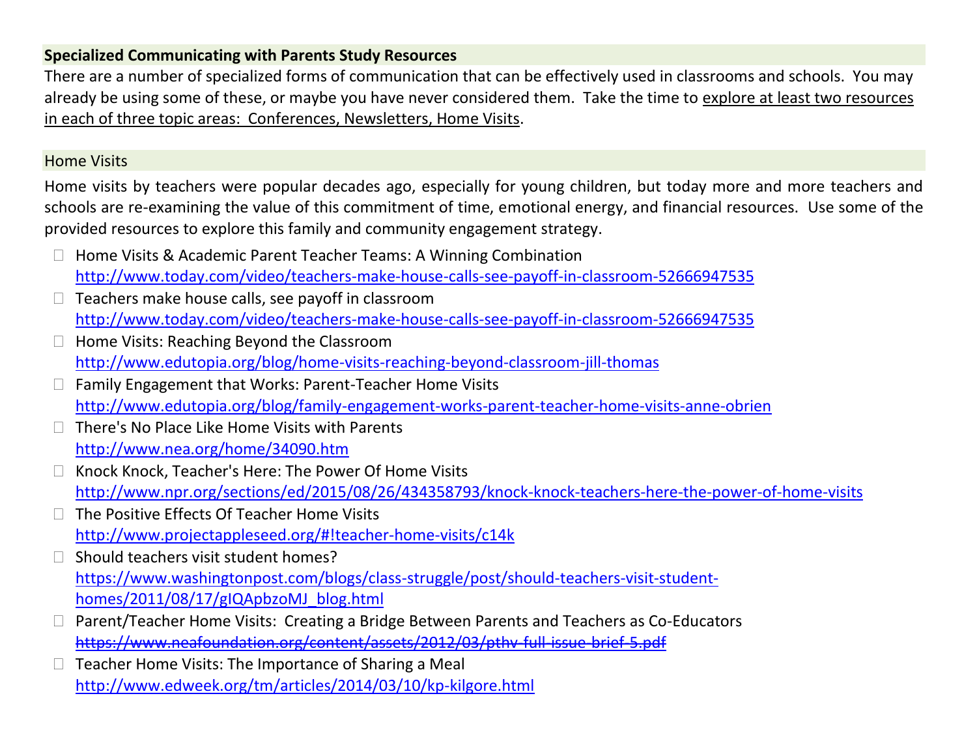## **Specialized Communicating with Parents Study Resources**

There are a number of specialized forms of communication that can be effectively used in classrooms and schools. You may already be using some of these, or maybe you have never considered them. Take the time to explore at least two resources in each of three topic areas: Conferences, Newsletters, Home Visits.

## Home Visits

Home visits by teachers were popular decades ago, especially for young children, but today more and more teachers and schools are re-examining the value of this commitment of time, emotional energy, and financial resources. Use some of the provided resources to explore this family and community engagement strategy.

- □ Home Visits & Academic Parent Teacher Teams: A Winning Combination <http://www.today.com/video/teachers-make-house-calls-see-payoff-in-classroom-52666947535>
- $\Box$  Teachers make house calls, see payoff in classroom <http://www.today.com/video/teachers-make-house-calls-see-payoff-in-classroom-52666947535>
- $\Box$  Home Visits: Reaching Beyond the Classroom <http://www.edutopia.org/blog/home-visits-reaching-beyond-classroom-jill-thomas>
- □ Family Engagement that Works: Parent-Teacher Home Visits <http://www.edutopia.org/blog/family-engagement-works-parent-teacher-home-visits-anne-obrien>
- There's No Place Like Home Visits with Parents <http://www.nea.org/home/34090.htm>
- □ Knock Knock, Teacher's Here: The Power Of Home Visits <http://www.npr.org/sections/ed/2015/08/26/434358793/knock-knock-teachers-here-the-power-of-home-visits>
- $\Box$  The Positive Effects Of Teacher Home Visits <http://www.projectappleseed.org/#!teacher-home-visits/c14k>
- $\Box$  Should teachers visit student homes? [https://www.washingtonpost.com/blogs/class-struggle/post/should-teachers-visit-student](https://www.washingtonpost.com/blogs/class-struggle/post/should-teachers-visit-student-homes/2011/08/17/gIQApbzoMJ_blog.html)[homes/2011/08/17/gIQApbzoMJ\\_blog.html](https://www.washingtonpost.com/blogs/class-struggle/post/should-teachers-visit-student-homes/2011/08/17/gIQApbzoMJ_blog.html)
- Parent/Teacher Home Visits: Creating a Bridge Between Parents and Teachers as Co-Educators https://www.neafoundation.org/content/assets/2012/03/nthy-full-issue-brief-5.pdf
- $\Box$  Teacher Home Visits: The Importance of Sharing a Meal <http://www.edweek.org/tm/articles/2014/03/10/kp-kilgore.html>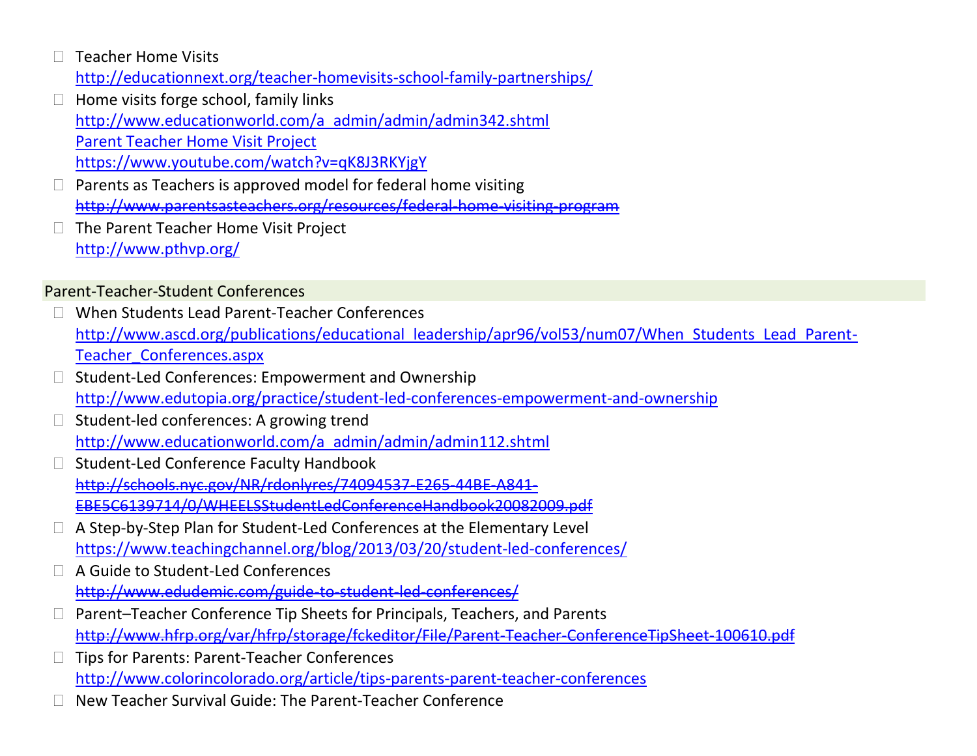- Teacher Home Visits <http://educationnext.org/teacher-homevisits-school-family-partnerships/>
- $\Box$  Home visits forge school, family links [http://www.educationworld.com/a\\_admin/admin/admin342.shtml](http://www.educationworld.com/a_admin/admin/admin342.shtml) [Parent Teacher Home Visit Project](file:///C:/Users/bmhill/AppData/Local/Microsoft/Windows/INetCache/Content.Outlook/W11RU565/Parent%20Teacher%20Home%20Visit%20Projecthttps:/www.youtube.com/watch%3fv=qK8J3RKYjgY) [https://www.youtube.com/watch?v=qK8J3RKYjgY](file:///C:/Users/bmhill/AppData/Local/Microsoft/Windows/INetCache/Content.Outlook/W11RU565/Parent%20Teacher%20Home%20Visit%20Projecthttps:/www.youtube.com/watch%3fv=qK8J3RKYjgY)
- Parents as Teachers is approved model for federal home visiting <http://www.parentsasteachers.org/resources/federal-home-visiting-program>
- The Parent Teacher Home Visit Project <http://www.pthvp.org/>

## Parent-Teacher-Student Conferences

- When Students Lead Parent-Teacher Conferences [http://www.ascd.org/publications/educational\\_leadership/apr96/vol53/num07/When\\_Students\\_Lead\\_Parent-](http://www.ascd.org/publications/educational_leadership/apr96/vol53/num07/When_Students_Lead_Parent-Teacher_Conferences.aspx)[Teacher\\_Conferences.aspx](http://www.ascd.org/publications/educational_leadership/apr96/vol53/num07/When_Students_Lead_Parent-Teacher_Conferences.aspx)
- Student-Led Conferences: Empowerment and Ownership <http://www.edutopia.org/practice/student-led-conferences-empowerment-and-ownership>
- Student-led conferences: A growing trend [http://www.educationworld.com/a\\_admin/admin/admin112.shtml](http://www.educationworld.com/a_admin/admin/admin112.shtml)
- $\Box$  Student-Led Conference Faculty Handbook [http://schools.nyc.gov/NR/rdonlyres/74094537-E265-44BE-A841-](http://schools.nyc.gov/NR/rdonlyres/74094537-E265-44BE-A841-EBE5C6139714/0/WHEELSStudentLedConferenceHandbook20082009.pdf) [EBE5C6139714/0/WHEELSStudentLedConferenceHandbook20082009.pdf](http://schools.nyc.gov/NR/rdonlyres/74094537-E265-44BE-A841-EBE5C6139714/0/WHEELSStudentLedConferenceHandbook20082009.pdf)
- A Step-by-Step Plan for Student-Led Conferences at the Elementary Level <https://www.teachingchannel.org/blog/2013/03/20/student-led-conferences/>
- A Guide to Student-Led Conferences <http://www.edudemic.com/guide-to-student-led-conferences/>
- □ Parent–Teacher Conference Tip Sheets for Principals, Teachers, and Parents <http://www.hfrp.org/var/hfrp/storage/fckeditor/File/Parent-Teacher-ConferenceTipSheet-100610.pdf>
- Tips for Parents: Parent-Teacher Conferences <http://www.colorincolorado.org/article/tips-parents-parent-teacher-conferences>
- New Teacher Survival Guide: The Parent-Teacher Conference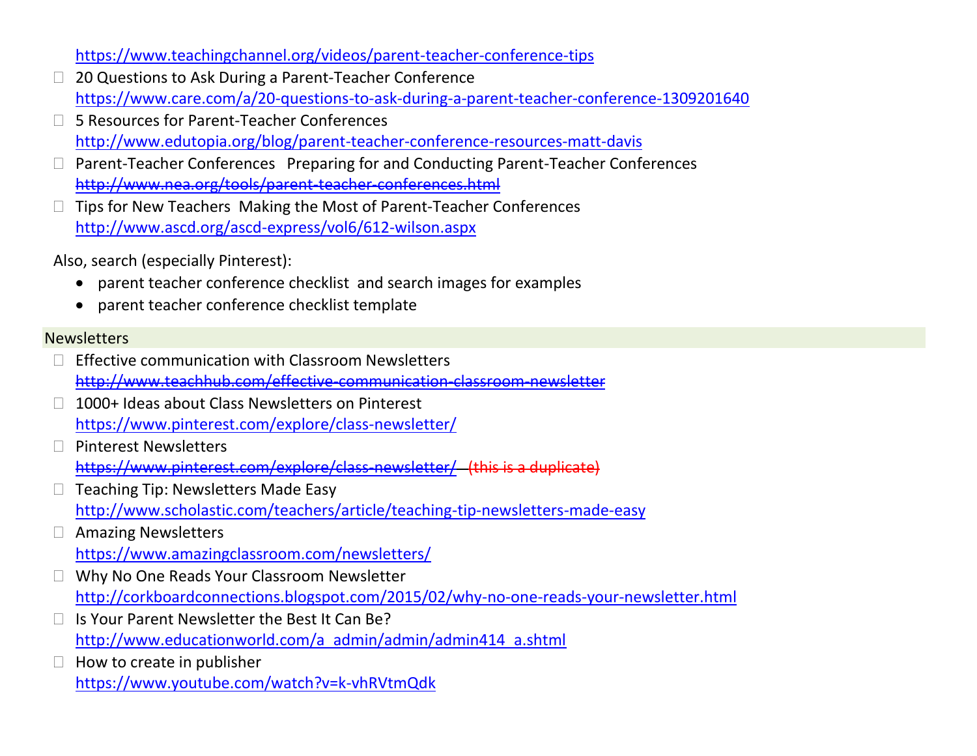<https://www.teachingchannel.org/videos/parent-teacher-conference-tips>

- □ 20 Questions to Ask During a Parent-Teacher Conference <https://www.care.com/a/20-questions-to-ask-during-a-parent-teacher-conference-1309201640>
- □ 5 Resources for Parent-Teacher Conferences <http://www.edutopia.org/blog/parent-teacher-conference-resources-matt-davis>
- Parent-Teacher Conferences Preparing for and Conducting Parent-Teacher Conferences <http://www.nea.org/tools/parent-teacher-conferences.html>
- $\Box$  Tips for New Teachers Making the Most of Parent-Teacher Conferences <http://www.ascd.org/ascd-express/vol6/612-wilson.aspx>

Also, search (especially Pinterest):

- parent teacher conference checklist and search images for examples
- parent teacher conference checklist template

### **Newsletters**

- $\Box$  Effective communication with Classroom Newsletters <http://www.teachhub.com/effective-communication-classroom-newsletter>
- □ 1000+ Ideas about Class Newsletters on Pinterest <https://www.pinterest.com/explore/class-newsletter/>
- □ Pinterest Newsletters <https://www.pinterest.com/explore/class-newsletter/> (this is a duplicate)
- $\Box$  Teaching Tip: Newsletters Made Easy <http://www.scholastic.com/teachers/article/teaching-tip-newsletters-made-easy>
- Amazing Newsletters <https://www.amazingclassroom.com/newsletters/>
- □ Why No One Reads Your Classroom Newsletter <http://corkboardconnections.blogspot.com/2015/02/why-no-one-reads-your-newsletter.html>
- Is Your Parent Newsletter the Best It Can Be? [http://www.educationworld.com/a\\_admin/admin/admin414\\_a.shtml](http://www.educationworld.com/a_admin/admin/admin414_a.shtml)
- $\Box$  How to create in publisher <https://www.youtube.com/watch?v=k-vhRVtmQdk>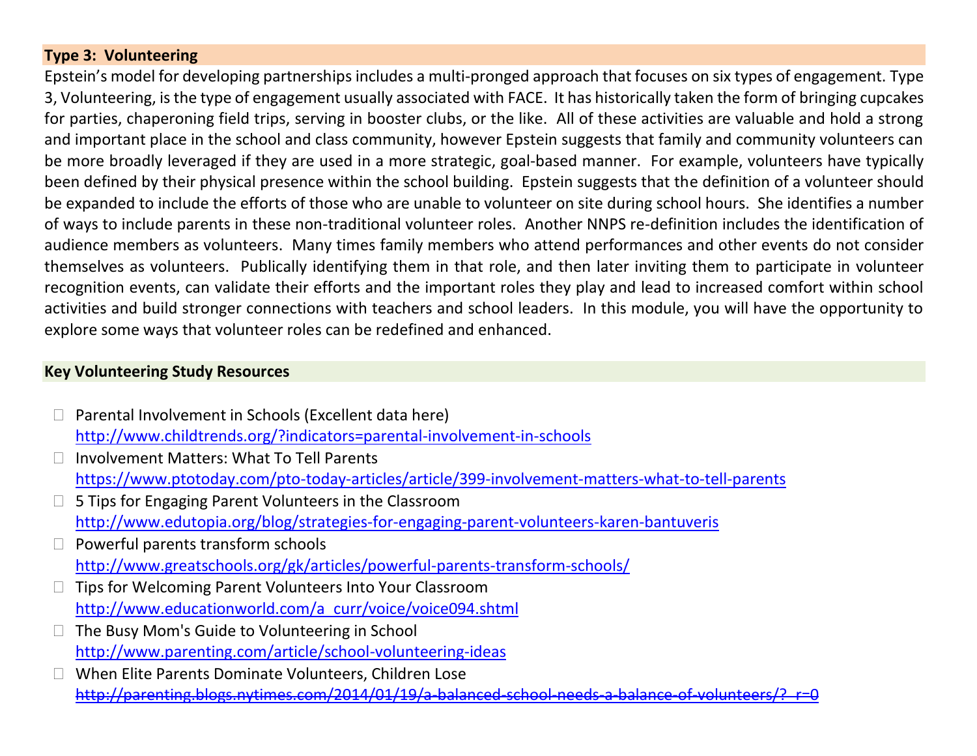## **Type 3: Volunteering**

Epstein's model for developing partnerships includes a multi-pronged approach that focuses on six types of engagement. Type 3, Volunteering, is the type of engagement usually associated with FACE. It has historically taken the form of bringing cupcakes for parties, chaperoning field trips, serving in booster clubs, or the like. All of these activities are valuable and hold a strong and important place in the school and class community, however Epstein suggests that family and community volunteers can be more broadly leveraged if they are used in a more strategic, goal-based manner. For example, volunteers have typically been defined by their physical presence within the school building. Epstein suggests that the definition of a volunteer should be expanded to include the efforts of those who are unable to volunteer on site during school hours. She identifies a number of ways to include parents in these non-traditional volunteer roles. Another NNPS re-definition includes the identification of audience members as volunteers. Many times family members who attend performances and other events do not consider themselves as volunteers. Publically identifying them in that role, and then later inviting them to participate in volunteer recognition events, can validate their efforts and the important roles they play and lead to increased comfort within school activities and build stronger connections with teachers and school leaders. In this module, you will have the opportunity to explore some ways that volunteer roles can be redefined and enhanced.

## **Key Volunteering Study Resources**

- $\Box$  Parental Involvement in Schools (Excellent data here) <http://www.childtrends.org/?indicators=parental-involvement-in-schools>
- □ Involvement Matters: What To Tell Parents <https://www.ptotoday.com/pto-today-articles/article/399-involvement-matters-what-to-tell-parents>
- □ 5 Tips for Engaging Parent Volunteers in the Classroom <http://www.edutopia.org/blog/strategies-for-engaging-parent-volunteers-karen-bantuveris>
- Powerful parents transform schools <http://www.greatschools.org/gk/articles/powerful-parents-transform-schools/>
- □ Tips for Welcoming Parent Volunteers Into Your Classroom [http://www.educationworld.com/a\\_curr/voice/voice094.shtml](http://www.educationworld.com/a_curr/voice/voice094.shtml)
- $\Box$  The Busy Mom's Guide to Volunteering in School <http://www.parenting.com/article/school-volunteering-ideas>
- □ When Elite Parents Dominate Volunteers, Children Lose http://parenting.blogs.nytimes.com/2014/01/19/a-balanced-school-needs-a-balance-of-volunteers/?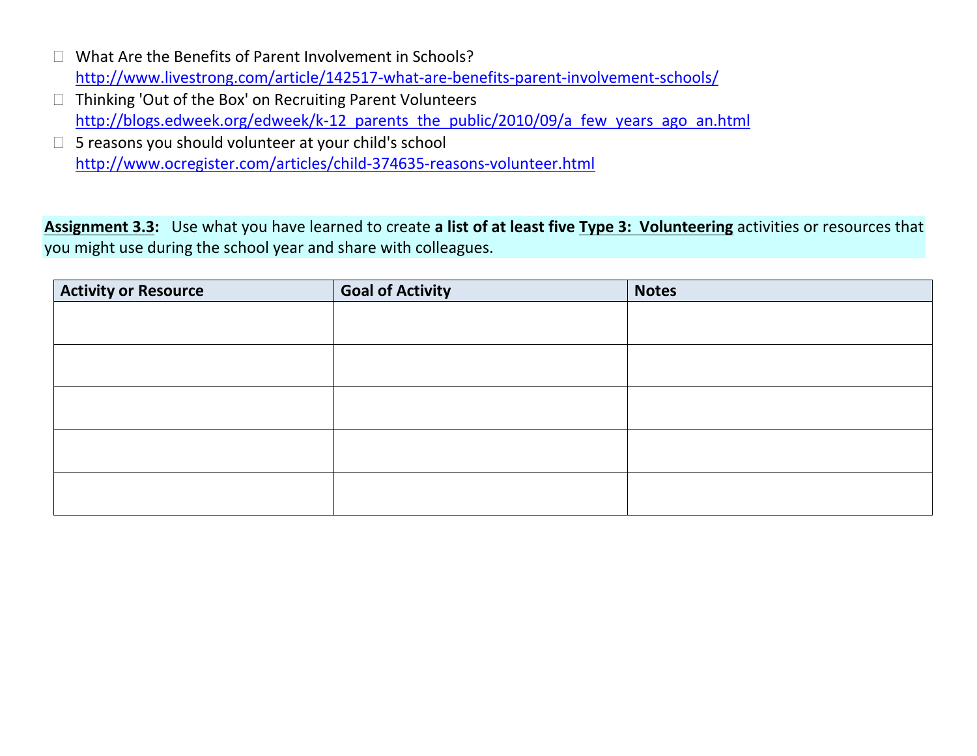- □ What Are the Benefits of Parent Involvement in Schools? <http://www.livestrong.com/article/142517-what-are-benefits-parent-involvement-schools/>
- $\Box$  Thinking 'Out of the Box' on Recruiting Parent Volunteers http://blogs.edweek.org/edweek/k-12 parents the public/2010/09/a few years ago an.html
- 5 reasons you should volunteer at your child's school <http://www.ocregister.com/articles/child-374635-reasons-volunteer.html>

**Assignment 3.3:** Use what you have learned to create **a list of at least five Type 3: Volunteering** activities or resources that you might use during the school year and share with colleagues.

| <b>Activity or Resource</b> | <b>Goal of Activity</b> | <b>Notes</b> |
|-----------------------------|-------------------------|--------------|
|                             |                         |              |
|                             |                         |              |
|                             |                         |              |
|                             |                         |              |
|                             |                         |              |
|                             |                         |              |
|                             |                         |              |
|                             |                         |              |
|                             |                         |              |
|                             |                         |              |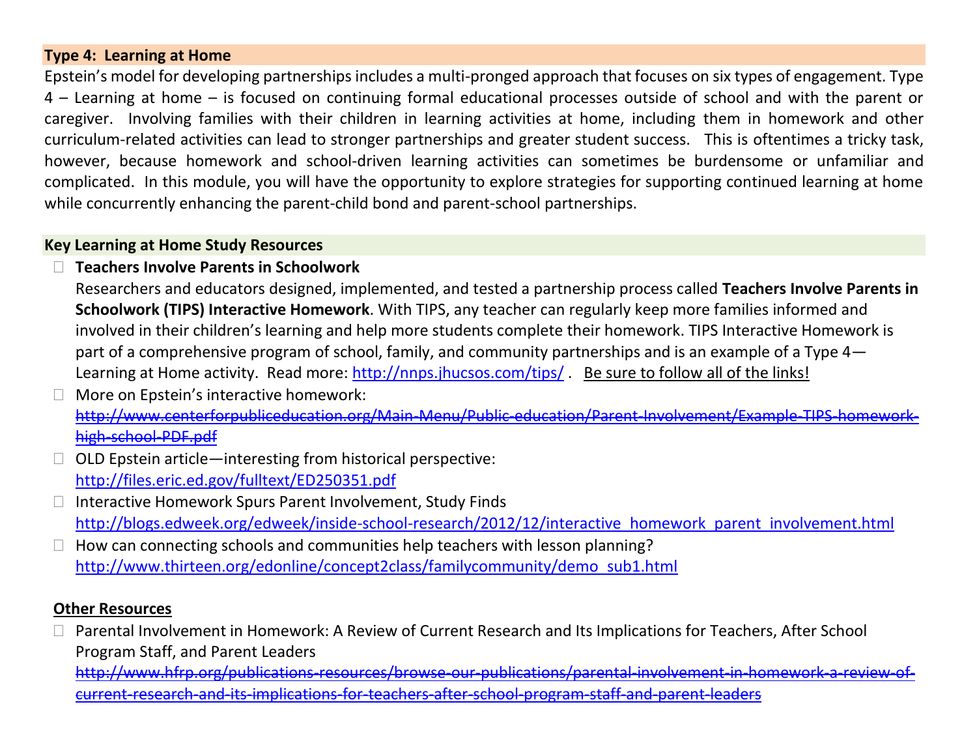### **Type 4: Learning at Home**

Epstein's model for developing partnerships includes a multi-pronged approach that focuses on six types of engagement. Type 4 – Learning at home – is focused on continuing formal educational processes outside of school and with the parent or caregiver. Involving families with their children in learning activities at home, including them in homework and other curriculum-related activities can lead to stronger partnerships and greater student success. This is oftentimes a tricky task, however, because homework and school-driven learning activities can sometimes be burdensome or unfamiliar and complicated. In this module, you will have the opportunity to explore strategies for supporting continued learning at home while concurrently enhancing the parent-child bond and parent-school partnerships.

## **Key Learning at Home Study Resources**

**Teachers Involve Parents in Schoolwork** 

Researchers and educators designed, implemented, and tested a partnership process called **Teachers Involve Parents in Schoolwork (TIPS) Interactive Homework**. With TIPS, any teacher can regularly keep more families informed and involved in their children's learning and help more students complete their homework. TIPS Interactive Homework is part of a comprehensive program of school, family, and community partnerships and is an example of a Type 4 Learning at Home activity. Read more: <http://nnps.jhucsos.com/tips/>. Be sure to follow all of the links!

- More on Epstein's interactive homework: [http://www.centerforpubliceducation.org/Main-Menu/Public-education/Parent-Involvement/Example-TIPS-homework](http://www.centerforpubliceducation.org/Main-Menu/Public-education/Parent-Involvement/Example-TIPS-homework-high-school-PDF.pdf)[high-school-PDF.pdf](http://www.centerforpubliceducation.org/Main-Menu/Public-education/Parent-Involvement/Example-TIPS-homework-high-school-PDF.pdf)
- $\Box$  OLD Epstein article—interesting from historical perspective: <http://files.eric.ed.gov/fulltext/ED250351.pdf>
- $\Box$  Interactive Homework Spurs Parent Involvement, Study Finds [http://blogs.edweek.org/edweek/inside-school-research/2012/12/interactive\\_homework\\_parent\\_involvement.html](http://blogs.edweek.org/edweek/inside-school-research/2012/12/interactive_homework_parent_involvement.html)
- How can connecting schools and communities help teachers with lesson planning? [http://www.thirteen.org/edonline/concept2class/familycommunity/demo\\_sub1.html](http://www.thirteen.org/edonline/concept2class/familycommunity/demo_sub1.html)

## **Other Resources**

□ Parental Involvement in Homework: A Review of Current Research and Its Implications for Teachers, After School Program Staff, and Parent Leaders

[http://www.hfrp.org/publications-resources/browse-our-publications/parental-involvement-in-homework-a-review-of](http://www.hfrp.org/publications-resources/browse-our-publications/parental-involvement-in-homework-a-review-of-current-research-and-its-implications-for-teachers-after-school-program-staff-and-parent-leaders)[current-research-and-its-implications-for-teachers-after-school-program-staff-and-parent-leaders](http://www.hfrp.org/publications-resources/browse-our-publications/parental-involvement-in-homework-a-review-of-current-research-and-its-implications-for-teachers-after-school-program-staff-and-parent-leaders)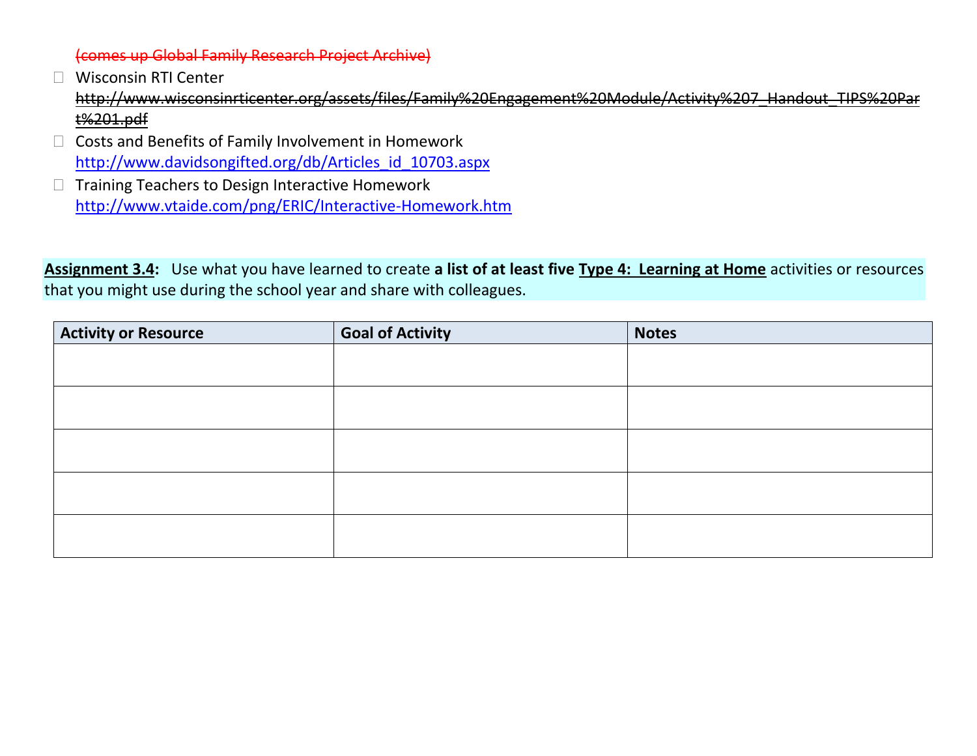(comes up Global Family Research Project Archive)

- □ Wisconsin RTI Center [http://www.wisconsinrticenter.org/assets/files/Family%20Engagement%20Module/Activity%207\\_Handout\\_TIPS%20Par](http://www.wisconsinrticenter.org/assets/files/Family%20Engagement%20Module/Activity%207_Handout_TIPS%20Part%201.pdf) [t%201.pdf](http://www.wisconsinrticenter.org/assets/files/Family%20Engagement%20Module/Activity%207_Handout_TIPS%20Part%201.pdf)
- $\Box$  Costs and Benefits of Family Involvement in Homework [http://www.davidsongifted.org/db/Articles\\_id\\_10703.aspx](http://www.davidsongifted.org/db/Articles_id_10703.aspx)
- $\Box$  Training Teachers to Design Interactive Homework <http://www.vtaide.com/png/ERIC/Interactive-Homework.htm>

**Assignment 3.4:** Use what you have learned to create **a list of at least five Type 4: Learning at Home** activities or resources that you might use during the school year and share with colleagues.

| <b>Activity or Resource</b> | <b>Goal of Activity</b> | <b>Notes</b> |
|-----------------------------|-------------------------|--------------|
|                             |                         |              |
|                             |                         |              |
|                             |                         |              |
|                             |                         |              |
|                             |                         |              |
|                             |                         |              |
|                             |                         |              |
|                             |                         |              |
|                             |                         |              |
|                             |                         |              |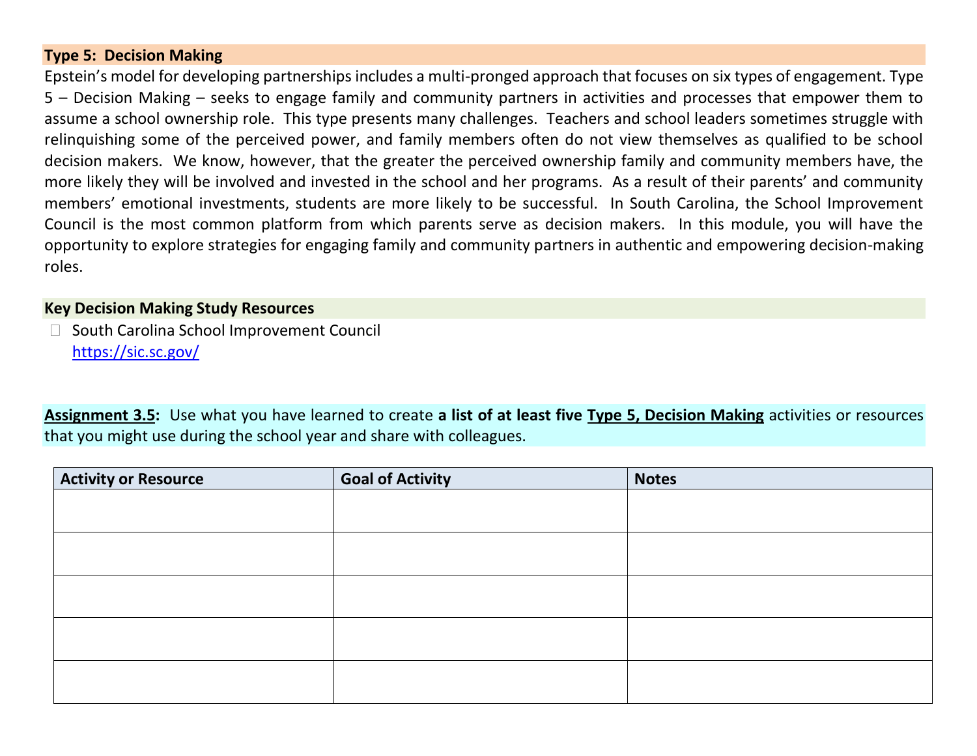## **Type 5: Decision Making**

Epstein's model for developing partnerships includes a multi-pronged approach that focuses on six types of engagement. Type 5 – Decision Making – seeks to engage family and community partners in activities and processes that empower them to assume a school ownership role. This type presents many challenges. Teachers and school leaders sometimes struggle with relinquishing some of the perceived power, and family members often do not view themselves as qualified to be school decision makers. We know, however, that the greater the perceived ownership family and community members have, the more likely they will be involved and invested in the school and her programs. As a result of their parents' and community members' emotional investments, students are more likely to be successful. In South Carolina, the School Improvement Council is the most common platform from which parents serve as decision makers. In this module, you will have the opportunity to explore strategies for engaging family and community partners in authentic and empowering decision-making roles.

#### **Key Decision Making Study Resources**

□ South Carolina School Improvement Council <https://sic.sc.gov/>

**Assignment 3.5:** Use what you have learned to create **a list of at least five Type 5, Decision Making** activities or resources that you might use during the school year and share with colleagues.

| <b>Activity or Resource</b> | <b>Goal of Activity</b> | <b>Notes</b> |
|-----------------------------|-------------------------|--------------|
|                             |                         |              |
|                             |                         |              |
|                             |                         |              |
|                             |                         |              |
|                             |                         |              |
|                             |                         |              |
|                             |                         |              |
|                             |                         |              |
|                             |                         |              |
|                             |                         |              |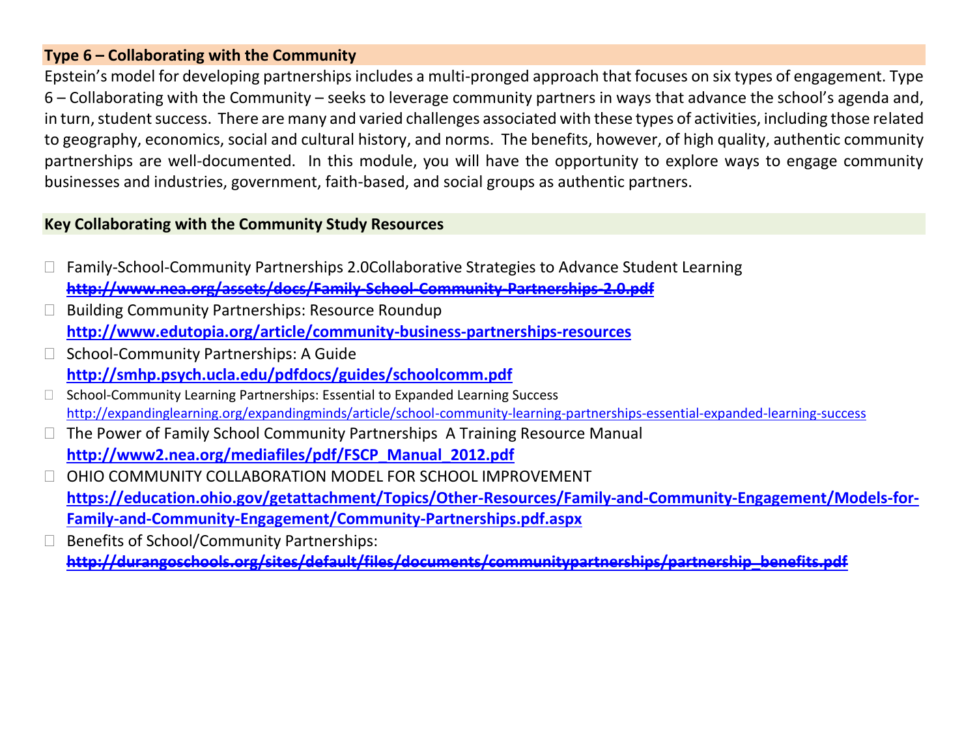## **Type 6 – Collaborating with the Community**

Epstein's model for developing partnerships includes a multi-pronged approach that focuses on six types of engagement. Type 6 – Collaborating with the Community – seeks to leverage community partners in ways that advance the school's agenda and, in turn, student success. There are many and varied challenges associated with these types of activities, including those related to geography, economics, social and cultural history, and norms. The benefits, however, of high quality, authentic community partnerships are well-documented. In this module, you will have the opportunity to explore ways to engage community businesses and industries, government, faith-based, and social groups as authentic partners.

## **Key Collaborating with the Community Study Resources**

- Family-School-Community Partnerships 2.0Collaborative Strategies to Advance Student Learning **<http://www.nea.org/assets/docs/Family-School-Community-Partnerships-2.0.pdf>**
- Building Community Partnerships: Resource Roundup **<http://www.edutopia.org/article/community-business-partnerships-resources>**
- School-Community Partnerships: A Guide **<http://smhp.psych.ucla.edu/pdfdocs/guides/schoolcomm.pdf>**
- $\Box$  School-Community Learning Partnerships: Essential to Expanded Learning Success <http://expandinglearning.org/expandingminds/article/school-community-learning-partnerships-essential-expanded-learning-success>
- $\Box$  The Power of Family School Community Partnerships A Training Resource Manual **[http://www2.nea.org/mediafiles/pdf/FSCP\\_Manual\\_2012.pdf](http://www2.nea.org/mediafiles/pdf/FSCP_Manual_2012.pdf)**
- OHIO COMMUNITY COLLABORATION MODEL FOR SCHOOL IMPROVEMENT **[https://education.ohio.gov/getattachment/Topics/Other-Resources/Family-and-Community-Engagement/Models-for-](https://education.ohio.gov/getattachment/Topics/Other-Resources/Family-and-Community-Engagement/Models-for-Family-and-Community-Engagement/Community-Partnerships.pdf.aspx)[Family-and-Community-Engagement/Community-Partnerships.pdf.aspx](https://education.ohio.gov/getattachment/Topics/Other-Resources/Family-and-Community-Engagement/Models-for-Family-and-Community-Engagement/Community-Partnerships.pdf.aspx)**
- □ Benefits of School/Community Partnerships: **[http://durangoschools.org/sites/default/files/documents/communitypartnerships/partnership\\_benefits.pdf](http://durangoschools.org/sites/default/files/documents/communitypartnerships/partnership_benefits.pdf)**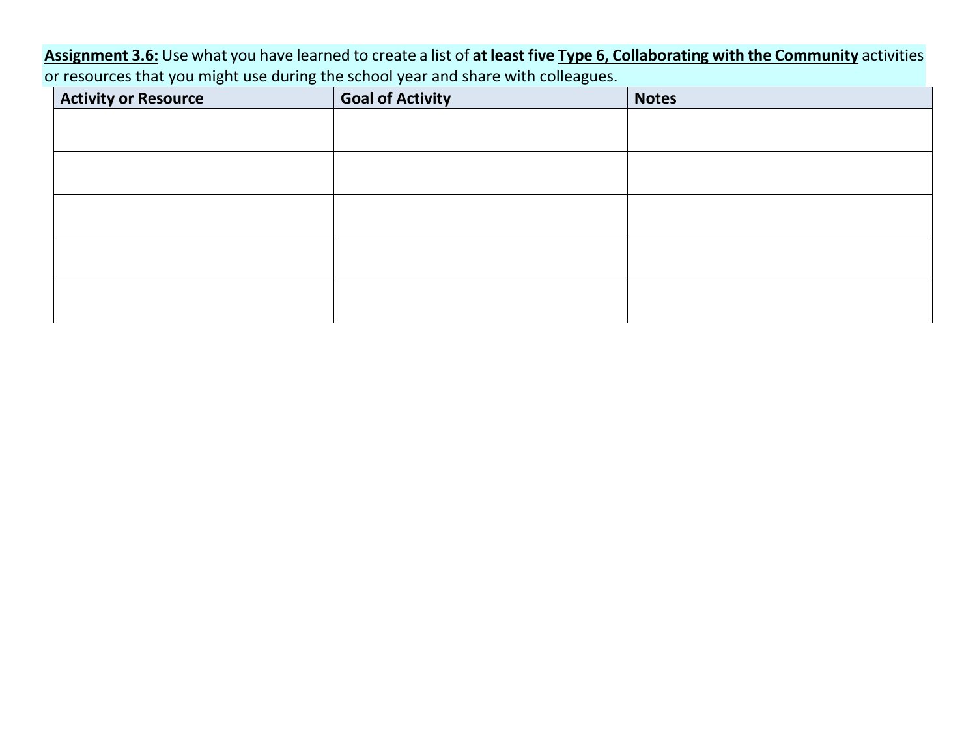**Assignment 3.6:** Use what you have learned to create a list of **at least five Type 6, Collaborating with the Community** activities or resources that you might use during the school year and share with colleagues.

| <b>Activity or Resource</b> | <b>Goal of Activity</b> | <b>Notes</b> |
|-----------------------------|-------------------------|--------------|
|                             |                         |              |
|                             |                         |              |
|                             |                         |              |
|                             |                         |              |
|                             |                         |              |
|                             |                         |              |
|                             |                         |              |
|                             |                         |              |
|                             |                         |              |
|                             |                         |              |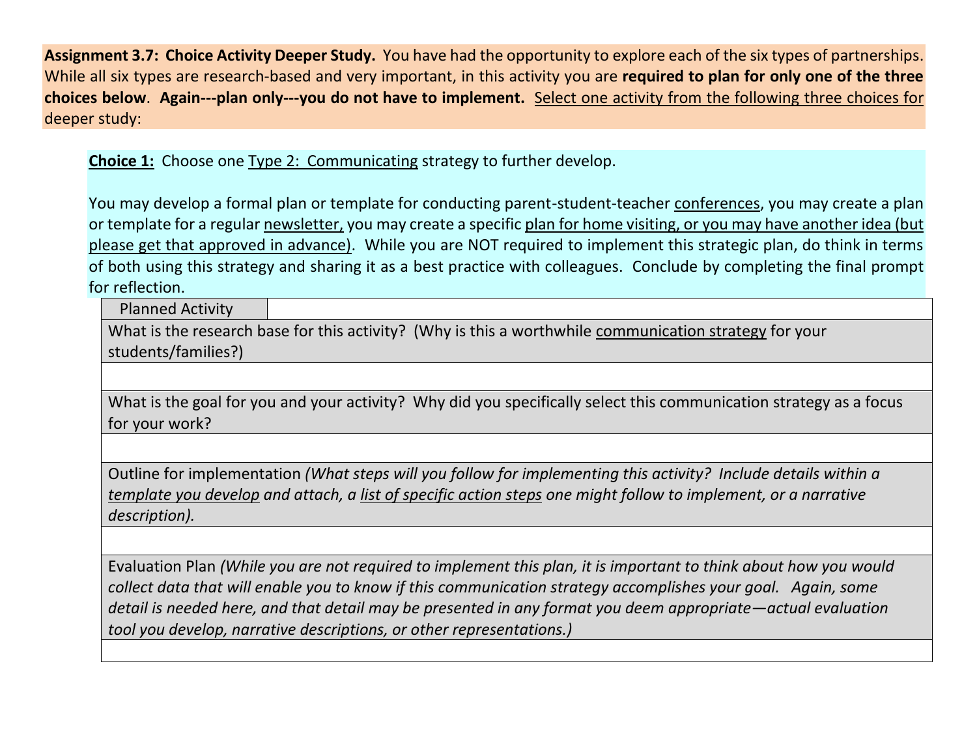**Assignment 3.7: Choice Activity Deeper Study.** You have had the opportunity to explore each of the six types of partnerships. While all six types are research-based and very important, in this activity you are **required to plan for only one of the three choices below**. **Again---plan only---you do not have to implement.** Select one activity from the following three choices for deeper study:

**Choice 1:** Choose one Type 2: Communicating strategy to further develop.

You may develop a formal plan or template for conducting parent-student-teacher conferences, you may create a plan or template for a regular newsletter, you may create a specific plan for home visiting, or you may have another idea (but please get that approved in advance). While you are NOT required to implement this strategic plan, do think in terms of both using this strategy and sharing it as a best practice with colleagues. Conclude by completing the final prompt for reflection.

Planned Activity

What is the research base for this activity? (Why is this a worthwhile communication strategy for your students/families?)

What is the goal for you and your activity? Why did you specifically select this communication strategy as a focus for your work?

Outline for implementation *(What steps will you follow for implementing this activity? Include details within a template you develop and attach, a list of specific action steps one might follow to implement, or a narrative description).*

Evaluation Plan *(While you are not required to implement this plan, it is important to think about how you would collect data that will enable you to know if this communication strategy accomplishes your goal. Again, some detail is needed here, and that detail may be presented in any format you deem appropriate—actual evaluation tool you develop, narrative descriptions, or other representations.)*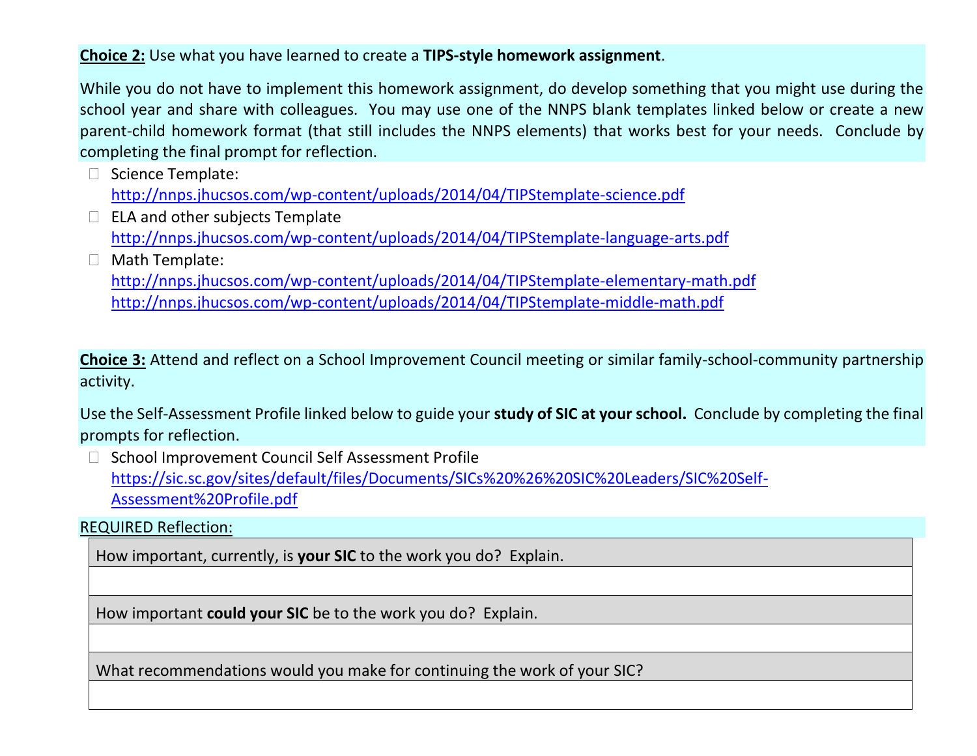**Choice 2:** Use what you have learned to create a **TIPS-style homework assignment**.

While you do not have to implement this homework assignment, do develop something that you might use during the school year and share with colleagues. You may use one of the NNPS blank templates linked below or create a new parent-child homework format (that still includes the NNPS elements) that works best for your needs. Conclude by completing the final prompt for reflection.

 $\Box$  Science Template:

<http://nnps.jhucsos.com/wp-content/uploads/2014/04/TIPStemplate-science.pdf>

- $\Box$  ELA and other subjects Template <http://nnps.jhucsos.com/wp-content/uploads/2014/04/TIPStemplate-language-arts.pdf>
- Math Template: <http://nnps.jhucsos.com/wp-content/uploads/2014/04/TIPStemplate-elementary-math.pdf> <http://nnps.jhucsos.com/wp-content/uploads/2014/04/TIPStemplate-middle-math.pdf>

**Choice 3:** Attend and reflect on a School Improvement Council meeting or similar family-school-community partnership activity.

Use the Self-Assessment Profile linked below to guide your **study of SIC at your school.** Conclude by completing the final prompts for reflection.

□ School Improvement Council Self Assessment Profile [https://sic.sc.gov/sites/default/files/Documents/SICs%20%26%20SIC%20Leaders/SIC%20Self-](https://sic.sc.gov/sites/default/files/Documents/SICs%20%26%20SIC%20Leaders/SIC%20Self-Assessment%20Profile.pdf)[Assessment%20Profile.pdf](https://sic.sc.gov/sites/default/files/Documents/SICs%20%26%20SIC%20Leaders/SIC%20Self-Assessment%20Profile.pdf)

REQUIRED Reflection:

How important, currently, is **your SIC** to the work you do? Explain.

How important **could your SIC** be to the work you do? Explain.

What recommendations would you make for continuing the work of your SIC?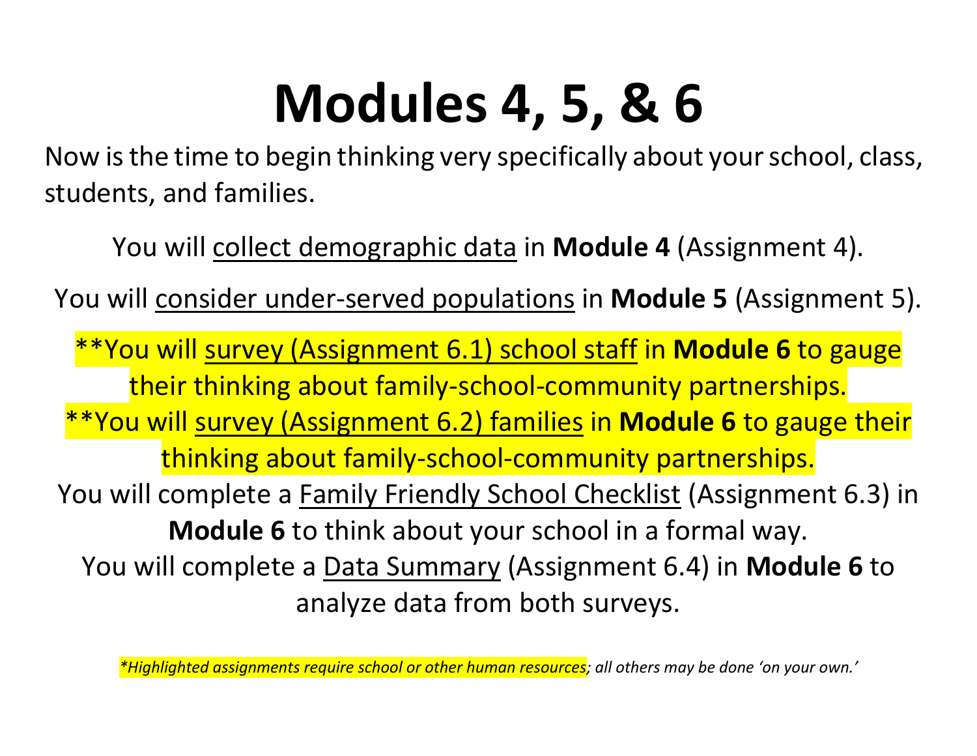# **Modules 4, 5, & 6**

Now is the time to begin thinking very specifically about your school, class, students, and families.

You will collect demographic data in **Module 4** (Assignment 4).

You will consider under-served populations in **Module 5** (Assignment 5).

\*\*You will survey (Assignment 6.1) school staff in **Module 6** to gauge their thinking about family-school-community partnerships. \*\*You will survey (Assignment 6.2) families in **Module 6** to gauge their thinking about family-school-community partnerships. You will complete a **Family Friendly School Checklist** (Assignment 6.3) in **Module 6** to think about your school in a formal way. You will complete a Data Summary (Assignment 6.4) in **Module 6** to analyze data from both surveys.

*\*Highlighted assignments require school or other human resources; all others may be done 'on your own.'*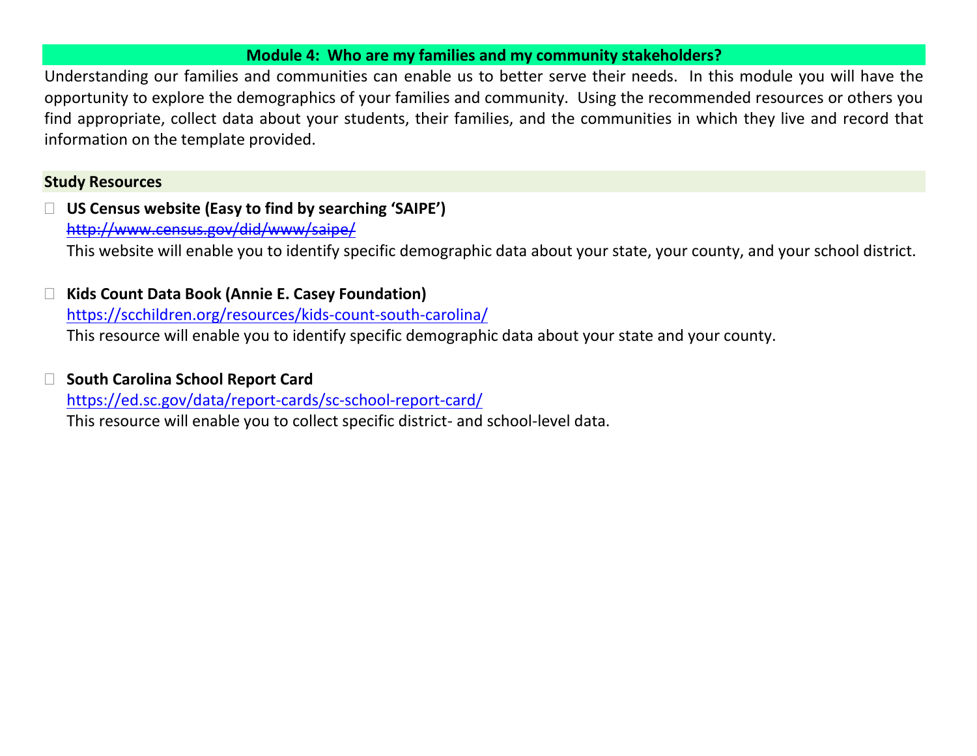#### **Module 4: Who are my families and my community stakeholders?**

Understanding our families and communities can enable us to better serve their needs. In this module you will have the opportunity to explore the demographics of your families and community. Using the recommended resources or others you find appropriate, collect data about your students, their families, and the communities in which they live and record that information on the template provided.

## **Study Resources**

 **US Census website (Easy to find by searching 'SAIPE')** <http://www.census.gov/did/www/saipe/> This website will enable you to identify specific demographic data about your state, your county, and your school district.

 **Kids Count Data Book (Annie E. Casey Foundation)** <https://scchildren.org/resources/kids-count-south-carolina/> This resource will enable you to identify specific demographic data about your state and your county.

## **South Carolina School Report Card**

<https://ed.sc.gov/data/report-cards/sc-school-report-card/>

This resource will enable you to collect specific district- and school-level data.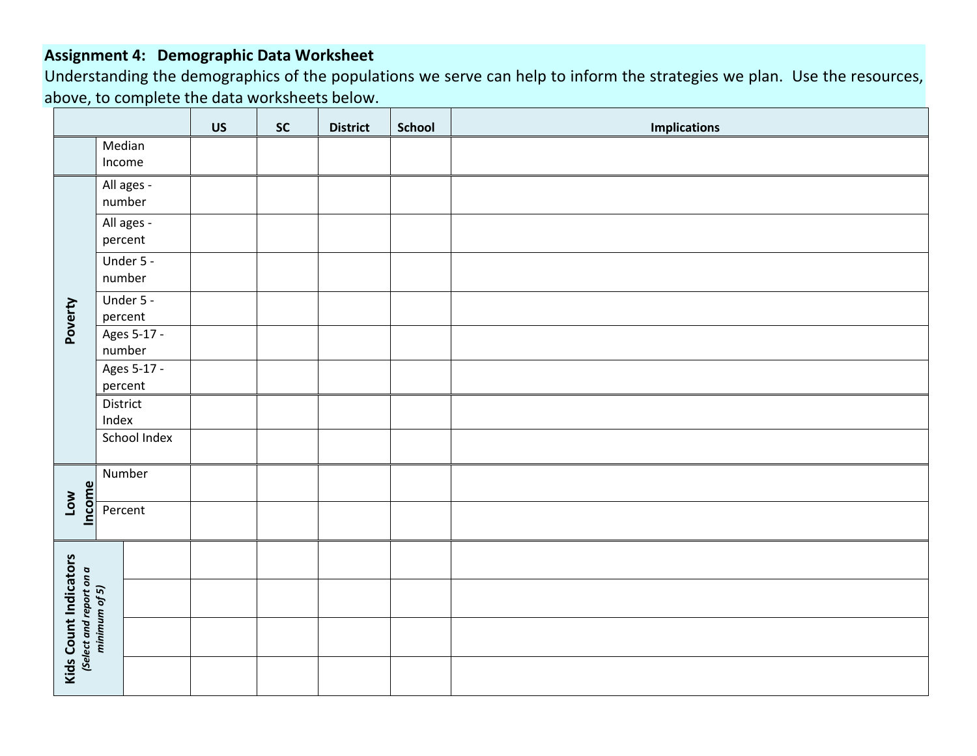## **Assignment 4: Demographic Data Worksheet**

Understanding the demographics of the populations we serve can help to inform the strategies we plan. Use the resources, above, to complete the data worksheets below.

|                                                                          |                        | <b>US</b> | <b>SC</b> | <b>District</b> | <b>School</b> | <b>Implications</b> |
|--------------------------------------------------------------------------|------------------------|-----------|-----------|-----------------|---------------|---------------------|
|                                                                          | Median<br>Income       |           |           |                 |               |                     |
|                                                                          | All ages -<br>number   |           |           |                 |               |                     |
|                                                                          | All ages -<br>percent  |           |           |                 |               |                     |
|                                                                          | Under 5 -<br>number    |           |           |                 |               |                     |
| Poverty                                                                  | Under 5 -<br>percent   |           |           |                 |               |                     |
|                                                                          | Ages 5-17 -<br>number  |           |           |                 |               |                     |
|                                                                          | Ages 5-17 -<br>percent |           |           |                 |               |                     |
|                                                                          | District<br>Index      |           |           |                 |               |                     |
|                                                                          | School Index           |           |           |                 |               |                     |
| Income<br>Low                                                            | Number                 |           |           |                 |               |                     |
|                                                                          | Percent                |           |           |                 |               |                     |
|                                                                          |                        |           |           |                 |               |                     |
|                                                                          |                        |           |           |                 |               |                     |
| <b>Kids Count Indicators</b><br>(Select and report on a<br>minimum of 5) |                        |           |           |                 |               |                     |
|                                                                          |                        |           |           |                 |               |                     |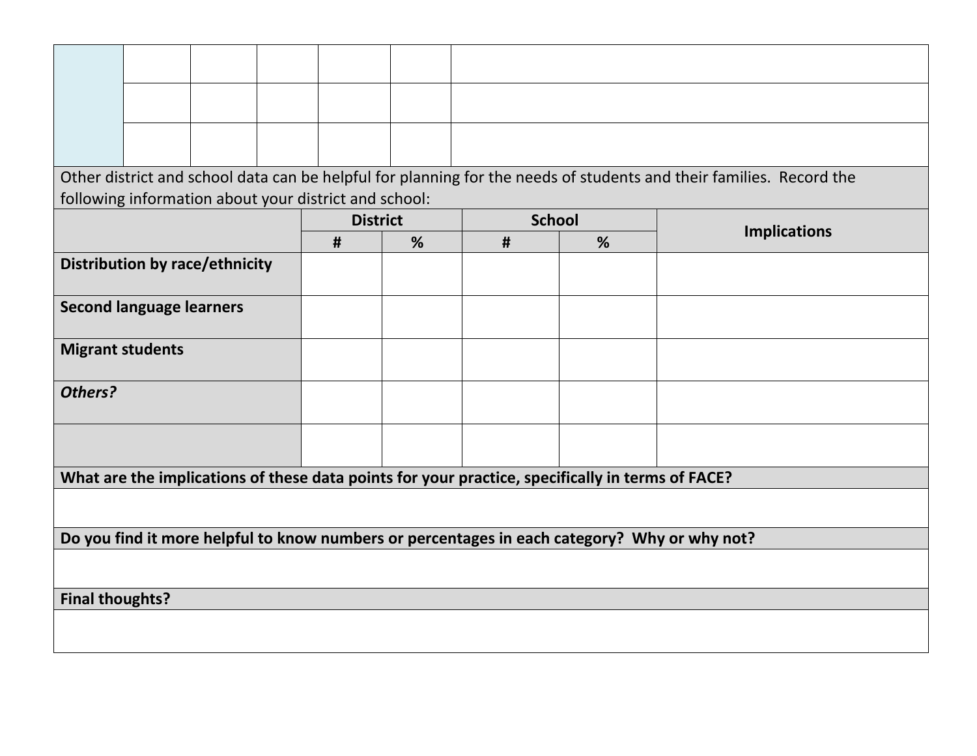|                         |                                                                                              |  |  |                                                       |   |                                                                                                  |   | Other district and school data can be helpful for planning for the needs of students and their families. Record the |
|-------------------------|----------------------------------------------------------------------------------------------|--|--|-------------------------------------------------------|---|--------------------------------------------------------------------------------------------------|---|---------------------------------------------------------------------------------------------------------------------|
|                         |                                                                                              |  |  | following information about your district and school: |   |                                                                                                  |   |                                                                                                                     |
|                         |                                                                                              |  |  | <b>District</b>                                       |   | <b>School</b>                                                                                    |   |                                                                                                                     |
|                         |                                                                                              |  |  | #                                                     | % | #                                                                                                | % | <b>Implications</b>                                                                                                 |
|                         | <b>Distribution by race/ethnicity</b>                                                        |  |  |                                                       |   |                                                                                                  |   |                                                                                                                     |
|                         | <b>Second language learners</b>                                                              |  |  |                                                       |   |                                                                                                  |   |                                                                                                                     |
| <b>Migrant students</b> |                                                                                              |  |  |                                                       |   |                                                                                                  |   |                                                                                                                     |
| Others?                 |                                                                                              |  |  |                                                       |   |                                                                                                  |   |                                                                                                                     |
|                         |                                                                                              |  |  |                                                       |   |                                                                                                  |   |                                                                                                                     |
|                         |                                                                                              |  |  |                                                       |   | What are the implications of these data points for your practice, specifically in terms of FACE? |   |                                                                                                                     |
|                         |                                                                                              |  |  |                                                       |   |                                                                                                  |   |                                                                                                                     |
|                         | Do you find it more helpful to know numbers or percentages in each category? Why or why not? |  |  |                                                       |   |                                                                                                  |   |                                                                                                                     |
|                         |                                                                                              |  |  |                                                       |   |                                                                                                  |   |                                                                                                                     |
| <b>Final thoughts?</b>  |                                                                                              |  |  |                                                       |   |                                                                                                  |   |                                                                                                                     |
|                         |                                                                                              |  |  |                                                       |   |                                                                                                  |   |                                                                                                                     |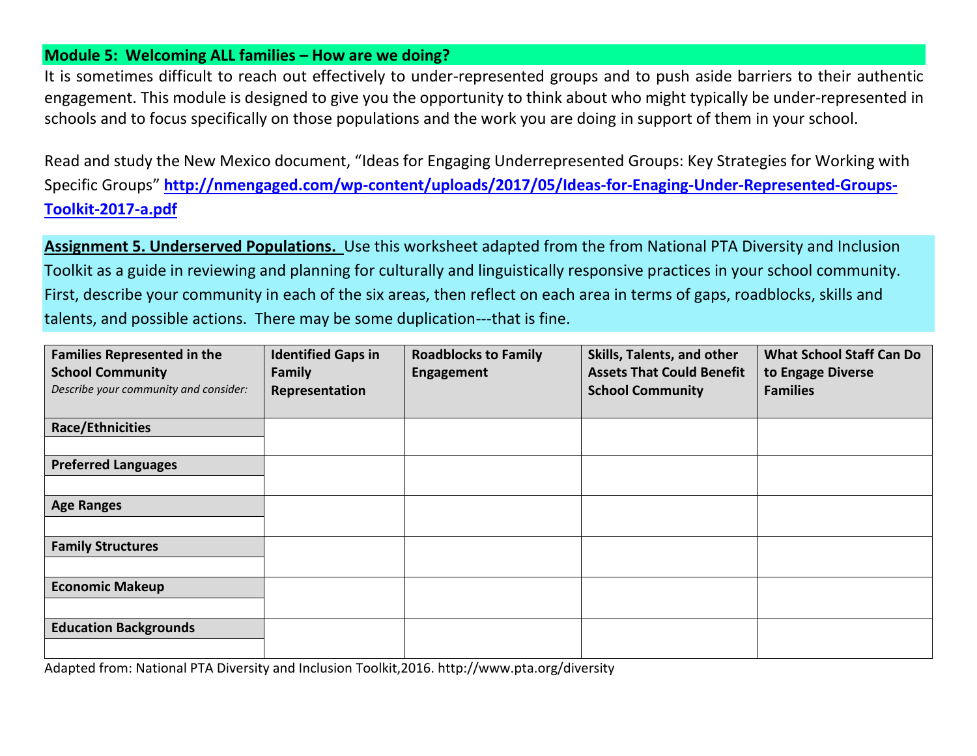#### **Module 5: Welcoming ALL families – How are we doing?**

It is sometimes difficult to reach out effectively to under-represented groups and to push aside barriers to their authentic engagement. This module is designed to give you the opportunity to think about who might typically be under-represented in schools and to focus specifically on those populations and the work you are doing in support of them in your school.

Read and study the New Mexico document, "Ideas for Engaging Underrepresented Groups: Key Strategies for Working with Specific Groups" **[http://nmengaged.com/wp-content/uploads/2017/05/Ideas-for-Enaging-Under-Represented-Groups-](http://nmengaged.com/wp-content/uploads/2017/05/Ideas-for-Enaging-Under-Represented-Groups-Toolkit-2017-a.pdf)[Toolkit-2017-a.pdf](http://nmengaged.com/wp-content/uploads/2017/05/Ideas-for-Enaging-Under-Represented-Groups-Toolkit-2017-a.pdf)**

**Assignment 5. Underserved Populations.** Use this worksheet adapted from the from National PTA Diversity and Inclusion Toolkit as a guide in reviewing and planning for culturally and linguistically responsive practices in your school community. First, describe your community in each of the six areas, then reflect on each area in terms of gaps, roadblocks, skills and talents, and possible actions. There may be some duplication---that is fine.

| <b>Families Represented in the</b>    | <b>Identified Gaps in</b> | <b>Roadblocks to Family</b> | Skills, Talents, and other       | <b>What School Staff Can Do</b> |
|---------------------------------------|---------------------------|-----------------------------|----------------------------------|---------------------------------|
| <b>School Community</b>               | <b>Family</b>             | Engagement                  | <b>Assets That Could Benefit</b> | to Engage Diverse               |
| Describe your community and consider: | Representation            |                             | <b>School Community</b>          | <b>Families</b>                 |
|                                       |                           |                             |                                  |                                 |
| <b>Race/Ethnicities</b>               |                           |                             |                                  |                                 |
|                                       |                           |                             |                                  |                                 |
| <b>Preferred Languages</b>            |                           |                             |                                  |                                 |
|                                       |                           |                             |                                  |                                 |
| <b>Age Ranges</b>                     |                           |                             |                                  |                                 |
|                                       |                           |                             |                                  |                                 |
| <b>Family Structures</b>              |                           |                             |                                  |                                 |
|                                       |                           |                             |                                  |                                 |
| <b>Economic Makeup</b>                |                           |                             |                                  |                                 |
|                                       |                           |                             |                                  |                                 |
| <b>Education Backgrounds</b>          |                           |                             |                                  |                                 |
|                                       |                           |                             |                                  |                                 |

Adapted from: National PTA Diversity and Inclusion Toolkit,2016. http://www.pta.org/diversity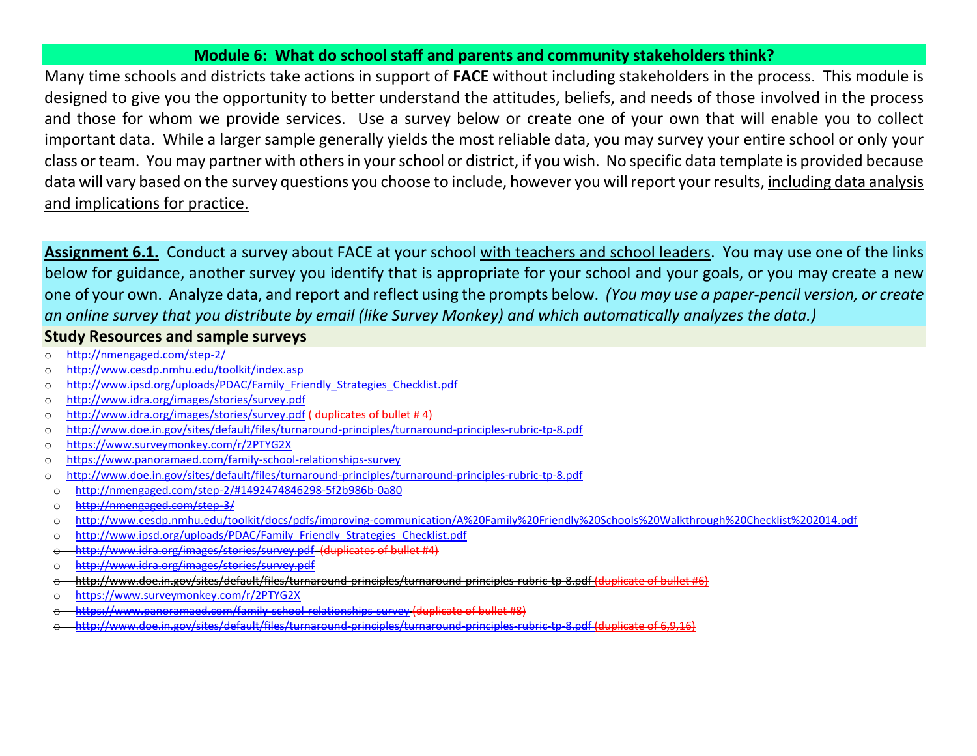#### **Module 6: What do school staff and parents and community stakeholders think?**

Many time schools and districts take actions in support of **FACE** without including stakeholders in the process. This module is designed to give you the opportunity to better understand the attitudes, beliefs, and needs of those involved in the process and those for whom we provide services. Use a survey below or create one of your own that will enable you to collect important data. While a larger sample generally yields the most reliable data, you may survey your entire school or only your class or team. You may partner with others in your school or district, if you wish. No specific data template is provided because data will vary based on the survey questions you choose to include, however you will report your results, including data analysis and implications for practice.

**Assignment 6.1.** Conduct a survey about FACE at your school with teachers and school leaders. You may use one of the links below for guidance, another survey you identify that is appropriate for your school and your goals, or you may create a new one of your own. Analyze data, and report and reflect using the prompts below. *(You may use a paper-pencil version, or create an online survey that you distribute by email (like Survey Monkey) and which automatically analyzes the data.)*

- **Study Resources and sample surveys**
- o <http://nmengaged.com/step-2/>
- o <http://www.cesdp.nmhu.edu/toolkit/index.asp>
- o [http://www.ipsd.org/uploads/PDAC/Family\\_Friendly\\_Strategies\\_Checklist.pdf](http://www.ipsd.org/uploads/PDAC/Family_Friendly_Strategies_Checklist.pdf)
- o <http://www.idra.org/images/stories/survey.pdf>
- <http://www.idra.org/images/stories/survey.pdf> ( duplicates of bullet # 4)
- o <http://www.doe.in.gov/sites/default/files/turnaround-principles/turnaround-principles-rubric-tp-8.pdf>
- o <https://www.surveymonkey.com/r/2PTYG2X>
- o <https://www.panoramaed.com/family-school-relationships-survey>
- o <http://www.doe.in.gov/sites/default/files/turnaround-principles/turnaround-principles-rubric-tp-8.pdf>
- o <http://nmengaged.com/step-2/#1492474846298-5f2b986b-0a80>
- o <http://nmengaged.com/step-3/>
- o <http://www.cesdp.nmhu.edu/toolkit/docs/pdfs/improving-communication/A%20Family%20Friendly%20Schools%20Walkthrough%20Checklist%202014.pdf>
- o [http://www.ipsd.org/uploads/PDAC/Family\\_Friendly\\_Strategies\\_Checklist.pdf](http://www.ipsd.org/uploads/PDAC/Family_Friendly_Strategies_Checklist.pdf)
- <http://www.idra.org/images/stories/survey.pdf> (duplicates of bullet #4)
- <http://www.idra.org/images/stories/survey.pdf>
- o <http://www.doe.in.gov/sites/default/files/turnaround-principles/turnaround-principles-rubric-tp-8.pdf> (duplicate of bullet #6)
- <https://www.surveymonkey.com/r/2PTYG2X>
- <https://www.panoramaed.com/family-school-relationships-survey> (duplicate of bullet #8)
- o <http://www.doe.in.gov/sites/default/files/turnaround-principles/turnaround-principles-rubric-tp-8.pdf> (duplicate of 6,9,16)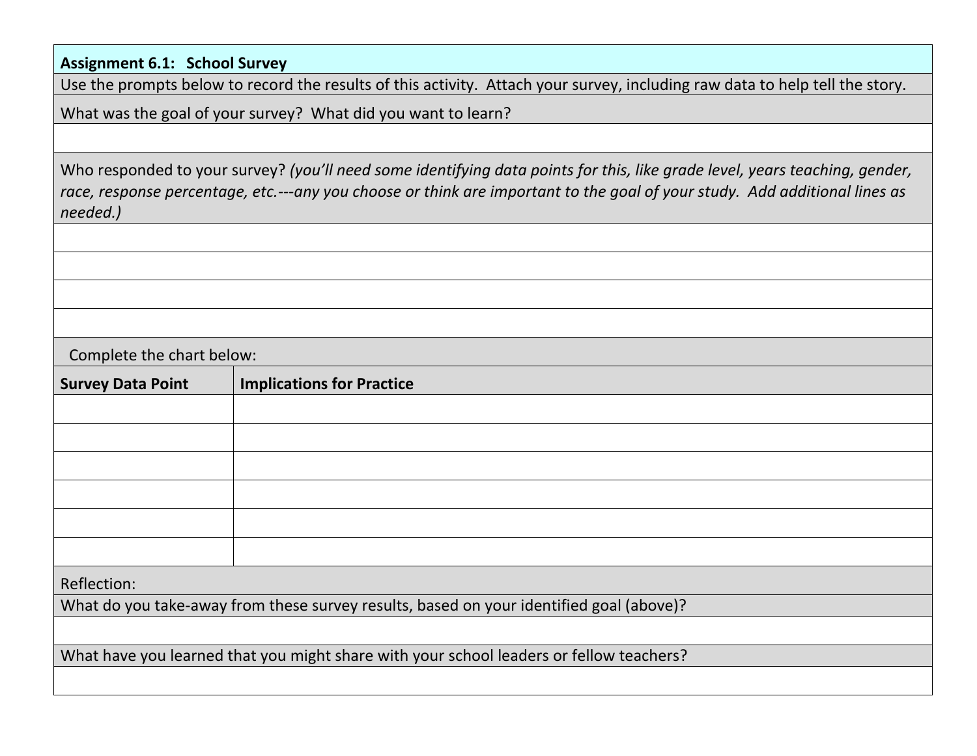**Assignment 6.1: School Survey**

Use the prompts below to record the results of this activity. Attach your survey, including raw data to help tell the story.

What was the goal of your survey? What did you want to learn?

Who responded to your survey? *(you'll need some identifying data points for this, like grade level, years teaching, gender, race, response percentage, etc.---any you choose or think are important to the goal of your study. Add additional lines as needed.)*

Complete the chart below:

| <b>Survey Data Point</b>                                                                | <b>Implications for Practice</b> |  |  |  |
|-----------------------------------------------------------------------------------------|----------------------------------|--|--|--|
|                                                                                         |                                  |  |  |  |
|                                                                                         |                                  |  |  |  |
|                                                                                         |                                  |  |  |  |
|                                                                                         |                                  |  |  |  |
|                                                                                         |                                  |  |  |  |
|                                                                                         |                                  |  |  |  |
| Reflection:                                                                             |                                  |  |  |  |
| What do you take-away from these survey results, based on your identified goal (above)? |                                  |  |  |  |
|                                                                                         |                                  |  |  |  |
| What have you learned that you might share with your school leaders or fellow teachers? |                                  |  |  |  |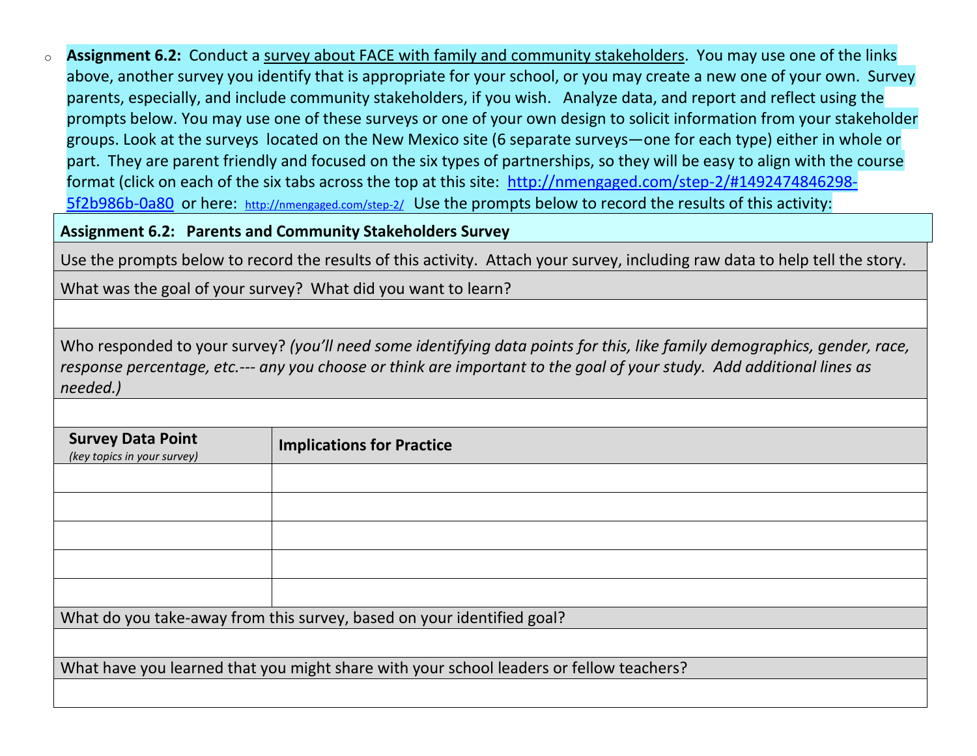o **Assignment 6.2:** Conduct a survey about FACE with family and community stakeholders. You may use one of the links above, another survey you identify that is appropriate for your school, or you may create a new one of your own. Survey parents, especially, and include community stakeholders, if you wish. Analyze data, and report and reflect using the prompts below. You may use one of these surveys or one of your own design to solicit information from your stakeholder groups. Look at the surveys located on the New Mexico site (6 separate surveys—one for each type) either in whole or part. They are parent friendly and focused on the six types of partnerships, so they will be easy to align with the course format (click on each of the six tabs across the top at this site: [http://nmengaged.com/step-2/#1492474846298-](http://nmengaged.com/step-2/#1492474846298-5f2b986b-0a80) [5f2b986b-0a80](http://nmengaged.com/step-2/#1492474846298-5f2b986b-0a80) or here: <http://nmengaged.com/step-2/>Use the prompts below to record the results of this activity:

**Assignment 6.2: Parents and Community Stakeholders Survey**

Use the prompts below to record the results of this activity. Attach your survey, including raw data to help tell the story.

What was the goal of your survey? What did you want to learn?

Who responded to your survey? *(you'll need some identifying data points for this, like family demographics, gender, race, response percentage, etc.--- any you choose or think are important to the goal of your study. Add additional lines as needed.)*

| <b>Survey Data Point</b><br>(key topics in your survey)                                 | <b>Implications for Practice</b> |  |  |
|-----------------------------------------------------------------------------------------|----------------------------------|--|--|
|                                                                                         |                                  |  |  |
|                                                                                         |                                  |  |  |
|                                                                                         |                                  |  |  |
|                                                                                         |                                  |  |  |
|                                                                                         |                                  |  |  |
| What do you take-away from this survey, based on your identified goal?                  |                                  |  |  |
|                                                                                         |                                  |  |  |
| What have you learned that you might share with your school leaders or fellow teachers? |                                  |  |  |
|                                                                                         |                                  |  |  |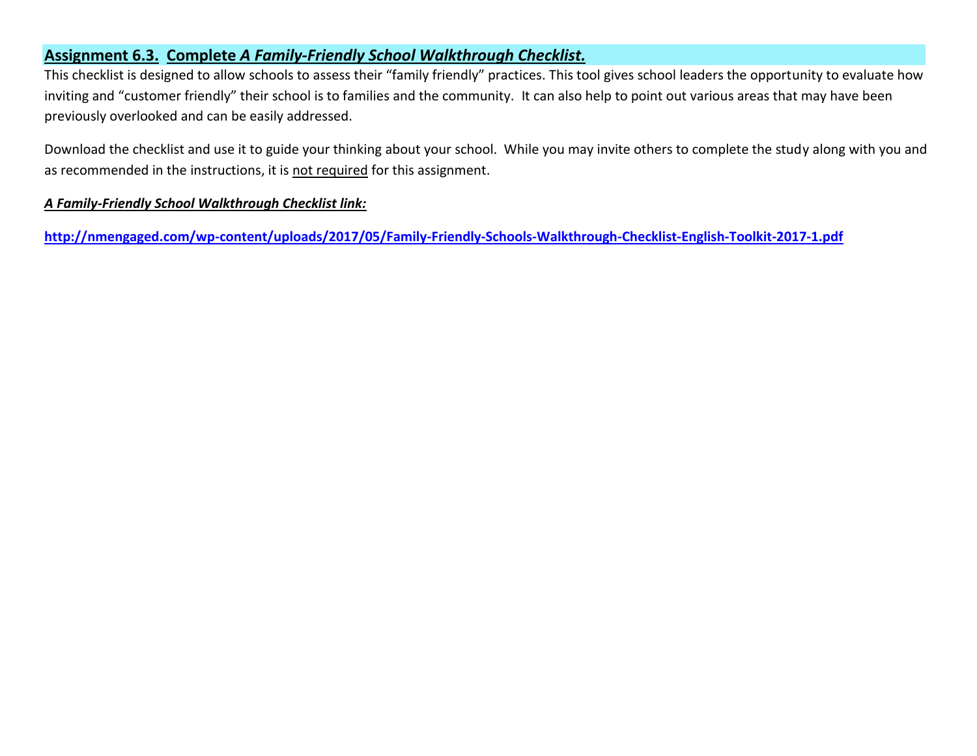#### **Assignment 6.3. Complete** *A Family-Friendly School Walkthrough Checklist.*

This checklist is designed to allow schools to assess their "family friendly" practices. This tool gives school leaders the opportunity to evaluate how inviting and "customer friendly" their school is to families and the community. It can also help to point out various areas that may have been previously overlooked and can be easily addressed.

Download the checklist and use it to guide your thinking about your school. While you may invite others to complete the study along with you and as recommended in the instructions, it is not required for this assignment.

#### *A Family-Friendly School Walkthrough Checklist link:*

**<http://nmengaged.com/wp-content/uploads/2017/05/Family-Friendly-Schools-Walkthrough-Checklist-English-Toolkit-2017-1.pdf>**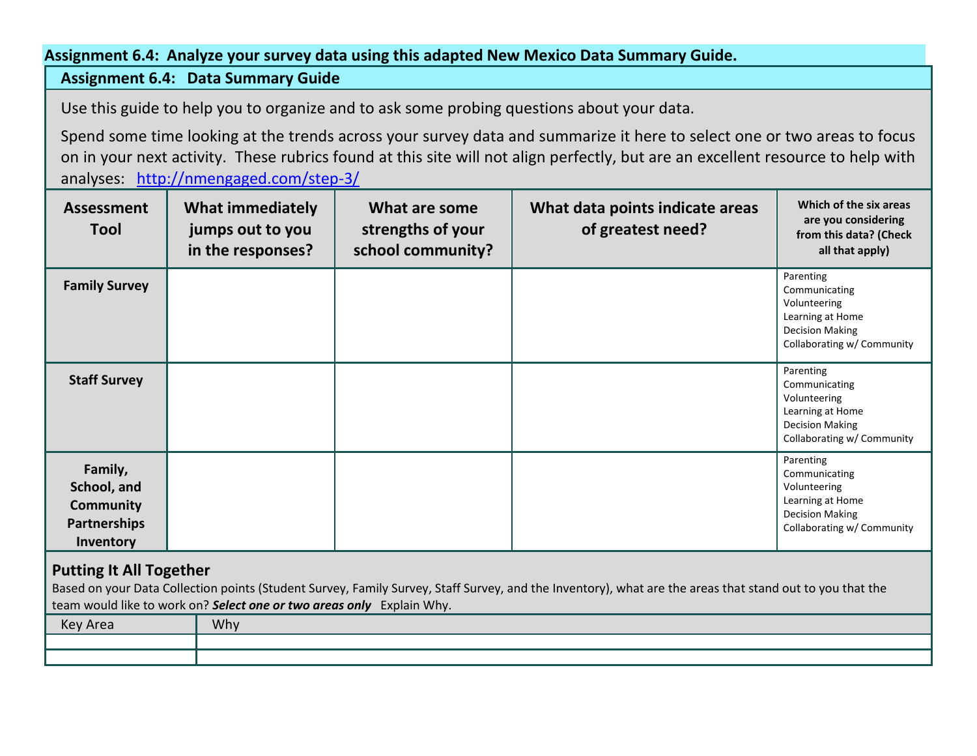#### **Assignment 6.4: Analyze your survey data using this adapted New Mexico Data Summary Guide.**

## **Assignment 6.4: Data Summary Guide**

Use this guide to help you to organize and to ask some probing questions about your data.

Spend some time looking at the trends across your survey data and summarize it here to select one or two areas to focus on in your next activity. These rubrics found at this site will not align perfectly, but are an excellent resource to help with analyses: <http://nmengaged.com/step-3/>

| <b>Assessment</b><br>Tool                                                      | <b>What immediately</b><br>jumps out to you<br>in the responses? | What are some<br>strengths of your<br>school community? | What data points indicate areas<br>of greatest need? | Which of the six areas<br>are you considering<br>from this data? (Check<br>all that apply)                             |
|--------------------------------------------------------------------------------|------------------------------------------------------------------|---------------------------------------------------------|------------------------------------------------------|------------------------------------------------------------------------------------------------------------------------|
| <b>Family Survey</b>                                                           |                                                                  |                                                         |                                                      | Parenting<br>Communicating<br>Volunteering<br>Learning at Home<br><b>Decision Making</b><br>Collaborating w/ Community |
| <b>Staff Survey</b>                                                            |                                                                  |                                                         |                                                      | Parenting<br>Communicating<br>Volunteering<br>Learning at Home<br><b>Decision Making</b><br>Collaborating w/ Community |
| Family,<br>School, and<br><b>Community</b><br><b>Partnerships</b><br>Inventory |                                                                  |                                                         |                                                      | Parenting<br>Communicating<br>Volunteering<br>Learning at Home<br><b>Decision Making</b><br>Collaborating w/ Community |

## **Putting It All Together**

Based on your Data Collection points (Student Survey, Family Survey, Staff Survey, and the Inventory), what are the areas that stand out to you that the team would like to work on? *Select one or two areas only* Explain Why.

| Key Area | Why |
|----------|-----|
|          |     |
|          |     |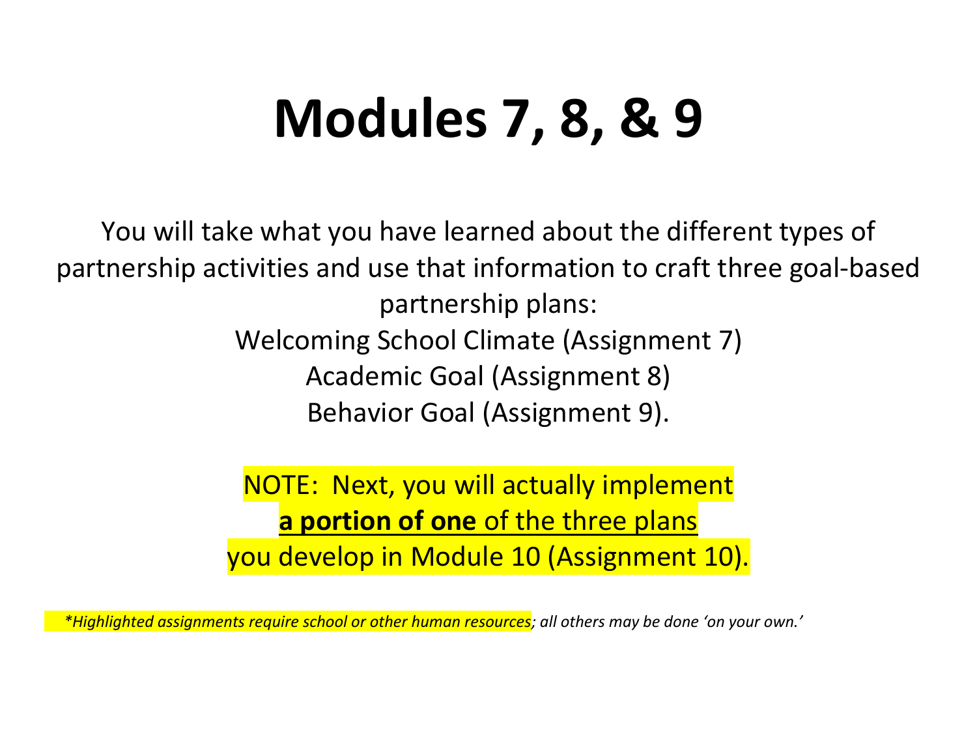## **Modules 7, 8, & 9**

You will take what you have learned about the different types of partnership activities and use that information to craft three goal-based partnership plans: Welcoming School Climate (Assignment 7) Academic Goal (Assignment 8) Behavior Goal (Assignment 9).

> NOTE: Next, you will actually implement **a portion of one** of the three plans you develop in Module 10 (Assignment 10).

 *\*Highlighted assignments require school or other human resources; all others may be done 'on your own.'*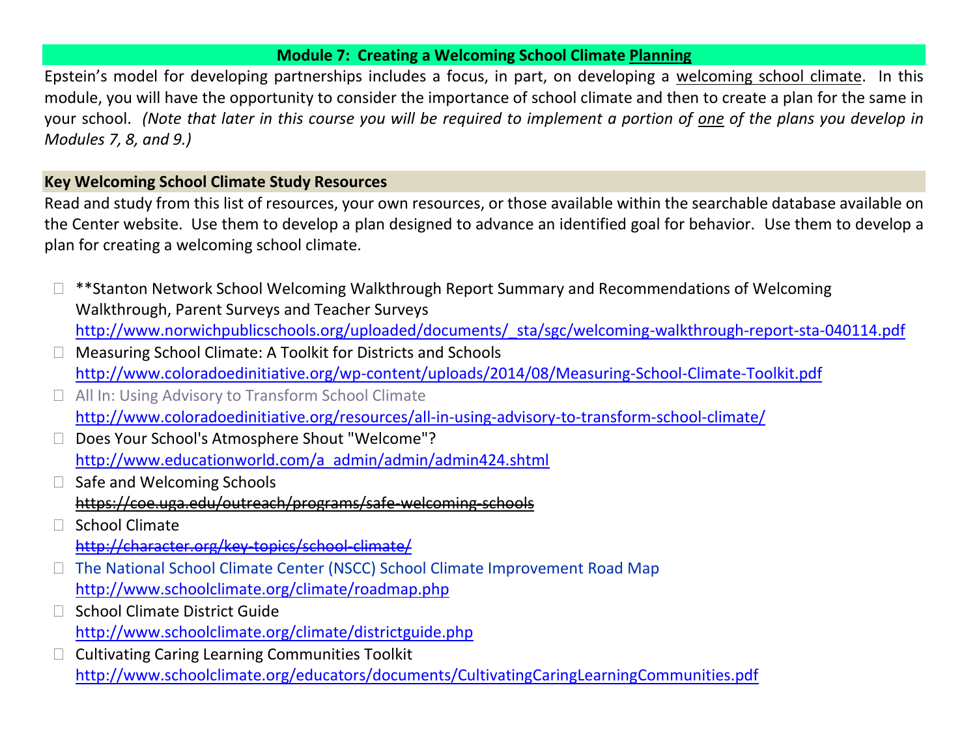## **Module 7: Creating a Welcoming School Climate Planning**

Epstein's model for developing partnerships includes a focus, in part, on developing a welcoming school climate. In this module, you will have the opportunity to consider the importance of school climate and then to create a plan for the same in your school. *(Note that later in this course you will be required to implement a portion of one of the plans you develop in Modules 7, 8, and 9.)* 

## **Key Welcoming School Climate Study Resources**

Read and study from this list of resources, your own resources, or those available within the searchable database available on the Center website. Use them to develop a plan designed to advance an identified goal for behavior. Use them to develop a plan for creating a welcoming school climate.

- \*\*Stanton Network School Welcoming Walkthrough Report Summary and Recommendations of Welcoming Walkthrough, Parent Surveys and Teacher Surveys [http://www.norwichpublicschools.org/uploaded/documents/\\_sta/sgc/welcoming-walkthrough-report-sta-040114.pdf](http://www.norwichpublicschools.org/uploaded/documents/_sta/sgc/welcoming-walkthrough-report-sta-040114.pdf)
- Measuring School Climate: A Toolkit for Districts and Schools <http://www.coloradoedinitiative.org/wp-content/uploads/2014/08/Measuring-School-Climate-Toolkit.pdf>
- □ All In: Using Advisory to Transform School Climate <http://www.coloradoedinitiative.org/resources/all-in-using-advisory-to-transform-school-climate/>
- □ Does Your School's Atmosphere Shout "Welcome"? [http://www.educationworld.com/a\\_admin/admin/admin424.shtml](http://www.educationworld.com/a_admin/admin/admin424.shtml)
- $\Box$  Safe and Welcoming Schools <https://coe.uga.edu/outreach/programs/safe-welcoming-schools>
- School Climate <http://character.org/key-topics/school-climate/>
- □ The National School Climate Center (NSCC) School Climate Improvement Road Map <http://www.schoolclimate.org/climate/roadmap.php>
- School Climate District Guide <http://www.schoolclimate.org/climate/districtguide.php>
- Cultivating Caring Learning Communities Toolkit <http://www.schoolclimate.org/educators/documents/CultivatingCaringLearningCommunities.pdf>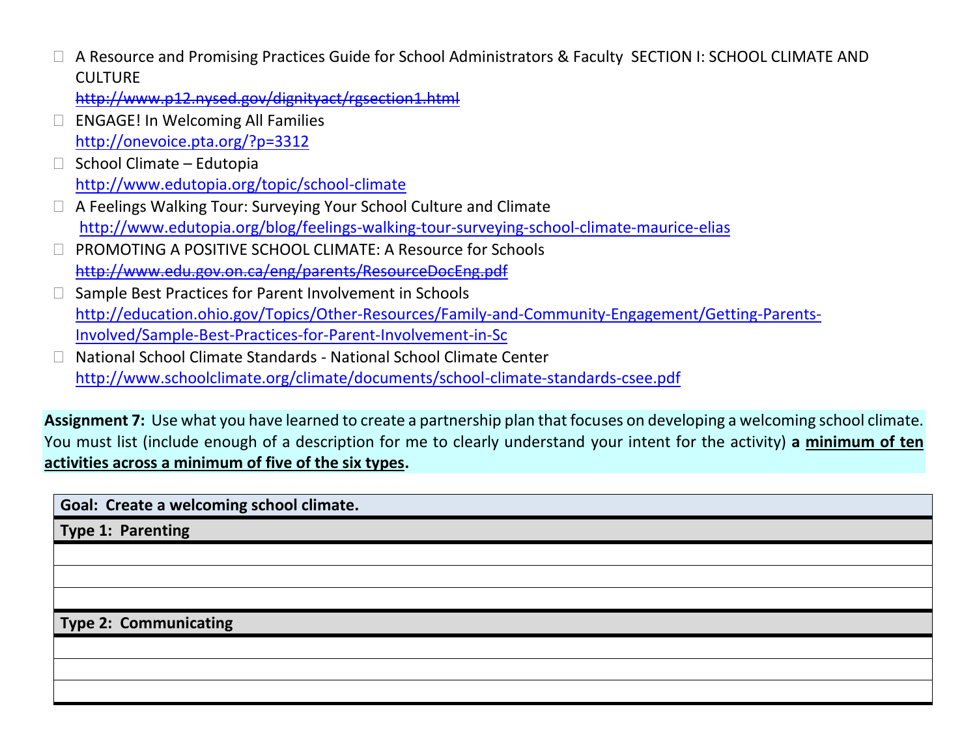A Resource and Promising Practices Guide for School Administrators & Faculty SECTION I: SCHOOL CLIMATE AND **CULTURE** 

<http://www.p12.nysed.gov/dignityact/rgsection1.html>

- □ ENGAGE! In Welcoming All Families <http://onevoice.pta.org/?p=3312>
- School Climate Edutopia <http://www.edutopia.org/topic/school-climate>
- A Feelings Walking Tour: Surveying Your School Culture and Climate <http://www.edutopia.org/blog/feelings-walking-tour-surveying-school-climate-maurice-elias>
- PROMOTING A POSITIVE SCHOOL CLIMATE: A Resource for Schools <http://www.edu.gov.on.ca/eng/parents/ResourceDocEng.pdf>
- $\Box$  Sample Best Practices for Parent Involvement in Schools [http://education.ohio.gov/Topics/Other-Resources/Family-and-Community-Engagement/Getting-Parents-](http://education.ohio.gov/Topics/Other-Resources/Family-and-Community-Engagement/Getting-Parents-Involved/Sample-Best-Practices-for-Parent-Involvement-in-Sc)[Involved/Sample-Best-Practices-for-Parent-Involvement-in-Sc](http://education.ohio.gov/Topics/Other-Resources/Family-and-Community-Engagement/Getting-Parents-Involved/Sample-Best-Practices-for-Parent-Involvement-in-Sc)
- National School Climate Standards National School Climate Center <http://www.schoolclimate.org/climate/documents/school-climate-standards-csee.pdf>

**Assignment 7:** Use what you have learned to create a partnership plan that focuses on developing a welcoming school climate. You must list (include enough of a description for me to clearly understand your intent for the activity) **a minimum of ten activities across a minimum of five of the six types.**

**Goal: Create a welcoming school climate.**

**Type 1: Parenting**

**Type 2: Communicating**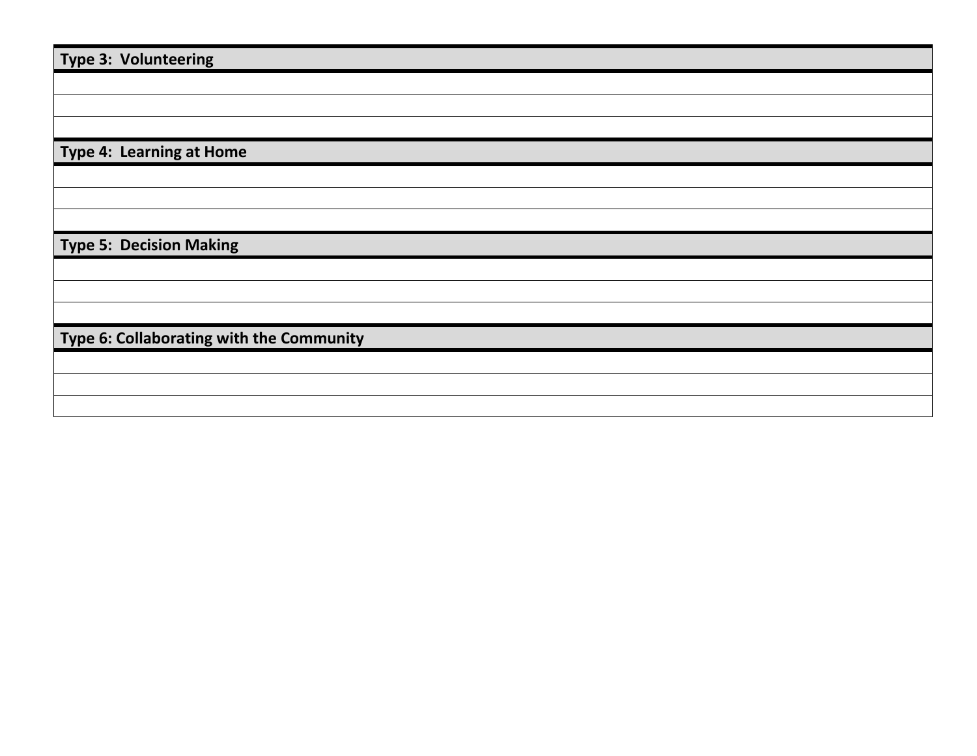| Type 3: Volunteering                     |
|------------------------------------------|
|                                          |
|                                          |
|                                          |
|                                          |
| Type 4: Learning at Home                 |
|                                          |
|                                          |
|                                          |
| <b>Type 5: Decision Making</b>           |
|                                          |
|                                          |
|                                          |
| Type 6: Collaborating with the Community |
|                                          |
|                                          |
|                                          |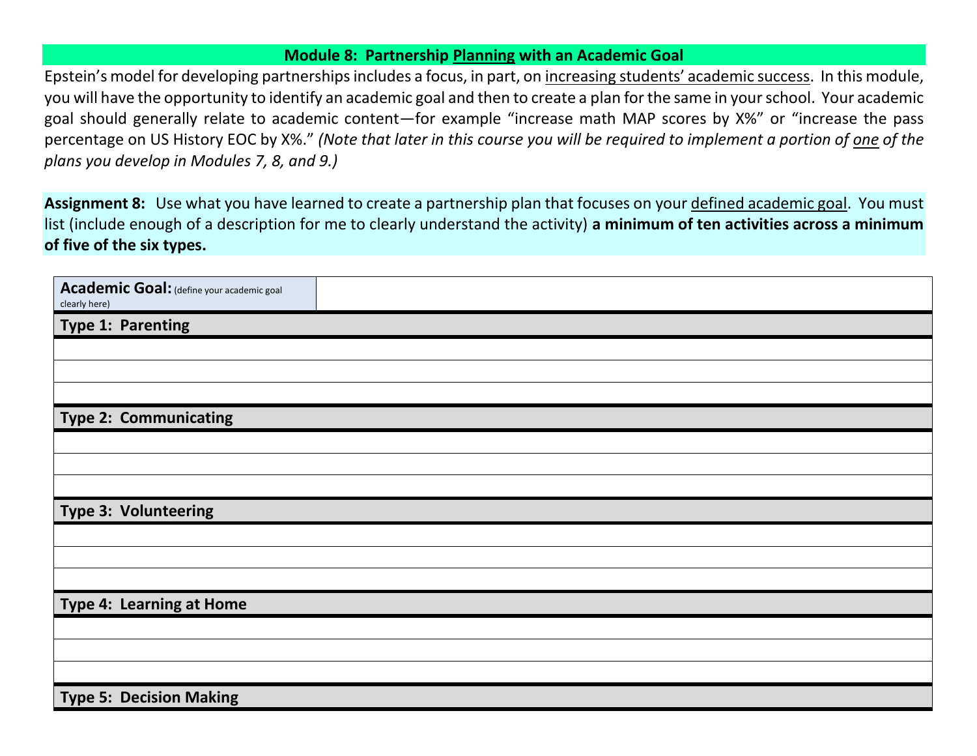## **Module 8: Partnership Planning with an Academic Goal**

Epstein's model for developing partnerships includes a focus, in part, on increasing students' academic success. In this module, you will have the opportunity to identify an academic goal and then to create a plan for the same in your school. Your academic goal should generally relate to academic content—for example "increase math MAP scores by X%" or "increase the pass percentage on US History EOC by X%." *(Note that later in this course you will be required to implement a portion of one of the plans you develop in Modules 7, 8, and 9.)* 

**Assignment 8:** Use what you have learned to create a partnership plan that focuses on your defined academic goal. You must list (include enough of a description for me to clearly understand the activity) **a minimum of ten activities across a minimum of five of the six types.**

| Academic Goal: (define your academic goal<br>clearly here) |  |
|------------------------------------------------------------|--|
| Type 1: Parenting                                          |  |
|                                                            |  |
|                                                            |  |
|                                                            |  |
| <b>Type 2: Communicating</b>                               |  |
|                                                            |  |
|                                                            |  |
|                                                            |  |
| Type 3: Volunteering                                       |  |
|                                                            |  |
|                                                            |  |
|                                                            |  |
| Type 4: Learning at Home                                   |  |
|                                                            |  |
|                                                            |  |
|                                                            |  |
| <b>Type 5: Decision Making</b>                             |  |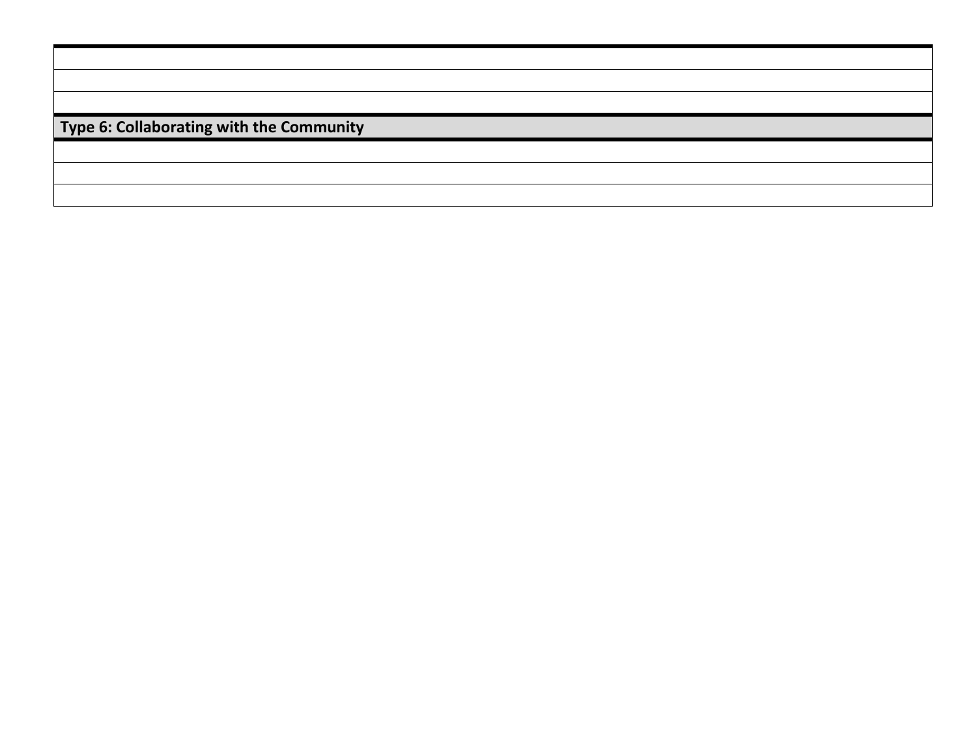|  | Type 6: Collaborating with the Community |  |  |
|--|------------------------------------------|--|--|
|--|------------------------------------------|--|--|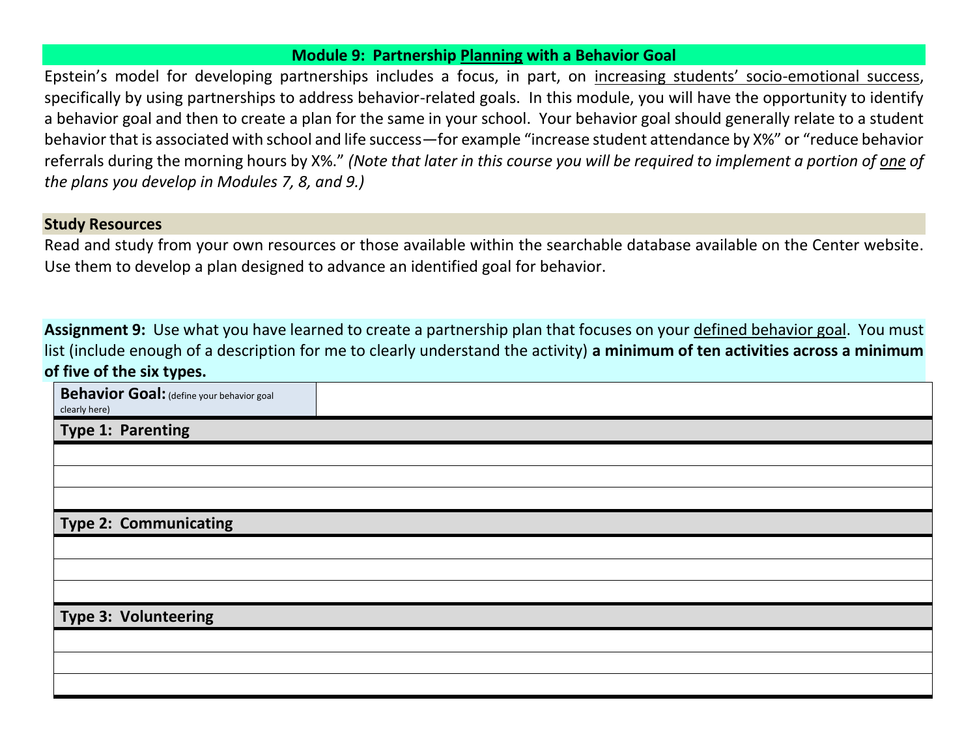#### **Module 9: Partnership Planning with a Behavior Goal**

Epstein's model for developing partnerships includes a focus, in part, on increasing students' socio-emotional success, specifically by using partnerships to address behavior-related goals. In this module, you will have the opportunity to identify a behavior goal and then to create a plan for the same in your school. Your behavior goal should generally relate to a student behavior that is associated with school and life success—for example "increase student attendance by X%" or "reduce behavior referrals during the morning hours by X%." *(Note that later in this course you will be required to implement a portion of one of the plans you develop in Modules 7, 8, and 9.)* 

#### **Study Resources**

Read and study from your own resources or those available within the searchable database available on the Center website. Use them to develop a plan designed to advance an identified goal for behavior.

**Assignment 9:** Use what you have learned to create a partnership plan that focuses on your defined behavior goal. You must list (include enough of a description for me to clearly understand the activity) **a minimum of ten activities across a minimum of five of the six types.**

| <b>Behavior Goal:</b> (define your behavior goal<br>clearly here) |  |
|-------------------------------------------------------------------|--|
| Type 1: Parenting                                                 |  |
|                                                                   |  |
|                                                                   |  |
|                                                                   |  |
| <b>Type 2: Communicating</b>                                      |  |
|                                                                   |  |
|                                                                   |  |
|                                                                   |  |
| Type 3: Volunteering                                              |  |
|                                                                   |  |
|                                                                   |  |
|                                                                   |  |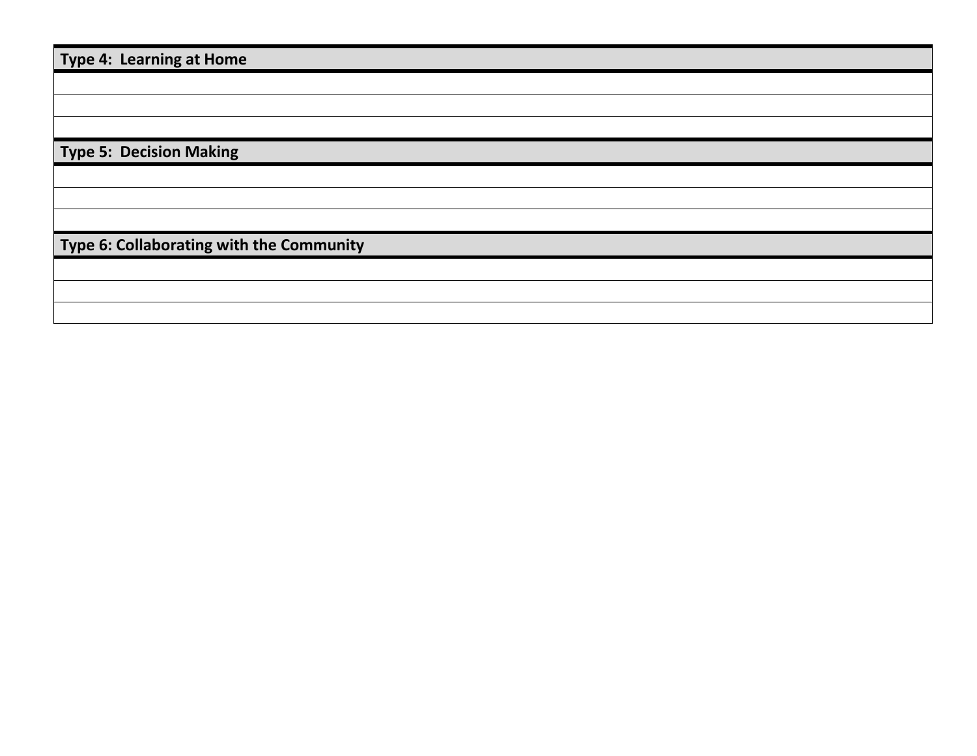**Type 4: Learning at Home**

**Type 5: Decision Making**

**Type 6: Collaborating with the Community**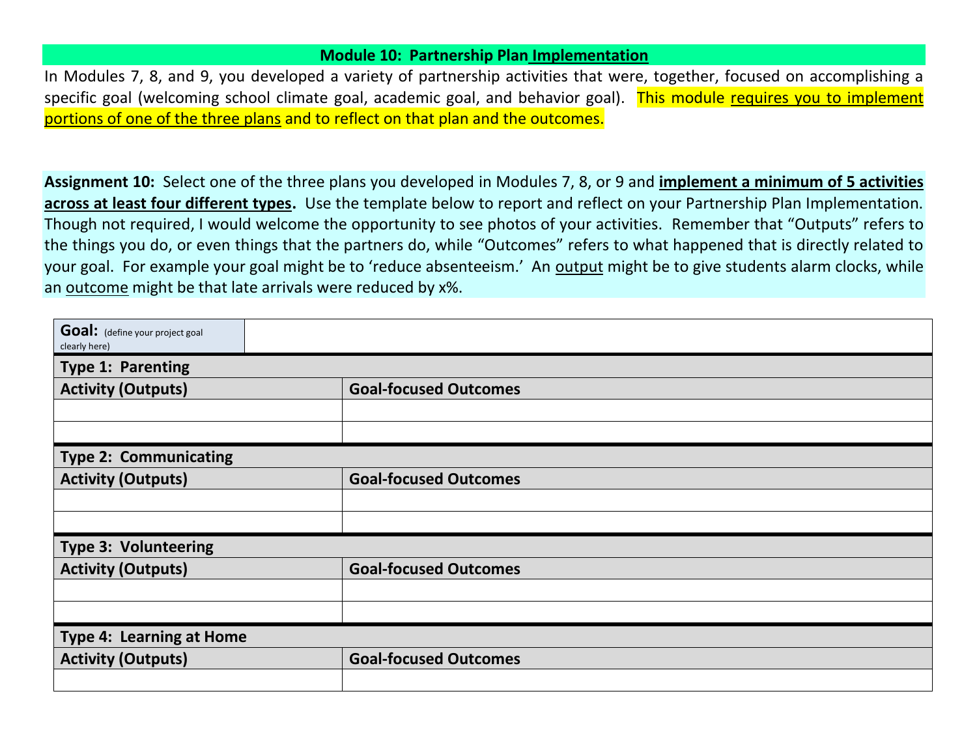#### **Module 10: Partnership Plan Implementation**

In Modules 7, 8, and 9, you developed a variety of partnership activities that were, together, focused on accomplishing a specific goal (welcoming school climate goal, academic goal, and behavior goal). This module requires you to implement portions of one of the three plans and to reflect on that plan and the outcomes.

**Assignment 10:** Select one of the three plans you developed in Modules 7, 8, or 9 and **implement a minimum of 5 activities across at least four different types.** Use the template below to report and reflect on your Partnership Plan Implementation. Though not required, I would welcome the opportunity to see photos of your activities. Remember that "Outputs" refers to the things you do, or even things that the partners do, while "Outcomes" refers to what happened that is directly related to your goal. For example your goal might be to 'reduce absenteeism.' An output might be to give students alarm clocks, while an outcome might be that late arrivals were reduced by x%.

| Goal: (define your project goal<br>clearly here) |                              |
|--------------------------------------------------|------------------------------|
| <b>Type 1: Parenting</b>                         |                              |
| <b>Activity (Outputs)</b>                        | <b>Goal-focused Outcomes</b> |
|                                                  |                              |
|                                                  |                              |
| <b>Type 2: Communicating</b>                     |                              |
| <b>Activity (Outputs)</b>                        | <b>Goal-focused Outcomes</b> |
|                                                  |                              |
|                                                  |                              |
| <b>Type 3: Volunteering</b>                      |                              |
| <b>Activity (Outputs)</b>                        | <b>Goal-focused Outcomes</b> |
|                                                  |                              |
|                                                  |                              |
| <b>Type 4: Learning at Home</b>                  |                              |
| <b>Activity (Outputs)</b>                        | <b>Goal-focused Outcomes</b> |
|                                                  |                              |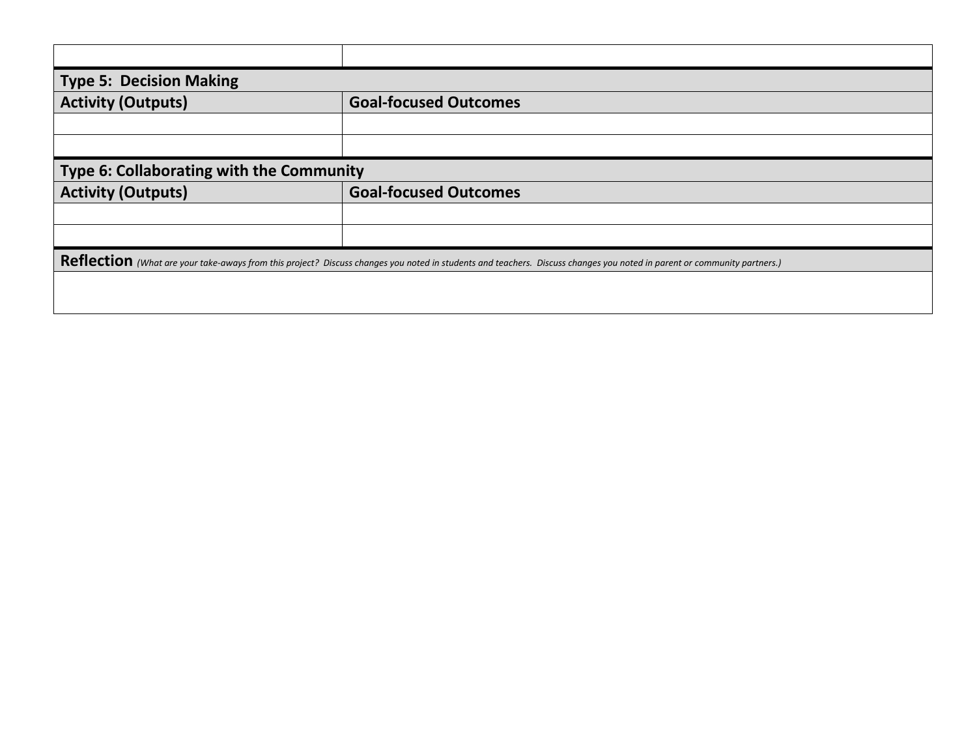| Type 5: Decision Making                  |                                                                                                                                                                         |  |  |  |
|------------------------------------------|-------------------------------------------------------------------------------------------------------------------------------------------------------------------------|--|--|--|
| <b>Activity (Outputs)</b>                | <b>Goal-focused Outcomes</b>                                                                                                                                            |  |  |  |
|                                          |                                                                                                                                                                         |  |  |  |
|                                          |                                                                                                                                                                         |  |  |  |
| Type 6: Collaborating with the Community |                                                                                                                                                                         |  |  |  |
|                                          |                                                                                                                                                                         |  |  |  |
| <b>Activity (Outputs)</b>                | <b>Goal-focused Outcomes</b>                                                                                                                                            |  |  |  |
|                                          |                                                                                                                                                                         |  |  |  |
|                                          |                                                                                                                                                                         |  |  |  |
|                                          |                                                                                                                                                                         |  |  |  |
|                                          | Reflection (What are your take-aways from this project? Discuss changes you noted in students and teachers. Discuss changes you noted in parent or community partners.) |  |  |  |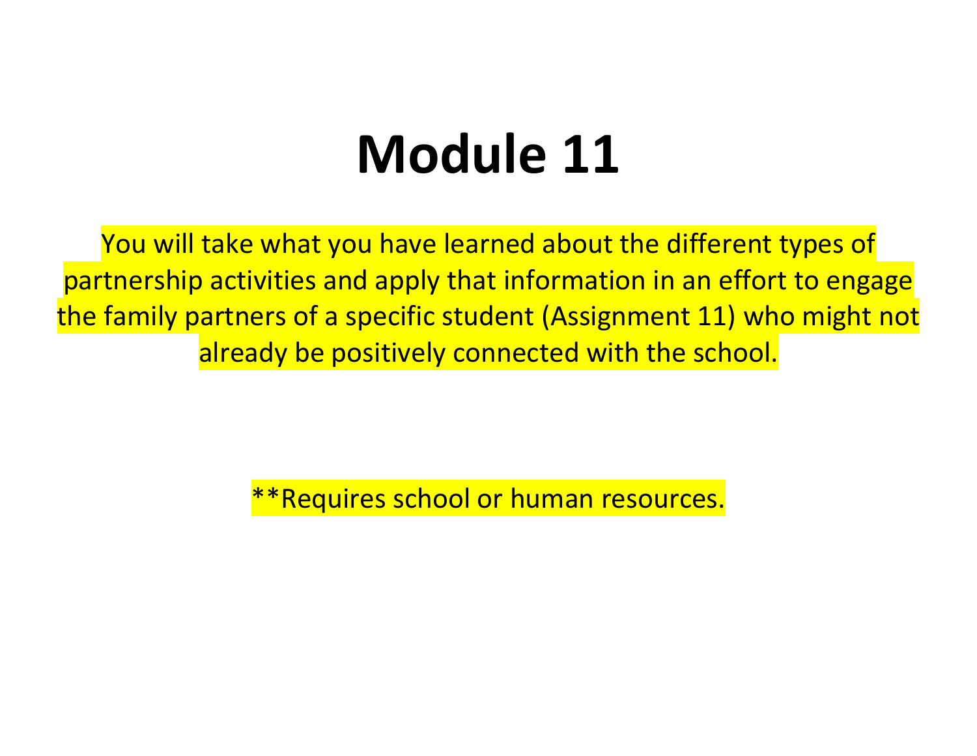## **Module 11**

You will take what you have learned about the different types of partnership activities and apply that information in an effort to engage the family partners of a specific student (Assignment 11) who might not already be positively connected with the school.

\*Requires school or human resources.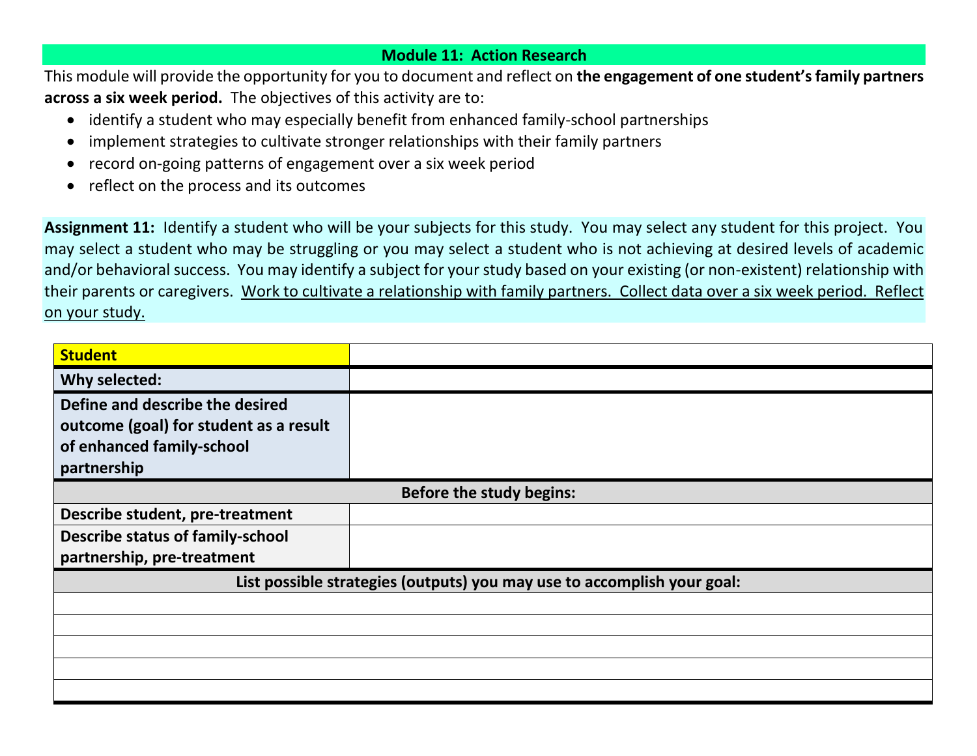## **Module 11: Action Research**

This module will provide the opportunity for you to document and reflect on **the engagement of one student'sfamily partners across a six week period.** The objectives of this activity are to:

- identify a student who may especially benefit from enhanced family-school partnerships
- implement strategies to cultivate stronger relationships with their family partners
- record on-going patterns of engagement over a six week period
- reflect on the process and its outcomes

**Assignment 11:** Identify a student who will be your subjects for this study. You may select any student for this project. You may select a student who may be struggling or you may select a student who is not achieving at desired levels of academic and/or behavioral success. You may identify a subject for your study based on your existing (or non-existent) relationship with their parents or caregivers. Work to cultivate a relationship with family partners. Collect data over a six week period. Reflect on your study.

| <b>Student</b>                                                          |  |  |  |  |
|-------------------------------------------------------------------------|--|--|--|--|
| Why selected:                                                           |  |  |  |  |
| Define and describe the desired                                         |  |  |  |  |
| outcome (goal) for student as a result                                  |  |  |  |  |
| of enhanced family-school                                               |  |  |  |  |
| partnership                                                             |  |  |  |  |
| <b>Before the study begins:</b>                                         |  |  |  |  |
| Describe student, pre-treatment                                         |  |  |  |  |
| <b>Describe status of family-school</b>                                 |  |  |  |  |
| partnership, pre-treatment                                              |  |  |  |  |
| List possible strategies (outputs) you may use to accomplish your goal: |  |  |  |  |
|                                                                         |  |  |  |  |
|                                                                         |  |  |  |  |
|                                                                         |  |  |  |  |
|                                                                         |  |  |  |  |
|                                                                         |  |  |  |  |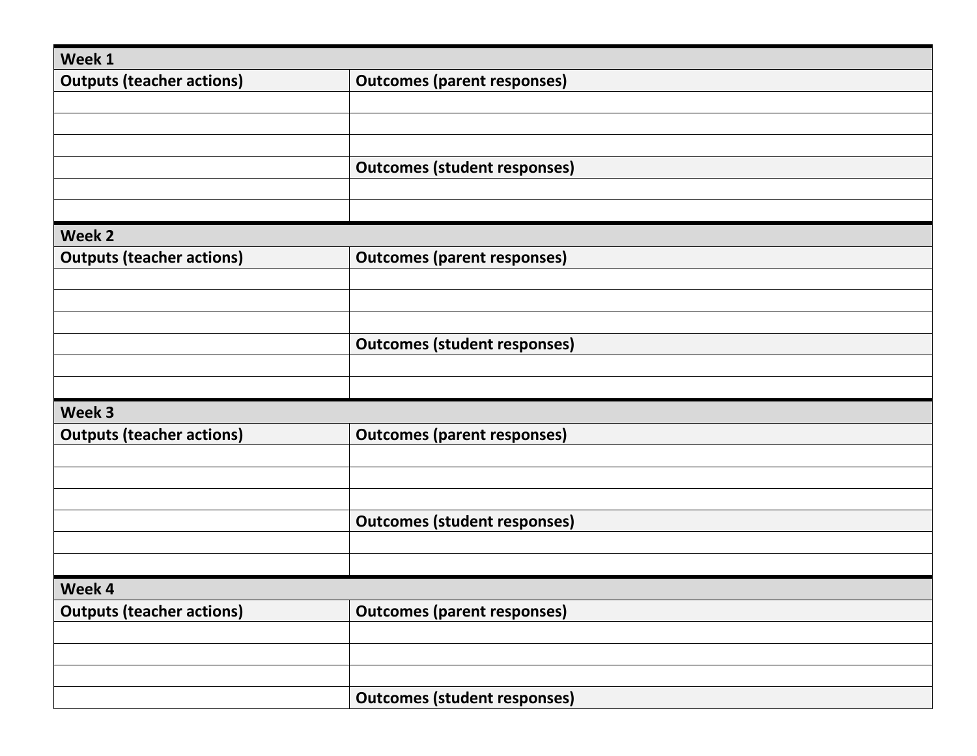| Week 1                           |                                     |
|----------------------------------|-------------------------------------|
| <b>Outputs (teacher actions)</b> | <b>Outcomes (parent responses)</b>  |
|                                  |                                     |
|                                  |                                     |
|                                  |                                     |
|                                  | <b>Outcomes (student responses)</b> |
|                                  |                                     |
|                                  |                                     |
| Week 2                           |                                     |
| <b>Outputs (teacher actions)</b> | <b>Outcomes (parent responses)</b>  |
|                                  |                                     |
|                                  |                                     |
|                                  |                                     |
|                                  | <b>Outcomes (student responses)</b> |
|                                  |                                     |
|                                  |                                     |
| Week 3                           |                                     |
| <b>Outputs (teacher actions)</b> | <b>Outcomes (parent responses)</b>  |
|                                  |                                     |
|                                  |                                     |
|                                  |                                     |
|                                  | <b>Outcomes (student responses)</b> |
|                                  |                                     |
|                                  |                                     |
| Week 4                           |                                     |
| <b>Outputs (teacher actions)</b> | <b>Outcomes (parent responses)</b>  |
|                                  |                                     |
|                                  |                                     |
|                                  |                                     |
|                                  | <b>Outcomes (student responses)</b> |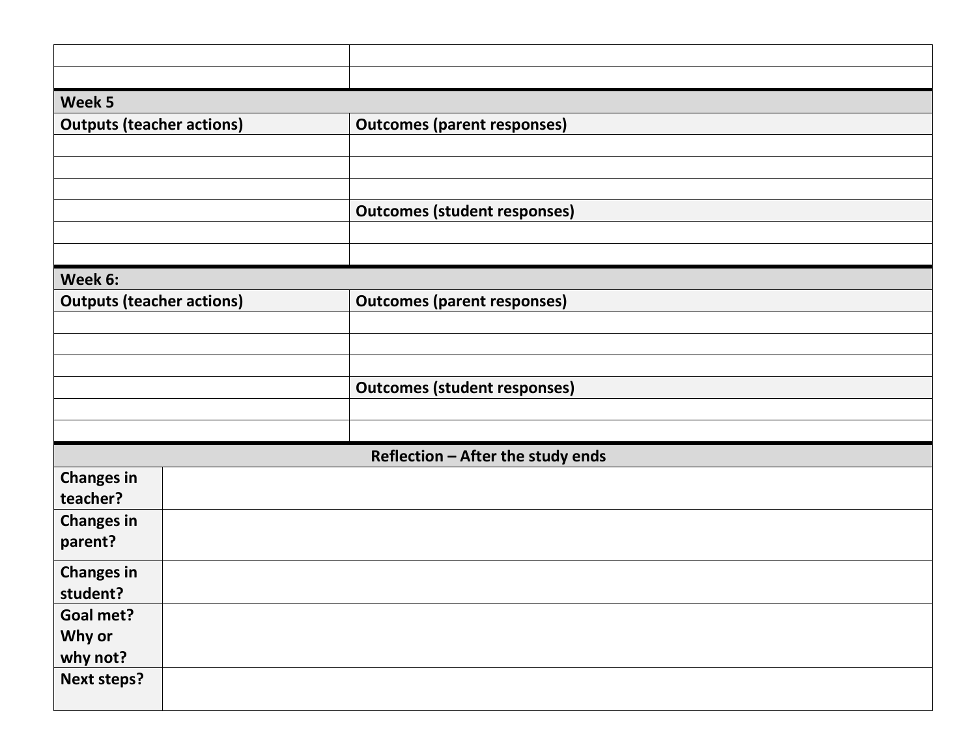| Week 5                           |  |                                     |
|----------------------------------|--|-------------------------------------|
| <b>Outputs (teacher actions)</b> |  | <b>Outcomes (parent responses)</b>  |
|                                  |  |                                     |
|                                  |  |                                     |
|                                  |  |                                     |
|                                  |  | <b>Outcomes (student responses)</b> |
|                                  |  |                                     |
|                                  |  |                                     |
| Week 6:                          |  |                                     |
| <b>Outputs (teacher actions)</b> |  | <b>Outcomes (parent responses)</b>  |
|                                  |  |                                     |
|                                  |  |                                     |
|                                  |  |                                     |
|                                  |  | <b>Outcomes (student responses)</b> |
|                                  |  |                                     |
|                                  |  |                                     |
|                                  |  | Reflection - After the study ends   |
| <b>Changes in</b>                |  |                                     |
| teacher?                         |  |                                     |
| <b>Changes in</b>                |  |                                     |
| parent?                          |  |                                     |
| <b>Changes in</b>                |  |                                     |
| student?                         |  |                                     |
| Goal met?                        |  |                                     |
| Why or                           |  |                                     |
| why not?                         |  |                                     |
| Next steps?                      |  |                                     |
|                                  |  |                                     |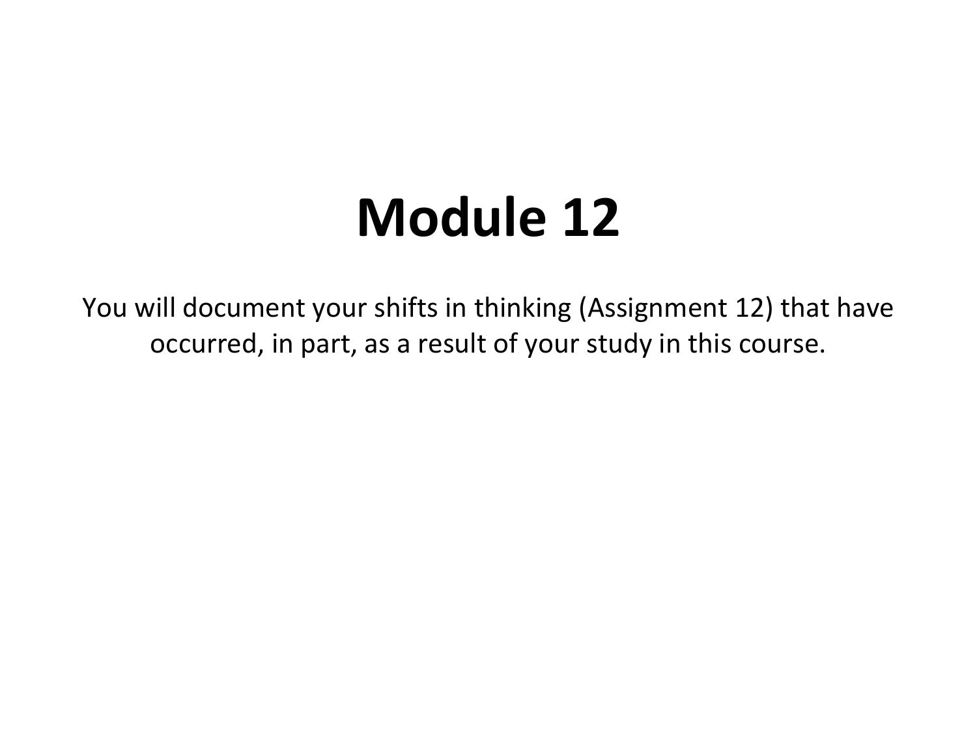## **Module 12**

You will document your shifts in thinking (Assignment 12) that have occurred, in part, as a result of your study in this course.